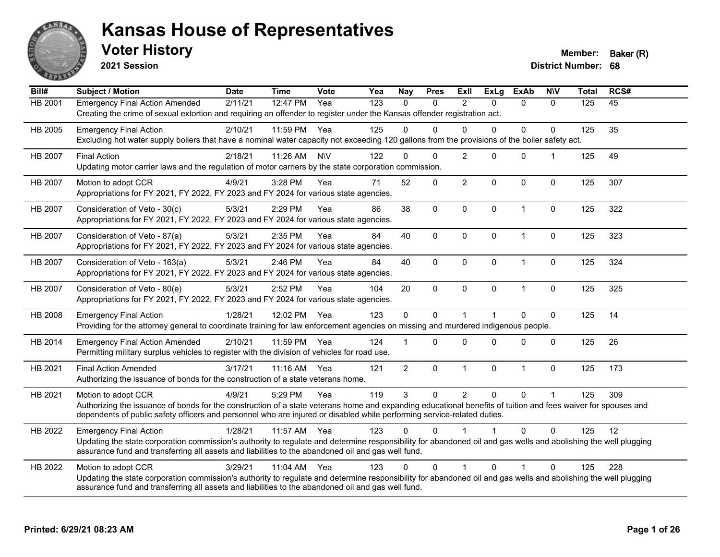

**2021 Session**

**Voter History Member: Baker (R)** 

| Bill#   | <b>Subject / Motion</b>                                                                                                                                                                                                                                               | <b>Date</b> | <b>Time</b> | <b>Vote</b> | Yea | <b>Nay</b>     | <b>Pres</b>  | ExII           | <b>ExLg</b>  | <b>ExAb</b>  | <b>N\V</b>           | <b>Total</b> | RCS# |
|---------|-----------------------------------------------------------------------------------------------------------------------------------------------------------------------------------------------------------------------------------------------------------------------|-------------|-------------|-------------|-----|----------------|--------------|----------------|--------------|--------------|----------------------|--------------|------|
| HB 2001 | <b>Emergency Final Action Amended</b>                                                                                                                                                                                                                                 | 2/11/21     | 12:47 PM    | Yea         | 123 | $\Omega$       | 0            | 2              | $\Omega$     | $\mathbf{0}$ | $\Omega$             | 125          | 45   |
|         | Creating the crime of sexual extortion and requiring an offender to register under the Kansas offender registration act.                                                                                                                                              |             |             |             |     |                |              |                |              |              |                      |              |      |
| HB 2005 | <b>Emergency Final Action</b>                                                                                                                                                                                                                                         | 2/10/21     | 11:59 PM    | Yea         | 125 | $\Omega$       | $\Omega$     | $\Omega$       | $\Omega$     | 0            | $\Omega$             | 125          | 35   |
|         | Excluding hot water supply boilers that have a nominal water capacity not exceeding 120 gallons from the provisions of the boiler safety act.                                                                                                                         |             |             |             |     |                |              |                |              |              |                      |              |      |
| HB 2007 | <b>Final Action</b>                                                                                                                                                                                                                                                   | 2/18/21     | 11:26 AM    | <b>NIV</b>  | 122 | $\Omega$       | $\Omega$     | 2              | $\Omega$     | $\mathbf 0$  | $\blacktriangleleft$ | 125          | 49   |
|         | Updating motor carrier laws and the regulation of motor carriers by the state corporation commission.                                                                                                                                                                 |             |             |             |     |                |              |                |              |              |                      |              |      |
| HB 2007 | Motion to adopt CCR                                                                                                                                                                                                                                                   | 4/9/21      | 3:28 PM     | Yea         | 71  | 52             | 0            | $\overline{2}$ | $\Omega$     | $\Omega$     | $\mathbf{0}$         | 125          | 307  |
|         | Appropriations for FY 2021, FY 2022, FY 2023 and FY 2024 for various state agencies.                                                                                                                                                                                  |             |             |             |     |                |              |                |              |              |                      |              |      |
| HB 2007 | Consideration of Veto - 30(c)                                                                                                                                                                                                                                         | 5/3/21      | 2:29 PM     | Yea         | 86  | 38             | 0            | $\mathbf 0$    | $\mathbf 0$  | $\mathbf{1}$ | $\mathbf 0$          | 125          | 322  |
|         | Appropriations for FY 2021, FY 2022, FY 2023 and FY 2024 for various state agencies.                                                                                                                                                                                  |             |             |             |     |                |              |                |              |              |                      |              |      |
| HB 2007 | Consideration of Veto - 87(a)                                                                                                                                                                                                                                         | 5/3/21      | 2:35 PM     | Yea         | 84  | 40             | 0            | $\mathbf{0}$   | $\Omega$     | 1            | $\mathbf 0$          | 125          | 323  |
|         | Appropriations for FY 2021, FY 2022, FY 2023 and FY 2024 for various state agencies.                                                                                                                                                                                  |             |             |             |     |                |              |                |              |              |                      |              |      |
| HB 2007 | Consideration of Veto - 163(a)                                                                                                                                                                                                                                        | 5/3/21      | 2:46 PM     | Yea         | 84  | 40             | $\Omega$     | $\Omega$       | $\mathbf{0}$ | $\mathbf{1}$ | $\mathbf 0$          | 125          | 324  |
|         | Appropriations for FY 2021, FY 2022, FY 2023 and FY 2024 for various state agencies.                                                                                                                                                                                  |             |             |             |     |                |              |                |              |              |                      |              |      |
| HB 2007 | Consideration of Veto - 80(e)                                                                                                                                                                                                                                         | 5/3/21      | 2:52 PM     | Yea         | 104 | 20             | $\mathsf{O}$ | $\mathbf 0$    | $\mathbf 0$  | $\mathbf{1}$ | $\mathbf 0$          | 125          | 325  |
|         | Appropriations for FY 2021, FY 2022, FY 2023 and FY 2024 for various state agencies.                                                                                                                                                                                  |             |             |             |     |                |              |                |              |              |                      |              |      |
| HB 2008 | <b>Emergency Final Action</b>                                                                                                                                                                                                                                         | 1/28/21     | 12:02 PM    | Yea         | 123 | $\mathbf 0$    | $\Omega$     | $\overline{1}$ |              | $\Omega$     | $\mathbf 0$          | 125          | 14   |
|         | Providing for the attorney general to coordinate training for law enforcement agencies on missing and murdered indigenous people.                                                                                                                                     |             |             |             |     |                |              |                |              |              |                      |              |      |
| HB 2014 | <b>Emergency Final Action Amended</b>                                                                                                                                                                                                                                 | 2/10/21     | 11:59 PM    | Yea         | 124 |                | $\Omega$     | $\Omega$       | $\Omega$     | $\Omega$     | $\mathbf{0}$         | 125          | 26   |
|         | Permitting military surplus vehicles to register with the division of vehicles for road use.                                                                                                                                                                          |             |             |             |     |                |              |                |              |              |                      |              |      |
| HB 2021 | <b>Final Action Amended</b>                                                                                                                                                                                                                                           | 3/17/21     | $11:16$ AM  | Yea         | 121 | $\overline{2}$ | $\mathbf 0$  | $\mathbf 1$    | $\mathbf 0$  | $\mathbf{1}$ | 0                    | 125          | 173  |
|         | Authorizing the issuance of bonds for the construction of a state veterans home.                                                                                                                                                                                      |             |             |             |     |                |              |                |              |              |                      |              |      |
| HB 2021 | Motion to adopt CCR                                                                                                                                                                                                                                                   | 4/9/21      | 5:29 PM     | Yea         | 119 | $\mathbf{3}$   | $\Omega$     | $\overline{2}$ | $\mathbf{0}$ | 0            | $\blacktriangleleft$ | 125          | 309  |
|         | Authorizing the issuance of bonds for the construction of a state veterans home and expanding educational benefits of tuition and fees waiver for spouses and                                                                                                         |             |             |             |     |                |              |                |              |              |                      |              |      |
|         | dependents of public safety officers and personnel who are injured or disabled while performing service-related duties.                                                                                                                                               |             |             |             |     |                |              |                |              |              |                      |              |      |
| HB 2022 | <b>Emergency Final Action</b>                                                                                                                                                                                                                                         | 1/28/21     | 11:57 AM    | Yea         | 123 | $\Omega$       | 0            |                |              | $\Omega$     | $\Omega$             | 125          | 12   |
|         | Updating the state corporation commission's authority to regulate and determine responsibility for abandoned oil and gas wells and abolishing the well plugging<br>assurance fund and transferring all assets and liabilities to the abandoned oil and gas well fund. |             |             |             |     |                |              |                |              |              |                      |              |      |
|         |                                                                                                                                                                                                                                                                       |             |             |             |     |                |              |                |              |              |                      |              |      |
| HB 2022 | Motion to adopt CCR<br>Updating the state corporation commission's authority to regulate and determine responsibility for abandoned oil and gas wells and abolishing the well plugging                                                                                | 3/29/21     | 11:04 AM    | Yea         | 123 | $\Omega$       | $\Omega$     |                | $\Omega$     | 1            | $\Omega$             | 125          | 228  |
|         | assurance fund and transferring all assets and liabilities to the abandoned oil and gas well fund.                                                                                                                                                                    |             |             |             |     |                |              |                |              |              |                      |              |      |
|         |                                                                                                                                                                                                                                                                       |             |             |             |     |                |              |                |              |              |                      |              |      |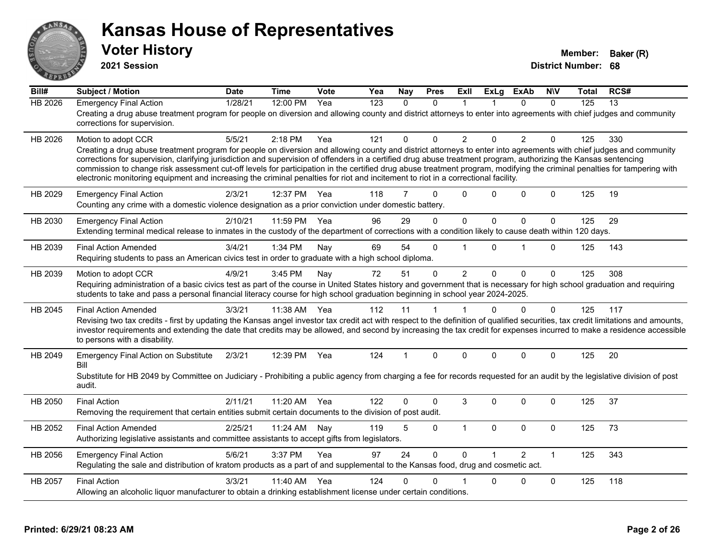

**2021 Session**

| Bill#                         | <b>Subject / Motion</b>                                                                                                                                                                                                                                                                                                                                                                                                                    | <b>Date</b>                 | <b>Time</b>                     | Vote              | Yea              | <b>Nay</b>     | <b>Pres</b>                  | ExII                       | <b>ExLg</b>       | <b>ExAb</b>                     | <b>NIV</b>                                 | Total             | RCS#             |
|-------------------------------|--------------------------------------------------------------------------------------------------------------------------------------------------------------------------------------------------------------------------------------------------------------------------------------------------------------------------------------------------------------------------------------------------------------------------------------------|-----------------------------|---------------------------------|-------------------|------------------|----------------|------------------------------|----------------------------|-------------------|---------------------------------|--------------------------------------------|-------------------|------------------|
| <b>HB 2026</b>                | <b>Emergency Final Action</b>                                                                                                                                                                                                                                                                                                                                                                                                              | 1/28/21                     | 12:00 PM                        | Yea               | 123              | $\Omega$       | $\Omega$                     | 1                          |                   | $\Omega$                        | $\Omega$                                   | 125               | 13               |
|                               | Creating a drug abuse treatment program for people on diversion and allowing county and district attorneys to enter into agreements with chief judges and community<br>corrections for supervision.                                                                                                                                                                                                                                        |                             |                                 |                   |                  |                |                              |                            |                   |                                 |                                            |                   |                  |
| HB 2026                       | Motion to adopt CCR                                                                                                                                                                                                                                                                                                                                                                                                                        | 5/5/21                      | 2:18 PM                         | Yea               | 121              | $\Omega$       | $\Omega$                     | $\overline{2}$             | $\Omega$          | 2                               | $\Omega$                                   | 125               | 330              |
|                               | Creating a drug abuse treatment program for people on diversion and allowing county and district attorneys to enter into agreements with chief judges and community                                                                                                                                                                                                                                                                        |                             |                                 |                   |                  |                |                              |                            |                   |                                 |                                            |                   |                  |
|                               | corrections for supervision, clarifying jurisdiction and supervision of offenders in a certified drug abuse treatment program, authorizing the Kansas sentencing<br>commission to change risk assessment cut-off levels for participation in the certified drug abuse treatment program, modifying the criminal penalties for tampering with                                                                                               |                             |                                 |                   |                  |                |                              |                            |                   |                                 |                                            |                   |                  |
|                               | electronic monitoring equipment and increasing the criminal penalties for riot and incitement to riot in a correctional facility.                                                                                                                                                                                                                                                                                                          |                             |                                 |                   |                  |                |                              |                            |                   |                                 |                                            |                   |                  |
| HB 2029                       | <b>Emergency Final Action</b>                                                                                                                                                                                                                                                                                                                                                                                                              | 2/3/21                      | 12:37 PM                        | Yea               | 118              | 7              | $\Omega$                     | $\Omega$                   | $\Omega$          | $\Omega$                        | $\Omega$                                   | 125               | 19               |
|                               | Counting any crime with a domestic violence designation as a prior conviction under domestic battery.                                                                                                                                                                                                                                                                                                                                      |                             |                                 |                   |                  |                |                              |                            |                   |                                 |                                            |                   |                  |
| HB 2030                       | <b>Emergency Final Action</b>                                                                                                                                                                                                                                                                                                                                                                                                              | 2/10/21                     | 11:59 PM                        | Yea               | 96               | 29             | $\Omega$                     | $\mathbf 0$                | $\mathbf{0}$      | $\Omega$                        | $\mathbf 0$                                | 125               | 29               |
|                               | Extending terminal medical release to inmates in the custody of the department of corrections with a condition likely to cause death within 120 days.                                                                                                                                                                                                                                                                                      |                             |                                 |                   |                  |                |                              |                            |                   |                                 |                                            |                   |                  |
| HB 2039                       | <b>Final Action Amended</b>                                                                                                                                                                                                                                                                                                                                                                                                                | 3/4/21                      | 1:34 PM                         | Nay               | 69               | 54             | $\Omega$                     |                            | $\Omega$          | 1                               | $\Omega$                                   | 125               | 143              |
|                               | Requiring students to pass an American civics test in order to graduate with a high school diploma.                                                                                                                                                                                                                                                                                                                                        |                             |                                 |                   |                  |                |                              |                            |                   |                                 |                                            |                   |                  |
| HB 2039                       | Motion to adopt CCR                                                                                                                                                                                                                                                                                                                                                                                                                        | 4/9/21                      | 3:45 PM                         | Nay               | 72               | 51             | $\mathbf{0}$                 | 2                          | $\Omega$          | $\Omega$                        | $\Omega$                                   | 125               | 308              |
|                               | Requiring administration of a basic civics test as part of the course in United States history and government that is necessary for high school graduation and requiring                                                                                                                                                                                                                                                                   |                             |                                 |                   |                  |                |                              |                            |                   |                                 |                                            |                   |                  |
|                               | students to take and pass a personal financial literacy course for high school graduation beginning in school year 2024-2025.                                                                                                                                                                                                                                                                                                              |                             |                                 |                   |                  |                |                              |                            |                   |                                 |                                            |                   |                  |
| HB 2045                       | <b>Final Action Amended</b>                                                                                                                                                                                                                                                                                                                                                                                                                | 3/3/21                      | 11:38 AM                        | Yea               | 112              | 11             | 1                            | 1                          | $\Omega$          | $\Omega$                        | $\mathbf{0}$                               | 125               | 117              |
|                               | Revising two tax credits - first by updating the Kansas angel investor tax credit act with respect to the definition of qualified securities, tax credit limitations and amounts,<br>investor requirements and extending the date that credits may be allowed, and second by increasing the tax credit for expenses incurred to make a residence accessible                                                                                |                             |                                 |                   |                  |                |                              |                            |                   |                                 |                                            |                   |                  |
|                               | to persons with a disability.                                                                                                                                                                                                                                                                                                                                                                                                              |                             |                                 |                   |                  |                |                              |                            |                   |                                 |                                            |                   |                  |
| HB 2049                       | <b>Emergency Final Action on Substitute</b>                                                                                                                                                                                                                                                                                                                                                                                                | 2/3/21                      | 12:39 PM                        | Yea               | 124              | $\overline{1}$ | $\mathbf{0}$                 | $\Omega$                   | $\Omega$          | $\mathbf{0}$                    | $\Omega$                                   | 125               | 20               |
|                               | <b>Bill</b>                                                                                                                                                                                                                                                                                                                                                                                                                                |                             |                                 |                   |                  |                |                              |                            |                   |                                 |                                            |                   |                  |
|                               | Substitute for HB 2049 by Committee on Judiciary - Prohibiting a public agency from charging a fee for records requested for an audit by the legislative division of post<br>audit.                                                                                                                                                                                                                                                        |                             |                                 |                   |                  |                |                              |                            |                   |                                 |                                            |                   |                  |
|                               |                                                                                                                                                                                                                                                                                                                                                                                                                                            |                             |                                 | Yea               | 122              | 0              | $\Omega$                     | 3                          | $\Omega$          | $\Omega$                        | $\Omega$                                   |                   |                  |
| HB 2050                       | <b>Final Action</b><br>Removing the requirement that certain entities submit certain documents to the division of post audit.                                                                                                                                                                                                                                                                                                              | 2/11/21                     | 11:20 AM                        |                   |                  |                |                              |                            |                   |                                 |                                            | 125               | 37               |
|                               |                                                                                                                                                                                                                                                                                                                                                                                                                                            |                             |                                 |                   |                  |                |                              |                            |                   |                                 |                                            |                   |                  |
|                               |                                                                                                                                                                                                                                                                                                                                                                                                                                            |                             |                                 |                   |                  |                |                              |                            |                   |                                 |                                            |                   |                  |
|                               |                                                                                                                                                                                                                                                                                                                                                                                                                                            |                             |                                 |                   |                  |                |                              |                            |                   |                                 |                                            |                   |                  |
|                               |                                                                                                                                                                                                                                                                                                                                                                                                                                            |                             |                                 |                   |                  |                |                              |                            |                   |                                 |                                            |                   |                  |
|                               |                                                                                                                                                                                                                                                                                                                                                                                                                                            |                             |                                 |                   |                  |                |                              |                            |                   |                                 |                                            |                   |                  |
|                               |                                                                                                                                                                                                                                                                                                                                                                                                                                            |                             |                                 |                   |                  |                |                              |                            |                   |                                 |                                            |                   |                  |
| HB 2052<br>HB 2056<br>HB 2057 | <b>Final Action Amended</b><br>Authorizing legislative assistants and committee assistants to accept gifts from legislators.<br><b>Emergency Final Action</b><br>Regulating the sale and distribution of kratom products as a part of and supplemental to the Kansas food, drug and cosmetic act.<br><b>Final Action</b><br>Allowing an alcoholic liquor manufacturer to obtain a drinking establishment license under certain conditions. | 2/25/21<br>5/6/21<br>3/3/21 | 11:24 AM<br>3:37 PM<br>11:40 AM | Nay<br>Yea<br>Yea | 119<br>97<br>124 | 5<br>24<br>0   | $\Omega$<br>$\mathbf 0$<br>0 | $\overline{1}$<br>$\Omega$ | $\mathbf{0}$<br>0 | $\Omega$<br>$\overline{2}$<br>0 | $\mathbf 0$<br>$\mathbf{1}$<br>$\mathbf 0$ | 125<br>125<br>125 | 73<br>343<br>118 |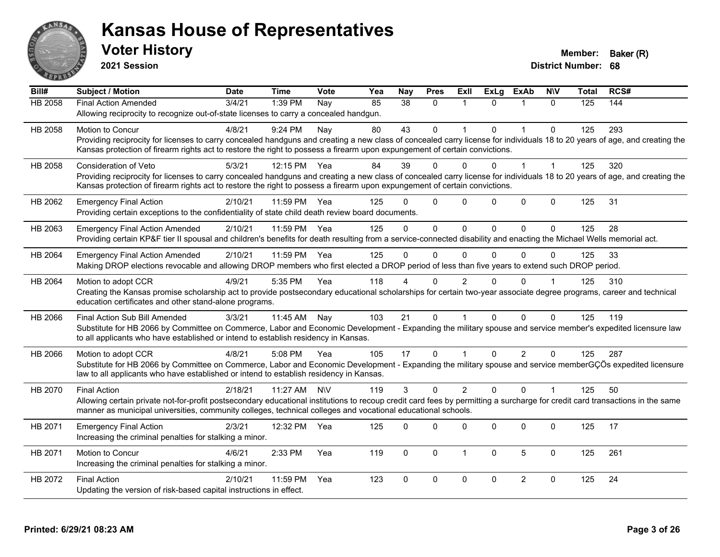

**2021 Session**

| Bill#          | Subject / Motion                                                                                                                                                             | <b>Date</b> | <b>Time</b>  | Vote       | Yea | <b>Nay</b>      | <b>Pres</b>  | ExII           | <b>ExLg</b> | <b>ExAb</b>    | <b>NIV</b>           | <b>Total</b> | RCS# |
|----------------|------------------------------------------------------------------------------------------------------------------------------------------------------------------------------|-------------|--------------|------------|-----|-----------------|--------------|----------------|-------------|----------------|----------------------|--------------|------|
| <b>HB 2058</b> | <b>Final Action Amended</b>                                                                                                                                                  | 3/4/21      | 1:39 PM      | Nay        | 85  | $\overline{38}$ | $\mathbf{0}$ | $\mathbf 1$    | $\Omega$    | 1              | $\mathbf{0}$         | 125          | 144  |
|                | Allowing reciprocity to recognize out-of-state licenses to carry a concealed handgun.                                                                                        |             |              |            |     |                 |              |                |             |                |                      |              |      |
| HB 2058        | <b>Motion to Concur</b>                                                                                                                                                      | 4/8/21      | 9:24 PM      | Nay        | 80  | 43              | $\mathbf{0}$ |                | $\Omega$    | $\overline{1}$ | $\Omega$             | 125          | 293  |
|                | Providing reciprocity for licenses to carry concealed handguns and creating a new class of concealed carry license for individuals 18 to 20 years of age, and creating the   |             |              |            |     |                 |              |                |             |                |                      |              |      |
|                | Kansas protection of firearm rights act to restore the right to possess a firearm upon expungement of certain convictions.                                                   |             |              |            |     |                 |              |                |             |                |                      |              |      |
| HB 2058        | <b>Consideration of Veto</b>                                                                                                                                                 | 5/3/21      | 12:15 PM Yea |            | 84  | 39              | $\Omega$     | $\mathbf{0}$   | $\Omega$    | 1              | $\mathbf{1}$         | 125          | 320  |
|                | Providing reciprocity for licenses to carry concealed handguns and creating a new class of concealed carry license for individuals 18 to 20 years of age, and creating the   |             |              |            |     |                 |              |                |             |                |                      |              |      |
|                | Kansas protection of firearm rights act to restore the right to possess a firearm upon expungement of certain convictions.                                                   |             |              |            |     |                 |              |                |             |                |                      |              |      |
| HB 2062        | <b>Emergency Final Action</b>                                                                                                                                                | 2/10/21     | 11:59 PM     | Yea        | 125 |                 | $\Omega$     | $\Omega$       | $\Omega$    | 0              | $\Omega$             | 125          | 31   |
|                | Providing certain exceptions to the confidentiality of state child death review board documents.                                                                             |             |              |            |     |                 |              |                |             |                |                      |              |      |
| HB 2063        | <b>Emergency Final Action Amended</b>                                                                                                                                        | 2/10/21     | 11:59 PM Yea |            | 125 | $\Omega$        | $\mathbf 0$  | $\mathbf 0$    | $\Omega$    | $\Omega$       | $\Omega$             | 125          | 28   |
|                | Providing certain KP&F tier II spousal and children's benefits for death resulting from a service-connected disability and enacting the Michael Wells memorial act.          |             |              |            |     |                 |              |                |             |                |                      |              |      |
| HB 2064        | <b>Emergency Final Action Amended</b>                                                                                                                                        | 2/10/21     | 11:59 PM     | Yea        | 125 | $\Omega$        | $\mathbf{0}$ | $\mathbf{0}$   | $\Omega$    | $\Omega$       | $\Omega$             | 125          | 33   |
|                | Making DROP elections revocable and allowing DROP members who first elected a DROP period of less than five years to extend such DROP period.                                |             |              |            |     |                 |              |                |             |                |                      |              |      |
| HB 2064        | Motion to adopt CCR                                                                                                                                                          | 4/9/21      | 5:35 PM      | Yea        | 118 |                 | $\Omega$     | 2              | U           | $\Omega$       |                      | 125          | 310  |
|                | Creating the Kansas promise scholarship act to provide postsecondary educational scholarships for certain two-year associate degree programs, career and technical           |             |              |            |     |                 |              |                |             |                |                      |              |      |
|                | education certificates and other stand-alone programs.                                                                                                                       |             |              |            |     |                 |              |                |             |                |                      |              |      |
| HB 2066        | Final Action Sub Bill Amended                                                                                                                                                | 3/3/21      | 11:45 AM     | Nay        | 103 | 21              | $\mathbf 0$  |                | $\Omega$    | $\Omega$       | $\Omega$             | 125          | 119  |
|                | Substitute for HB 2066 by Committee on Commerce, Labor and Economic Development - Expanding the military spouse and service member's expedited licensure law                 |             |              |            |     |                 |              |                |             |                |                      |              |      |
|                | to all applicants who have established or intend to establish residency in Kansas.                                                                                           |             |              |            |     |                 |              |                |             |                |                      |              |      |
| HB 2066        | Motion to adopt CCR                                                                                                                                                          | 4/8/21      | 5:08 PM      | Yea        | 105 | 17              | $\mathbf 0$  |                | $\Omega$    | $\overline{2}$ | $\Omega$             | 125          | 287  |
|                | Substitute for HB 2066 by Committee on Commerce, Labor and Economic Development - Expanding the military spouse and service memberGÇÖs expedited licensure                   |             |              |            |     |                 |              |                |             |                |                      |              |      |
|                | law to all applicants who have established or intend to establish residency in Kansas.                                                                                       |             |              |            |     |                 |              |                |             |                |                      |              |      |
| HB 2070        | <b>Final Action</b>                                                                                                                                                          | 2/18/21     | 11:27 AM     | <b>N\V</b> | 119 | 3               | $\Omega$     | $\overline{2}$ | $\Omega$    | $\Omega$       | $\blacktriangleleft$ | 125          | 50   |
|                | Allowing certain private not-for-profit postsecondary educational institutions to recoup credit card fees by permitting a surcharge for credit card transactions in the same |             |              |            |     |                 |              |                |             |                |                      |              |      |
|                | manner as municipal universities, community colleges, technical colleges and vocational educational schools.                                                                 |             |              |            |     |                 |              |                |             |                |                      |              |      |
| HB 2071        | <b>Emergency Final Action</b>                                                                                                                                                | 2/3/21      | 12:32 PM     | Yea        | 125 | $\Omega$        | $\Omega$     | 0              | $\Omega$    | $\Omega$       | $\mathbf 0$          | 125          | 17   |
|                | Increasing the criminal penalties for stalking a minor.                                                                                                                      |             |              |            |     |                 |              |                |             |                |                      |              |      |
| HB 2071        | Motion to Concur                                                                                                                                                             | 4/6/21      | 2:33 PM      | Yea        | 119 | $\mathbf 0$     | $\mathbf 0$  | $\mathbf{1}$   | $\mathbf 0$ | 5              | $\mathbf 0$          | 125          | 261  |
|                | Increasing the criminal penalties for stalking a minor.                                                                                                                      |             |              |            |     |                 |              |                |             |                |                      |              |      |
| HB 2072        | <b>Final Action</b>                                                                                                                                                          | 2/10/21     | 11:59 PM     | Yea        | 123 | $\Omega$        | $\mathbf{0}$ | $\Omega$       | $\Omega$    | 2              | $\Omega$             | 125          | 24   |
|                | Updating the version of risk-based capital instructions in effect.                                                                                                           |             |              |            |     |                 |              |                |             |                |                      |              |      |
|                |                                                                                                                                                                              |             |              |            |     |                 |              |                |             |                |                      |              |      |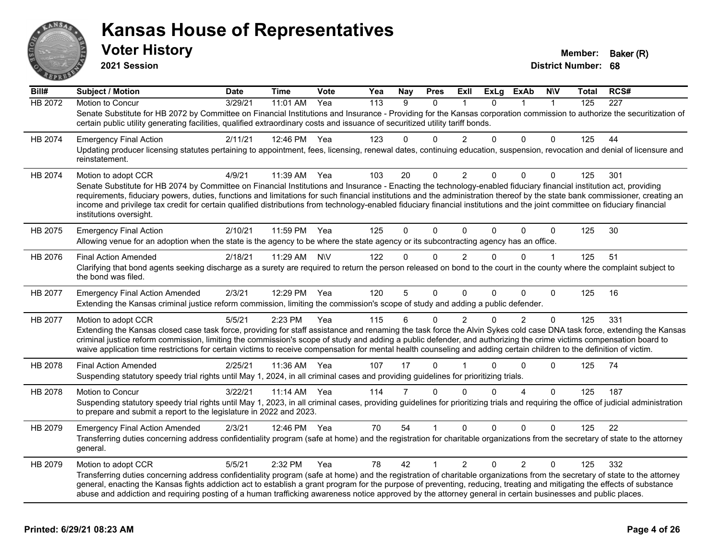

**2021 Session**

| Bill#   | <b>Subject / Motion</b>                                                                                                                                                                                                                                                                                                                                     | <b>Date</b> | <b>Time</b> | Vote      | Yea              | <b>Nay</b> | <b>Pres</b>  | ExII           | <b>ExLg</b> | ExAb           | <b>NIV</b>   | Total | RCS# |
|---------|-------------------------------------------------------------------------------------------------------------------------------------------------------------------------------------------------------------------------------------------------------------------------------------------------------------------------------------------------------------|-------------|-------------|-----------|------------------|------------|--------------|----------------|-------------|----------------|--------------|-------|------|
| HB 2072 | Motion to Concur                                                                                                                                                                                                                                                                                                                                            | 3/29/21     | 11:01 AM    | Yea       | $\overline{113}$ | 9          | 0            |                | $\Omega$    |                | $\mathbf{1}$ | 125   | 227  |
|         | Senate Substitute for HB 2072 by Committee on Financial Institutions and Insurance - Providing for the Kansas corporation commission to authorize the securitization of<br>certain public utility generating facilities, qualified extraordinary costs and issuance of securitized utility tariff bonds.                                                    |             |             |           |                  |            |              |                |             |                |              |       |      |
| HB 2074 | <b>Emergency Final Action</b>                                                                                                                                                                                                                                                                                                                               | 2/11/21     | 12:46 PM    | Yea       | 123              | 0          | $\Omega$     | $\overline{2}$ | 0           | $\Omega$       | 0            | 125   | 44   |
|         | Updating producer licensing statutes pertaining to appointment, fees, licensing, renewal dates, continuing education, suspension, revocation and denial of licensure and<br>reinstatement.                                                                                                                                                                  |             |             |           |                  |            |              |                |             |                |              |       |      |
| HB 2074 | Motion to adopt CCR                                                                                                                                                                                                                                                                                                                                         | 4/9/21      | 11:39 AM    | Yea       | 103              | 20         | 0            | $\overline{c}$ | $\Omega$    | 0              | 0            | 125   | 301  |
|         | Senate Substitute for HB 2074 by Committee on Financial Institutions and Insurance - Enacting the technology-enabled fiduciary financial institution act, providing                                                                                                                                                                                         |             |             |           |                  |            |              |                |             |                |              |       |      |
|         | requirements, fiduciary powers, duties, functions and limitations for such financial institutions and the administration thereof by the state bank commissioner, creating an<br>income and privilege tax credit for certain qualified distributions from technology-enabled fiduciary financial institutions and the joint committee on fiduciary financial |             |             |           |                  |            |              |                |             |                |              |       |      |
|         | institutions oversight.                                                                                                                                                                                                                                                                                                                                     |             |             |           |                  |            |              |                |             |                |              |       |      |
| HB 2075 | <b>Emergency Final Action</b>                                                                                                                                                                                                                                                                                                                               | 2/10/21     | 11:59 PM    | Yea       | 125              | $\Omega$   | $\Omega$     | $\Omega$       | $\Omega$    | $\Omega$       | $\mathbf 0$  | 125   | 30   |
|         | Allowing venue for an adoption when the state is the agency to be where the state agency or its subcontracting agency has an office.                                                                                                                                                                                                                        |             |             |           |                  |            |              |                |             |                |              |       |      |
| HB 2076 | <b>Final Action Amended</b>                                                                                                                                                                                                                                                                                                                                 | 2/18/21     | 11:29 AM    | <b>NV</b> | 122              | 0          | $\Omega$     | $\overline{2}$ | 0           | $\Omega$       | $\mathbf 1$  | 125   | 51   |
|         | Clarifying that bond agents seeking discharge as a surety are required to return the person released on bond to the court in the county where the complaint subject to<br>the bond was filed.                                                                                                                                                               |             |             |           |                  |            |              |                |             |                |              |       |      |
| HB 2077 | <b>Emergency Final Action Amended</b>                                                                                                                                                                                                                                                                                                                       | 2/3/21      | 12:29 PM    | Yea       | 120              | 5          | $\Omega$     | $\Omega$       | $\Omega$    | $\Omega$       | 0            | 125   | 16   |
|         | Extending the Kansas criminal justice reform commission, limiting the commission's scope of study and adding a public defender.                                                                                                                                                                                                                             |             |             |           |                  |            |              |                |             |                |              |       |      |
| HB 2077 | Motion to adopt CCR                                                                                                                                                                                                                                                                                                                                         | 5/5/21      | 2:23 PM     | Yea       | 115              | 6          | 0            | 2              | $\Omega$    | $\overline{2}$ | 0            | 125   | 331  |
|         | Extending the Kansas closed case task force, providing for staff assistance and renaming the task force the Alvin Sykes cold case DNA task force, extending the Kansas                                                                                                                                                                                      |             |             |           |                  |            |              |                |             |                |              |       |      |
|         | criminal justice reform commission, limiting the commission's scope of study and adding a public defender, and authorizing the crime victims compensation board to<br>waive application time restrictions for certain victims to receive compensation for mental health counseling and adding certain children to the definition of victim.                 |             |             |           |                  |            |              |                |             |                |              |       |      |
| HB 2078 | <b>Final Action Amended</b>                                                                                                                                                                                                                                                                                                                                 | 2/25/21     | 11:36 AM    | Yea       | 107              | 17         | $\mathbf{0}$ |                | U           | 0              | 0            | 125   | 74   |
|         | Suspending statutory speedy trial rights until May 1, 2024, in all criminal cases and providing guidelines for prioritizing trials.                                                                                                                                                                                                                         |             |             |           |                  |            |              |                |             |                |              |       |      |
| HB 2078 | <b>Motion to Concur</b>                                                                                                                                                                                                                                                                                                                                     | 3/22/21     | 11:14 AM    | Yea       | 114              | 7          | $\Omega$     | $\Omega$       | 0           | 4              | $\Omega$     | 125   | 187  |
|         | Suspending statutory speedy trial rights until May 1, 2023, in all criminal cases, providing guidelines for prioritizing trials and requiring the office of judicial administration<br>to prepare and submit a report to the legislature in 2022 and 2023.                                                                                                  |             |             |           |                  |            |              |                |             |                |              |       |      |
| HB 2079 | <b>Emergency Final Action Amended</b>                                                                                                                                                                                                                                                                                                                       | 2/3/21      | 12:46 PM    | Yea       | 70               | 54         |              | $\Omega$       | $\Omega$    | $\Omega$       | 0            | 125   | 22   |
|         | Transferring duties concerning address confidentiality program (safe at home) and the registration for charitable organizations from the secretary of state to the attorney<br>general.                                                                                                                                                                     |             |             |           |                  |            |              |                |             |                |              |       |      |
| HB 2079 | Motion to adopt CCR                                                                                                                                                                                                                                                                                                                                         | 5/5/21      | 2:32 PM     | Yea       | 78               | 42         | 1            | $\overline{2}$ | $\Omega$    | $\overline{2}$ | 0            | 125   | 332  |
|         | Transferring duties concerning address confidentiality program (safe at home) and the registration of charitable organizations from the secretary of state to the attorney                                                                                                                                                                                  |             |             |           |                  |            |              |                |             |                |              |       |      |
|         | general, enacting the Kansas fights addiction act to establish a grant program for the purpose of preventing, reducing, treating and mitigating the effects of substance<br>abuse and addiction and requiring posting of a human trafficking awareness notice approved by the attorney general in certain businesses and public places.                     |             |             |           |                  |            |              |                |             |                |              |       |      |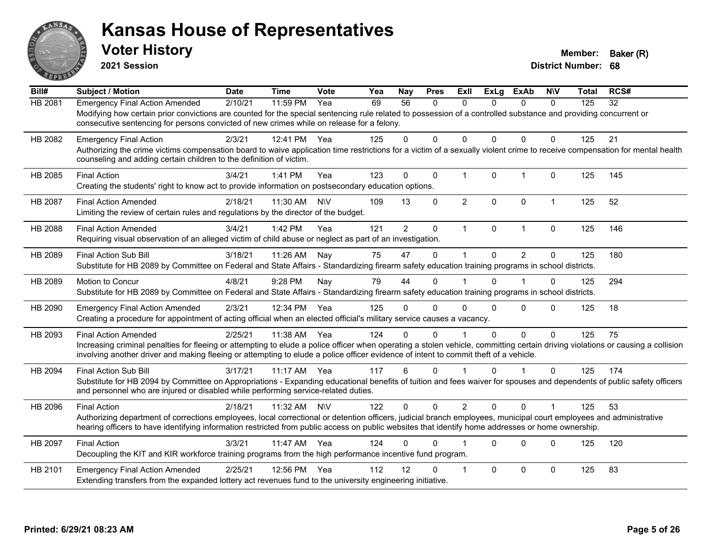

**2021 Session**

| Bill#          | <b>Subject / Motion</b>                                                                                                                                                         | <b>Date</b> | <b>Time</b> | Vote      | Yea | <b>Nay</b>      | <b>Pres</b>  | <b>ExII</b>          | <b>ExLg</b>  | <b>ExAb</b>    | <b>NIV</b>   | Total | RCS# |
|----------------|---------------------------------------------------------------------------------------------------------------------------------------------------------------------------------|-------------|-------------|-----------|-----|-----------------|--------------|----------------------|--------------|----------------|--------------|-------|------|
| HB 2081        | <b>Emergency Final Action Amended</b>                                                                                                                                           | 2/10/21     | 11:59 PM    | Yea       | 69  | $\overline{56}$ | $\mathbf{0}$ | 0                    | 0            | $\mathbf{0}$   | $\mathbf{0}$ | 125   | 32   |
|                | Modifying how certain prior convictions are counted for the special sentencing rule related to possession of a controlled substance and providing concurrent or                 |             |             |           |     |                 |              |                      |              |                |              |       |      |
|                | consecutive sentencing for persons convicted of new crimes while on release for a felony.                                                                                       |             |             |           |     |                 |              |                      |              |                |              |       |      |
| HB 2082        | <b>Emergency Final Action</b>                                                                                                                                                   | 2/3/21      | 12:41 PM    | Yea       | 125 | 0               | $\Omega$     | $\Omega$             | $\Omega$     | $\Omega$       | $\Omega$     | 125   | 21   |
|                | Authorizing the crime victims compensation board to waive application time restrictions for a victim of a sexually violent crime to receive compensation for mental health      |             |             |           |     |                 |              |                      |              |                |              |       |      |
|                | counseling and adding certain children to the definition of victim.                                                                                                             |             |             |           |     |                 |              |                      |              |                |              |       |      |
| HB 2085        | <b>Final Action</b>                                                                                                                                                             | 3/4/21      | 1:41 PM     | Yea       | 123 | $\Omega$        | $\Omega$     | $\mathbf{1}$         | $\mathbf{0}$ | $\mathbf{1}$   | $\Omega$     | 125   | 145  |
|                | Creating the students' right to know act to provide information on postsecondary education options.                                                                             |             |             |           |     |                 |              |                      |              |                |              |       |      |
| <b>HB 2087</b> | <b>Final Action Amended</b>                                                                                                                                                     | 2/18/21     | 11:30 AM    | <b>NV</b> | 109 | 13              | $\Omega$     | $\overline{2}$       | $\Omega$     | $\Omega$       | $\mathbf{1}$ | 125   | 52   |
|                | Limiting the review of certain rules and regulations by the director of the budget.                                                                                             |             |             |           |     |                 |              |                      |              |                |              |       |      |
| HB 2088        | <b>Final Action Amended</b>                                                                                                                                                     | 3/4/21      | 1:42 PM     | Yea       | 121 | $\overline{2}$  | $\mathbf 0$  | $\mathbf{1}$         | $\mathbf{0}$ | $\mathbf{1}$   | $\mathbf 0$  | 125   | 146  |
|                | Requiring visual observation of an alleged victim of child abuse or neglect as part of an investigation.                                                                        |             |             |           |     |                 |              |                      |              |                |              |       |      |
| HB 2089        | <b>Final Action Sub Bill</b>                                                                                                                                                    | 3/18/21     | 11:26 AM    | Nay       | 75  | 47              | $\Omega$     | 1                    | $\Omega$     | $\overline{2}$ | 0            | 125   | 180  |
|                | Substitute for HB 2089 by Committee on Federal and State Affairs - Standardizing firearm safety education training programs in school districts.                                |             |             |           |     |                 |              |                      |              |                |              |       |      |
| HB 2089        | Motion to Concur                                                                                                                                                                | 4/8/21      | 9:28 PM     | Nay       | 79  | 44              | $\Omega$     |                      | $\Omega$     |                | 0            | 125   | 294  |
|                | Substitute for HB 2089 by Committee on Federal and State Affairs - Standardizing firearm safety education training programs in school districts.                                |             |             |           |     |                 |              |                      |              |                |              |       |      |
|                |                                                                                                                                                                                 |             |             |           |     |                 |              |                      |              |                |              |       |      |
| HB 2090        | <b>Emergency Final Action Amended</b>                                                                                                                                           | 2/3/21      | 12:34 PM    | Yea       | 125 | 0               | $\Omega$     | $\Omega$             | $\Omega$     | $\Omega$       | $\Omega$     | 125   | 18   |
|                | Creating a procedure for appointment of acting official when an elected official's military service causes a vacancy.                                                           |             |             |           |     |                 |              |                      |              |                |              |       |      |
| HB 2093        | <b>Final Action Amended</b>                                                                                                                                                     | 2/25/21     | 11:38 AM    | Yea       | 124 | 0               | $\Omega$     |                      | $\Omega$     | $\Omega$       | $\mathbf{0}$ | 125   | 75   |
|                | Increasing criminal penalties for fleeing or attempting to elude a police officer when operating a stolen vehicle, committing certain driving violations or causing a collision |             |             |           |     |                 |              |                      |              |                |              |       |      |
|                | involving another driver and making fleeing or attempting to elude a police officer evidence of intent to commit theft of a vehicle.                                            |             |             |           |     |                 |              |                      |              |                |              |       |      |
| HB 2094        | <b>Final Action Sub Bill</b>                                                                                                                                                    | 3/17/21     | 11:17 AM    | Yea       | 117 | 6               | $\Omega$     | $\blacktriangleleft$ | $\Omega$     | 1              | $\Omega$     | 125   | 174  |
|                | Substitute for HB 2094 by Committee on Appropriations - Expanding educational benefits of tuition and fees waiver for spouses and dependents of public safety officers          |             |             |           |     |                 |              |                      |              |                |              |       |      |
|                | and personnel who are injured or disabled while performing service-related duties.                                                                                              |             |             |           |     |                 |              |                      |              |                |              |       |      |
| HB 2096        | <b>Final Action</b>                                                                                                                                                             | 2/18/21     | 11:32 AM    | <b>NV</b> | 122 | 0               | $\Omega$     | $\overline{2}$       | $\Omega$     | $\Omega$       |              | 125   | 53   |
|                | Authorizing department of corrections employees, local correctional or detention officers, judicial branch employees, municipal court employees and administrative              |             |             |           |     |                 |              |                      |              |                |              |       |      |
|                | hearing officers to have identifying information restricted from public access on public websites that identify home addresses or home ownership.                               |             |             |           |     |                 |              |                      |              |                |              |       |      |
| HB 2097        | <b>Final Action</b>                                                                                                                                                             | 3/3/21      | 11:47 AM    | Yea       | 124 | 0               | 0            |                      | $\Omega$     | $\Omega$       | $\mathbf{0}$ | 125   | 120  |
|                | Decoupling the KIT and KIR workforce training programs from the high performance incentive fund program.                                                                        |             |             |           |     |                 |              |                      |              |                |              |       |      |
| HB 2101        | <b>Emergency Final Action Amended</b>                                                                                                                                           | 2/25/21     | 12:56 PM    | Yea       | 112 | 12              | ŋ            | -1                   | $\Omega$     | $\Omega$       | $\Omega$     | 125   | 83   |
|                | Extending transfers from the expanded lottery act revenues fund to the university engineering initiative.                                                                       |             |             |           |     |                 |              |                      |              |                |              |       |      |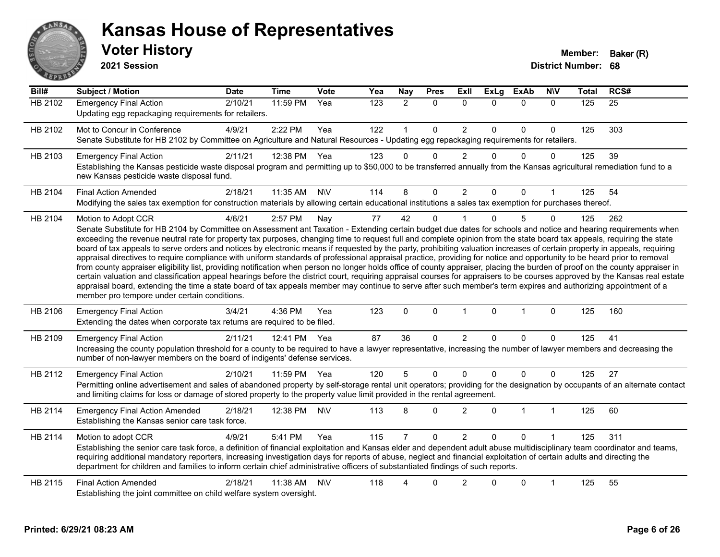

#### **Voter History Member: Baker (R) Kansas House of Representatives**

**2021 Session**

| Bill#          | <b>Subject / Motion</b>                                                                                                                                                                                                                                                                                                                                                                                                                                                                                                                                                                                                                                                                                                                                                                                                                                                                                                                                                                                                                                                                                                                                                                                                                                                                                     | <b>Date</b> | <b>Time</b>  | <b>Vote</b> | Yea | Nay            | <b>Pres</b>  | Exll           | <b>ExLg</b> | <b>ExAb</b>  | <b>NIV</b>   | <b>Total</b> | RCS# |
|----------------|-------------------------------------------------------------------------------------------------------------------------------------------------------------------------------------------------------------------------------------------------------------------------------------------------------------------------------------------------------------------------------------------------------------------------------------------------------------------------------------------------------------------------------------------------------------------------------------------------------------------------------------------------------------------------------------------------------------------------------------------------------------------------------------------------------------------------------------------------------------------------------------------------------------------------------------------------------------------------------------------------------------------------------------------------------------------------------------------------------------------------------------------------------------------------------------------------------------------------------------------------------------------------------------------------------------|-------------|--------------|-------------|-----|----------------|--------------|----------------|-------------|--------------|--------------|--------------|------|
| <b>HB 2102</b> | <b>Emergency Final Action</b><br>Updating egg repackaging requirements for retailers.                                                                                                                                                                                                                                                                                                                                                                                                                                                                                                                                                                                                                                                                                                                                                                                                                                                                                                                                                                                                                                                                                                                                                                                                                       | 2/10/21     | 11:59 PM     | Yea         | 123 | $\overline{2}$ | $\mathbf{0}$ | $\Omega$       | $\Omega$    | $\mathbf{0}$ | $\mathbf{0}$ | 125          | 25   |
| HB 2102        | Mot to Concur in Conference<br>Senate Substitute for HB 2102 by Committee on Agriculture and Natural Resources - Updating egg repackaging requirements for retailers.                                                                                                                                                                                                                                                                                                                                                                                                                                                                                                                                                                                                                                                                                                                                                                                                                                                                                                                                                                                                                                                                                                                                       | 4/9/21      | 2:22 PM      | Yea         | 122 |                | $\mathbf{0}$ | $\overline{2}$ | $\Omega$    | $\mathbf 0$  | $\Omega$     | 125          | 303  |
| HB 2103        | <b>Emergency Final Action</b><br>Establishing the Kansas pesticide waste disposal program and permitting up to \$50,000 to be transferred annually from the Kansas agricultural remediation fund to a<br>new Kansas pesticide waste disposal fund.                                                                                                                                                                                                                                                                                                                                                                                                                                                                                                                                                                                                                                                                                                                                                                                                                                                                                                                                                                                                                                                          | 2/11/21     | 12:38 PM     | Yea         | 123 | $\Omega$       | $\Omega$     | $\overline{2}$ | $\Omega$    | $\mathbf 0$  | $\Omega$     | 125          | 39   |
| HB 2104        | <b>Final Action Amended</b><br>Modifying the sales tax exemption for construction materials by allowing certain educational institutions a sales tax exemption for purchases thereof.                                                                                                                                                                                                                                                                                                                                                                                                                                                                                                                                                                                                                                                                                                                                                                                                                                                                                                                                                                                                                                                                                                                       | 2/18/21     | 11:35 AM     | <b>NV</b>   | 114 | 8              | 0            | $\overline{2}$ | 0           | 0            |              | 125          | 54   |
| HB 2104        | Motion to Adopt CCR<br>Senate Substitute for HB 2104 by Committee on Assessment ant Taxation - Extending certain budget due dates for schools and notice and hearing requirements when<br>exceeding the revenue neutral rate for property tax purposes, changing time to request full and complete opinion from the state board tax appeals, requiring the state<br>board of tax appeals to serve orders and notices by electronic means if requested by the party, prohibiting valuation increases of certain property in appeals, requiring<br>appraisal directives to require compliance with uniform standards of professional appraisal practice, providing for notice and opportunity to be heard prior to removal<br>from county appraiser eligibility list, providing notification when person no longer holds office of county appraiser, placing the burden of proof on the county appraiser in<br>certain valuation and classification appeal hearings before the district court, requiring appraisal courses for appraisers to be courses approved by the Kansas real estate<br>appraisal board, extending the time a state board of tax appeals member may continue to serve after such member's term expires and authorizing appointment of a<br>member pro tempore under certain conditions. | 4/6/21      | 2:57 PM      | Nay         | 77  | 42             | $\mathbf{0}$ |                | $\Omega$    | 5            | $\Omega$     | 125          | 262  |
| HB 2106        | <b>Emergency Final Action</b><br>Extending the dates when corporate tax returns are required to be filed.                                                                                                                                                                                                                                                                                                                                                                                                                                                                                                                                                                                                                                                                                                                                                                                                                                                                                                                                                                                                                                                                                                                                                                                                   | 3/4/21      | 4:36 PM      | Yea         | 123 | $\Omega$       | $\mathbf 0$  | $\mathbf{1}$   | $\mathbf 0$ | $\mathbf{1}$ | $\mathbf 0$  | 125          | 160  |
| HB 2109        | <b>Emergency Final Action</b><br>Increasing the county population threshold for a county to be required to have a lawyer representative, increasing the number of lawyer members and decreasing the<br>number of non-lawyer members on the board of indigents' defense services.                                                                                                                                                                                                                                                                                                                                                                                                                                                                                                                                                                                                                                                                                                                                                                                                                                                                                                                                                                                                                            | 2/11/21     | 12:41 PM Yea |             | 87  | 36             | $\Omega$     | $\overline{2}$ | $\Omega$    | $\mathbf{0}$ | $\Omega$     | 125          | 41   |
| HB 2112        | <b>Emergency Final Action</b><br>Permitting online advertisement and sales of abandoned property by self-storage rental unit operators; providing for the designation by occupants of an alternate contact<br>and limiting claims for loss or damage of stored property to the property value limit provided in the rental agreement.                                                                                                                                                                                                                                                                                                                                                                                                                                                                                                                                                                                                                                                                                                                                                                                                                                                                                                                                                                       | 2/10/21     | 11:59 PM     | Yea         | 120 | 5              | $\Omega$     | $\mathbf 0$    | $\Omega$    | $\mathbf 0$  | $\Omega$     | 125          | 27   |
| HB 2114        | <b>Emergency Final Action Amended</b><br>Establishing the Kansas senior care task force.                                                                                                                                                                                                                                                                                                                                                                                                                                                                                                                                                                                                                                                                                                                                                                                                                                                                                                                                                                                                                                                                                                                                                                                                                    | 2/18/21     | 12:38 PM     | <b>N\V</b>  | 113 | 8              | $\Omega$     | $\overline{2}$ | $\Omega$    | $\mathbf{1}$ | $\mathbf{1}$ | 125          | 60   |
| HB 2114        | Motion to adopt CCR<br>Establishing the senior care task force, a definition of financial exploitation and Kansas elder and dependent adult abuse multidisciplinary team coordinator and teams,<br>requiring additional mandatory reporters, increasing investigation days for reports of abuse, neglect and financial exploitation of certain adults and directing the<br>department for children and families to inform certain chief administrative officers of substantiated findings of such reports.                                                                                                                                                                                                                                                                                                                                                                                                                                                                                                                                                                                                                                                                                                                                                                                                  | 4/9/21      | 5:41 PM      | Yea         | 115 |                | $\Omega$     | $\overline{2}$ | $\Omega$    | $\Omega$     |              | 125          | 311  |
| HB 2115        | <b>Final Action Amended</b><br>Establishing the joint committee on child welfare system oversight.                                                                                                                                                                                                                                                                                                                                                                                                                                                                                                                                                                                                                                                                                                                                                                                                                                                                                                                                                                                                                                                                                                                                                                                                          | 2/18/21     | 11:38 AM     | <b>N\V</b>  | 118 | 4              | $\Omega$     | $\overline{2}$ | ∩           | $\mathbf 0$  | 1            | 125          | 55   |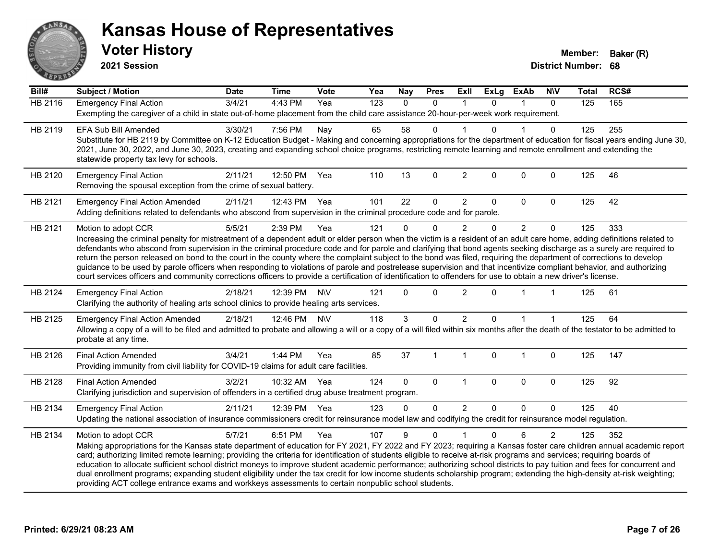

**2021 Session**

| Bill#          | Subject / Motion                                                                                                                                                                                                                                                                                                                                                                                                                                                                                                                                                                                                                                                                                                                                                                                                                                                                       | <b>Date</b> | <b>Time</b> | <b>Vote</b> | Yea | <b>Nay</b> | <b>Pres</b>  | <b>ExII</b>    | <b>ExLg</b>  | <b>ExAb</b>    | <b>NIV</b>     | <b>Total</b> | RCS# |
|----------------|----------------------------------------------------------------------------------------------------------------------------------------------------------------------------------------------------------------------------------------------------------------------------------------------------------------------------------------------------------------------------------------------------------------------------------------------------------------------------------------------------------------------------------------------------------------------------------------------------------------------------------------------------------------------------------------------------------------------------------------------------------------------------------------------------------------------------------------------------------------------------------------|-------------|-------------|-------------|-----|------------|--------------|----------------|--------------|----------------|----------------|--------------|------|
| <b>HB 2116</b> | <b>Emergency Final Action</b><br>Exempting the caregiver of a child in state out-of-home placement from the child care assistance 20-hour-per-week work requirement.                                                                                                                                                                                                                                                                                                                                                                                                                                                                                                                                                                                                                                                                                                                   | 3/4/21      | 4:43 PM     | Yea         | 123 | $\Omega$   | $\mathbf 0$  | $\mathbf 1$    | $\Omega$     | 1              | $\mathbf{0}$   | 125          | 165  |
| HB 2119        | EFA Sub Bill Amended<br>Substitute for HB 2119 by Committee on K-12 Education Budget - Making and concerning appropriations for the department of education for fiscal years ending June 30,<br>2021, June 30, 2022, and June 30, 2023, creating and expanding school choice programs, restricting remote learning and remote enrollment and extending the<br>statewide property tax levy for schools.                                                                                                                                                                                                                                                                                                                                                                                                                                                                                 | 3/30/21     | 7:56 PM     | Nay         | 65  | 58         | $\Omega$     |                |              |                | 0              | 125          | 255  |
| HB 2120        | <b>Emergency Final Action</b><br>Removing the spousal exception from the crime of sexual battery.                                                                                                                                                                                                                                                                                                                                                                                                                                                                                                                                                                                                                                                                                                                                                                                      | 2/11/21     | 12:50 PM    | Yea         | 110 | 13         | $\mathbf{0}$ | $\overline{2}$ | $\Omega$     | $\mathbf{0}$   | $\Omega$       | 125          | 46   |
| HB 2121        | <b>Emergency Final Action Amended</b><br>Adding definitions related to defendants who abscond from supervision in the criminal procedure code and for parole.                                                                                                                                                                                                                                                                                                                                                                                                                                                                                                                                                                                                                                                                                                                          | 2/11/21     | 12:43 PM    | Yea         | 101 | 22         | 0            | $\overline{2}$ | $\Omega$     | $\mathbf 0$    | $\mathbf 0$    | 125          | 42   |
| HB 2121        | Motion to adopt CCR<br>Increasing the criminal penalty for mistreatment of a dependent adult or elder person when the victim is a resident of an adult care home, adding definitions related to<br>defendants who abscond from supervision in the criminal procedure code and for parole and clarifying that bond agents seeking discharge as a surety are required to<br>return the person released on bond to the court in the county where the complaint subject to the bond was filed, requiring the department of corrections to develop<br>guidance to be used by parole officers when responding to violations of parole and postrelease supervision and that incentivize compliant behavior, and authorizing<br>court services officers and community corrections officers to provide a certification of identification to offenders for use to obtain a new driver's license. | 5/5/21      | 2:39 PM     | Yea         | 121 | $\Omega$   | $\Omega$     | $\overline{2}$ | $\Omega$     | $\overline{2}$ | $\Omega$       | 125          | 333  |
| HB 2124        | <b>Emergency Final Action</b><br>Clarifying the authority of healing arts school clinics to provide healing arts services.                                                                                                                                                                                                                                                                                                                                                                                                                                                                                                                                                                                                                                                                                                                                                             | 2/18/21     | 12:39 PM    | <b>N\V</b>  | 121 | $\Omega$   | $\Omega$     | $\overline{c}$ | $\Omega$     |                | 1              | 125          | 61   |
| HB 2125        | <b>Emergency Final Action Amended</b><br>Allowing a copy of a will to be filed and admitted to probate and allowing a will or a copy of a will filed within six months after the death of the testator to be admitted to<br>probate at any time.                                                                                                                                                                                                                                                                                                                                                                                                                                                                                                                                                                                                                                       | 2/18/21     | 12:46 PM    | <b>NIV</b>  | 118 | 3          | $\Omega$     | $\overline{2}$ | $\Omega$     |                |                | 125          | 64   |
| HB 2126        | <b>Final Action Amended</b><br>Providing immunity from civil liability for COVID-19 claims for adult care facilities.                                                                                                                                                                                                                                                                                                                                                                                                                                                                                                                                                                                                                                                                                                                                                                  | 3/4/21      | $1:44$ PM   | Yea         | 85  | 37         | 1            | $\mathbf 1$    | $\Omega$     | $\overline{1}$ | $\Omega$       | 125          | 147  |
| HB 2128        | <b>Final Action Amended</b><br>Clarifying jurisdiction and supervision of offenders in a certified drug abuse treatment program.                                                                                                                                                                                                                                                                                                                                                                                                                                                                                                                                                                                                                                                                                                                                                       | 3/2/21      | 10:32 AM    | Yea         | 124 | $\Omega$   | $\Omega$     | $\mathbf{1}$   | $\mathbf{0}$ | $\mathbf 0$    | $\Omega$       | 125          | 92   |
| HB 2134        | <b>Emergency Final Action</b><br>Updating the national association of insurance commissioners credit for reinsurance model law and codifying the credit for reinsurance model regulation.                                                                                                                                                                                                                                                                                                                                                                                                                                                                                                                                                                                                                                                                                              | 2/11/21     | 12:39 PM    | Yea         | 123 | $\Omega$   | $\Omega$     | $\overline{2}$ | $\Omega$     | $\Omega$       | $\Omega$       | 125          | 40   |
| HB 2134        | Motion to adopt CCR<br>Making appropriations for the Kansas state department of education for FY 2021, FY 2022 and FY 2023; requiring a Kansas foster care children annual academic report<br>card; authorizing limited remote learning; providing the criteria for identification of students eligible to receive at-risk programs and services; requiring boards of<br>education to allocate sufficient school district moneys to improve student academic performance; authorizing school districts to pay tuition and fees for concurrent and<br>dual enrollment programs; expanding student eligibility under the tax credit for low income students scholarship program; extending the high-density at-risk weighting;<br>providing ACT college entrance exams and workkeys assessments to certain nonpublic school students.                                                    | 5/7/21      | 6:51 PM     | Yea         | 107 | 9          | $\Omega$     | 1              | 0            | 6              | $\overline{2}$ | 125          | 352  |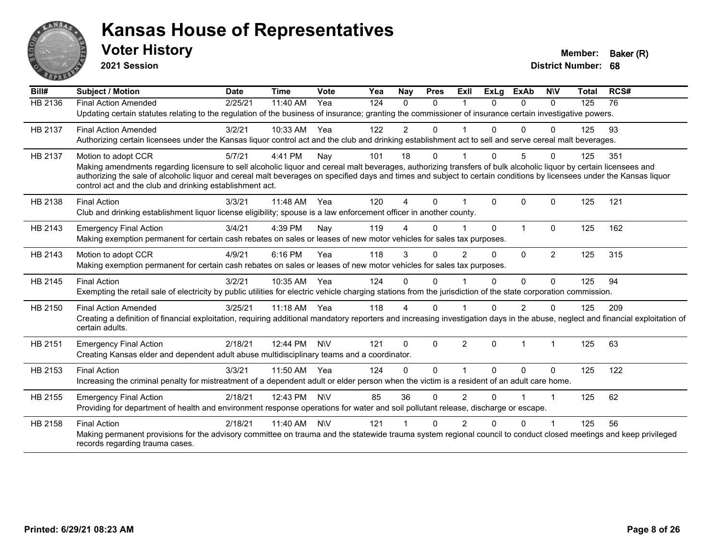

**2021 Session**

| Bill#          | Subject / Motion                                                                                                                                                                                                                  | <b>Date</b> | <b>Time</b> | <b>Vote</b> | Yea | Nay                    | <b>Pres</b>  | <b>ExII</b>    | <b>ExLg</b> | <b>ExAb</b>  | <b>NIV</b>           | <b>Total</b> | RCS# |
|----------------|-----------------------------------------------------------------------------------------------------------------------------------------------------------------------------------------------------------------------------------|-------------|-------------|-------------|-----|------------------------|--------------|----------------|-------------|--------------|----------------------|--------------|------|
| <b>HB 2136</b> | <b>Final Action Amended</b>                                                                                                                                                                                                       | 2/25/21     | 11:40 AM    | Yea         | 124 | $\Omega$               | $\Omega$     |                | $\Omega$    | $\Omega$     | $\Omega$             | 125          | 76   |
|                | Updating certain statutes relating to the regulation of the business of insurance; granting the commissioner of insurance certain investigative powers.                                                                           |             |             |             |     |                        |              |                |             |              |                      |              |      |
| HB 2137        | <b>Final Action Amended</b>                                                                                                                                                                                                       | 3/2/21      | 10:33 AM    | Yea         | 122 | $\overline{2}$         | $\Omega$     |                |             | $\Omega$     | $\Omega$             | 125          | 93   |
|                | Authorizing certain licensees under the Kansas liquor control act and the club and drinking establishment act to sell and serve cereal malt beverages.                                                                            |             |             |             |     |                        |              |                |             |              |                      |              |      |
| HB 2137        | Motion to adopt CCR                                                                                                                                                                                                               | 5/7/21      | 4:41 PM     | Nay         | 101 | 18                     | 0            |                | 0           | 5            | 0                    | 125          | 351  |
|                | Making amendments regarding licensure to sell alcoholic liquor and cereal malt beverages, authorizing transfers of bulk alcoholic liquor by certain licensees and                                                                 |             |             |             |     |                        |              |                |             |              |                      |              |      |
|                | authorizing the sale of alcoholic liquor and cereal malt beverages on specified days and times and subject to certain conditions by licensees under the Kansas liquor<br>control act and the club and drinking establishment act. |             |             |             |     |                        |              |                |             |              |                      |              |      |
|                |                                                                                                                                                                                                                                   |             | 11:48 AM    | Yea         | 120 | $\boldsymbol{\Lambda}$ | $\Omega$     |                | $\Omega$    | $\mathbf{0}$ | $\Omega$             | 125          | 121  |
| HB 2138        | <b>Final Action</b><br>Club and drinking establishment liquor license eligibility; spouse is a law enforcement officer in another county.                                                                                         | 3/3/21      |             |             |     |                        |              |                |             |              |                      |              |      |
|                |                                                                                                                                                                                                                                   |             |             |             |     |                        |              |                |             |              |                      |              |      |
| HB 2143        | <b>Emergency Final Action</b><br>Making exemption permanent for certain cash rebates on sales or leases of new motor vehicles for sales tax purposes.                                                                             | 3/4/21      | 4:39 PM     | Nay         | 119 |                        | $\Omega$     |                | $\Omega$    | $\mathbf{1}$ | $\Omega$             | 125          | 162  |
|                |                                                                                                                                                                                                                                   |             |             |             |     |                        |              |                |             |              |                      |              |      |
| HB 2143        | Motion to adopt CCR                                                                                                                                                                                                               | 4/9/21      | 6:16 PM     | Yea         | 118 | 3                      | $\mathbf{0}$ | $\overline{2}$ | 0           | $\mathbf{0}$ | $\overline{2}$       | 125          | 315  |
|                | Making exemption permanent for certain cash rebates on sales or leases of new motor vehicles for sales tax purposes.                                                                                                              |             |             |             |     |                        |              |                |             |              |                      |              |      |
| HB 2145        | <b>Final Action</b>                                                                                                                                                                                                               | 3/2/21      | 10:35 AM    | Yea         | 124 | $\Omega$               | $\Omega$     |                | $\Omega$    | $\Omega$     | $\Omega$             | 125          | 94   |
|                | Exempting the retail sale of electricity by public utilities for electric vehicle charging stations from the jurisdiction of the state corporation commission.                                                                    |             |             |             |     |                        |              |                |             |              |                      |              |      |
| HB 2150        | <b>Final Action Amended</b>                                                                                                                                                                                                       | 3/25/21     | 11:18 AM    | Yea         | 118 | 4                      | 0            |                |             | 2            | 0                    | 125          | 209  |
|                | Creating a definition of financial exploitation, requiring additional mandatory reporters and increasing investigation days in the abuse, neglect and financial exploitation of<br>certain adults.                                |             |             |             |     |                        |              |                |             |              |                      |              |      |
|                |                                                                                                                                                                                                                                   |             |             |             |     |                        |              |                |             |              |                      |              |      |
| HB 2151        | <b>Emergency Final Action</b>                                                                                                                                                                                                     | 2/18/21     | 12:44 PM    | <b>NIV</b>  | 121 | $\Omega$               | $\Omega$     | $\mathfrak{p}$ | $\Omega$    | $\mathbf{1}$ | $\blacktriangleleft$ | 125          | 63   |
|                | Creating Kansas elder and dependent adult abuse multidisciplinary teams and a coordinator.                                                                                                                                        |             |             |             |     |                        |              |                |             |              |                      |              |      |
| HB 2153        | <b>Final Action</b>                                                                                                                                                                                                               | 3/3/21      | 11:50 AM    | Yea         | 124 | $\Omega$               | 0            |                | $\Omega$    | $\Omega$     | $\Omega$             | 125          | 122  |
|                | Increasing the criminal penalty for mistreatment of a dependent adult or elder person when the victim is a resident of an adult care home.                                                                                        |             |             |             |     |                        |              |                |             |              |                      |              |      |
| HB 2155        | <b>Emergency Final Action</b>                                                                                                                                                                                                     | 2/18/21     | 12:43 PM    | <b>NIV</b>  | 85  | 36                     | 0            | $\overline{2}$ | 0           |              | 1                    | 125          | 62   |
|                | Providing for department of health and environment response operations for water and soil pollutant release, discharge or escape.                                                                                                 |             |             |             |     |                        |              |                |             |              |                      |              |      |
| HB 2158        | <b>Final Action</b>                                                                                                                                                                                                               | 2/18/21     | 11:40 AM    | <b>NIV</b>  | 121 |                        | $\Omega$     | $\mathcal{P}$  | 0           | $\Omega$     |                      | 125          | 56   |
|                | Making permanent provisions for the advisory committee on trauma and the statewide trauma system regional council to conduct closed meetings and keep privileged                                                                  |             |             |             |     |                        |              |                |             |              |                      |              |      |
|                | records regarding trauma cases.                                                                                                                                                                                                   |             |             |             |     |                        |              |                |             |              |                      |              |      |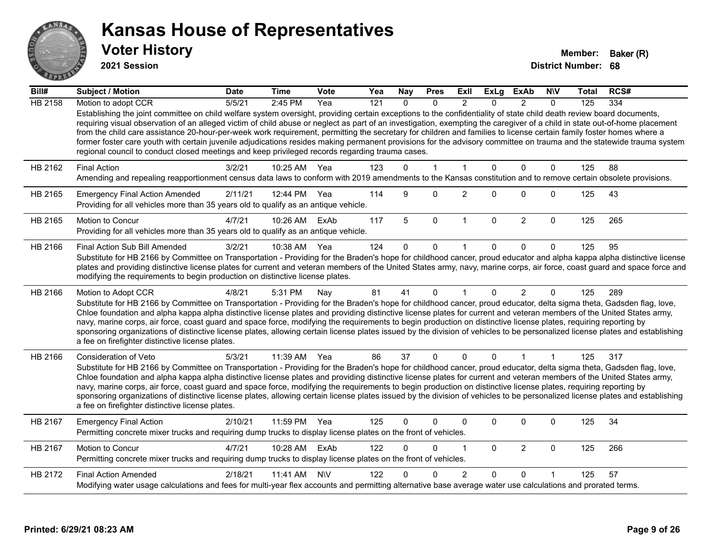

**2021 Session**

| Bill#          | Subject / Motion                                                                                                                                                                                                                                                                                                                                                                                                                                                                                                                                                                                                                                                                                                                                                                                      | <b>Date</b> | <b>Time</b>  | <b>Vote</b> | Yea | <b>Nay</b>   | <b>Pres</b>    | ExII           | <b>ExLg</b>  | <b>ExAb</b>    | <b>NIV</b>     | Total | RCS# |
|----------------|-------------------------------------------------------------------------------------------------------------------------------------------------------------------------------------------------------------------------------------------------------------------------------------------------------------------------------------------------------------------------------------------------------------------------------------------------------------------------------------------------------------------------------------------------------------------------------------------------------------------------------------------------------------------------------------------------------------------------------------------------------------------------------------------------------|-------------|--------------|-------------|-----|--------------|----------------|----------------|--------------|----------------|----------------|-------|------|
| <b>HB 2158</b> | Motion to adopt CCR                                                                                                                                                                                                                                                                                                                                                                                                                                                                                                                                                                                                                                                                                                                                                                                   | 5/5/21      | 2:45 PM      | Yea         | 121 | $\Omega$     | $\Omega$       | $\mathcal{P}$  | $\Omega$     | $\mathcal{P}$  | $\Omega$       | 125   | 334  |
|                | Establishing the joint committee on child welfare system oversight, providing certain exceptions to the confidentiality of state child death review board documents,<br>requiring visual observation of an alleged victim of child abuse or neglect as part of an investigation, exempting the caregiver of a child in state out-of-home placement<br>from the child care assistance 20-hour-per-week work requirement, permitting the secretary for children and families to license certain family foster homes where a<br>former foster care youth with certain juvenile adjudications resides making permanent provisions for the advisory committee on trauma and the statewide trauma system<br>regional council to conduct closed meetings and keep privileged records regarding trauma cases. |             |              |             |     |              |                |                |              |                |                |       |      |
| HB 2162        | <b>Final Action</b>                                                                                                                                                                                                                                                                                                                                                                                                                                                                                                                                                                                                                                                                                                                                                                                   | 3/2/21      | 10:25 AM     | Yea         | 123 | $\Omega$     | $\overline{1}$ | $\mathbf 1$    | $\mathbf{0}$ | $\Omega$       | $\mathbf 0$    | 125   | 88   |
|                | Amending and repealing reapportionment census data laws to conform with 2019 amendments to the Kansas constitution and to remove certain obsolete provisions.                                                                                                                                                                                                                                                                                                                                                                                                                                                                                                                                                                                                                                         |             |              |             |     |              |                |                |              |                |                |       |      |
| HB 2165        | <b>Emergency Final Action Amended</b><br>Providing for all vehicles more than 35 years old to qualify as an antique vehicle.                                                                                                                                                                                                                                                                                                                                                                                                                                                                                                                                                                                                                                                                          | 2/11/21     | 12:44 PM Yea |             | 114 | 9            | $\Omega$       | $\overline{2}$ | $\Omega$     | 0              | $\mathbf 0$    | 125   | 43   |
| HB 2165        | Motion to Concur<br>Providing for all vehicles more than 35 years old to qualify as an antique vehicle.                                                                                                                                                                                                                                                                                                                                                                                                                                                                                                                                                                                                                                                                                               | 4/7/21      | 10:26 AM     | ExAb        | 117 | 5            | $\mathbf 0$    | $\mathbf{1}$   | $\mathbf{0}$ | $\overline{2}$ | $\mathbf 0$    | 125   | 265  |
| HB 2166        | Final Action Sub Bill Amended                                                                                                                                                                                                                                                                                                                                                                                                                                                                                                                                                                                                                                                                                                                                                                         | 3/2/21      | 10:38 AM     | Yea         | 124 | $\Omega$     | $\Omega$       |                | 0            | $\Omega$       | $\Omega$       | 125   | 95   |
|                | Substitute for HB 2166 by Committee on Transportation - Providing for the Braden's hope for childhood cancer, proud educator and alpha kappa alpha distinctive license<br>plates and providing distinctive license plates for current and veteran members of the United States army, navy, marine corps, air force, coast guard and space force and<br>modifying the requirements to begin production on distinctive license plates.                                                                                                                                                                                                                                                                                                                                                                  |             |              |             |     |              |                |                |              |                |                |       |      |
| HB 2166        | Motion to Adopt CCR                                                                                                                                                                                                                                                                                                                                                                                                                                                                                                                                                                                                                                                                                                                                                                                   | 4/8/21      | 5:31 PM      | Nay         | 81  | 41           | $\mathbf{0}$   | $\mathbf{1}$   | $\Omega$     | $\overline{2}$ | $\Omega$       | 125   | 289  |
|                | Substitute for HB 2166 by Committee on Transportation - Providing for the Braden's hope for childhood cancer, proud educator, delta sigma theta, Gadsden flag, love,<br>Chloe foundation and alpha kappa alpha distinctive license plates and providing distinctive license plates for current and veteran members of the United States army,<br>navy, marine corps, air force, coast guard and space force, modifying the requirements to begin production on distinctive license plates, requiring reporting by<br>sponsoring organizations of distinctive license plates, allowing certain license plates issued by the division of vehicles to be personalized license plates and establishing<br>a fee on firefighter distinctive license plates.                                                |             |              |             |     |              |                |                |              |                |                |       |      |
| HB 2166        | Consideration of Veto                                                                                                                                                                                                                                                                                                                                                                                                                                                                                                                                                                                                                                                                                                                                                                                 | 5/3/21      | 11:39 AM     | Yea         | 86  | 37           | $\mathbf{0}$   | $\Omega$       | $\Omega$     | 1              | $\overline{1}$ | 125   | 317  |
|                | Substitute for HB 2166 by Committee on Transportation - Providing for the Braden's hope for childhood cancer, proud educator, delta sigma theta, Gadsden flag, love,<br>Chloe foundation and alpha kappa alpha distinctive license plates and providing distinctive license plates for current and veteran members of the United States army,<br>navy, marine corps, air force, coast guard and space force, modifying the requirements to begin production on distinctive license plates, requiring reporting by<br>sponsoring organizations of distinctive license plates, allowing certain license plates issued by the division of vehicles to be personalized license plates and establishing<br>a fee on firefighter distinctive license plates.                                                |             |              |             |     |              |                |                |              |                |                |       |      |
| HB 2167        | <b>Emergency Final Action</b><br>Permitting concrete mixer trucks and requiring dump trucks to display license plates on the front of vehicles.                                                                                                                                                                                                                                                                                                                                                                                                                                                                                                                                                                                                                                                       | 2/10/21     | 11:59 PM     | Yea         | 125 | $\mathbf{0}$ | 0              | $\Omega$       | $\Omega$     | $\Omega$       | $\mathbf 0$    | 125   | 34   |
| HB 2167        | Motion to Concur<br>Permitting concrete mixer trucks and requiring dump trucks to display license plates on the front of vehicles.                                                                                                                                                                                                                                                                                                                                                                                                                                                                                                                                                                                                                                                                    | 4/7/21      | 10:28 AM     | ExAb        | 122 | $\Omega$     | $\Omega$       | 1              | $\mathbf{0}$ | $\overline{2}$ | $\mathbf 0$    | 125   | 266  |
| HB 2172        | <b>Final Action Amended</b>                                                                                                                                                                                                                                                                                                                                                                                                                                                                                                                                                                                                                                                                                                                                                                           | 2/18/21     | 11:41 AM     | <b>NV</b>   | 122 |              | $\Omega$       | $\overline{2}$ | $\Omega$     | $\Omega$       |                | 125   | 57   |
|                | Modifying water usage calculations and fees for multi-year flex accounts and permitting alternative base average water use calculations and prorated terms.                                                                                                                                                                                                                                                                                                                                                                                                                                                                                                                                                                                                                                           |             |              |             |     |              |                |                |              |                |                |       |      |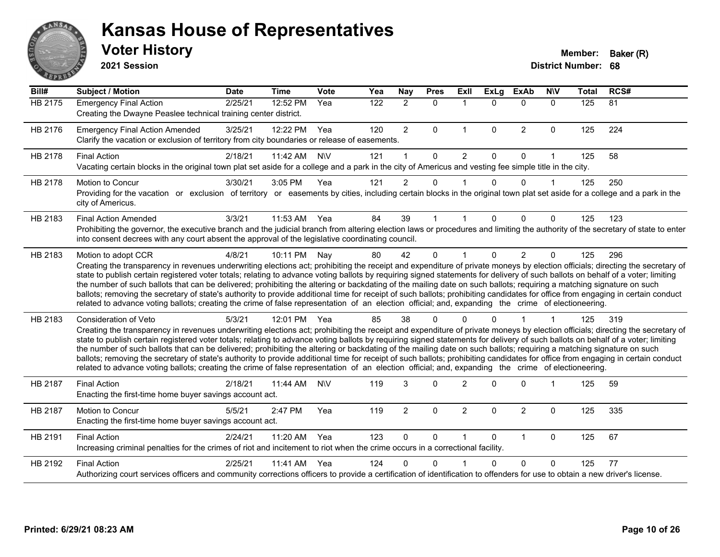

**2021 Session**

| $\overline{BiII#}$ | <b>Subject / Motion</b>                                                                                                                                                                                                                                                                                                                                                                                                                                                                                                                                                                                                                                                                                                                                                                                                                                                                                           | <b>Date</b> | <b>Time</b>  | Vote       | Yea | Nay            | <b>Pres</b>  | Exll           | <b>ExLg</b>  | <b>ExAb</b>    | <b>NIV</b>   | <b>Total</b> | RCS# |
|--------------------|-------------------------------------------------------------------------------------------------------------------------------------------------------------------------------------------------------------------------------------------------------------------------------------------------------------------------------------------------------------------------------------------------------------------------------------------------------------------------------------------------------------------------------------------------------------------------------------------------------------------------------------------------------------------------------------------------------------------------------------------------------------------------------------------------------------------------------------------------------------------------------------------------------------------|-------------|--------------|------------|-----|----------------|--------------|----------------|--------------|----------------|--------------|--------------|------|
| <b>HB 2175</b>     | <b>Emergency Final Action</b><br>Creating the Dwayne Peaslee technical training center district.                                                                                                                                                                                                                                                                                                                                                                                                                                                                                                                                                                                                                                                                                                                                                                                                                  | 2/25/21     | 12:52 PM     | Yea        | 122 | $\overline{2}$ | $\mathbf 0$  | $\mathbf{1}$   | $\Omega$     | $\mathbf{0}$   | $\mathbf{0}$ | 125          | 81   |
| HB 2176            | <b>Emergency Final Action Amended</b><br>Clarify the vacation or exclusion of territory from city boundaries or release of easements.                                                                                                                                                                                                                                                                                                                                                                                                                                                                                                                                                                                                                                                                                                                                                                             | 3/25/21     | 12:22 PM     | Yea        | 120 | $\overline{2}$ | $\Omega$     | $\mathbf{1}$   | $\mathbf{0}$ | 2              | $\Omega$     | 125          | 224  |
| HB 2178            | <b>Final Action</b><br>Vacating certain blocks in the original town plat set aside for a college and a park in the city of Americus and vesting fee simple title in the city.                                                                                                                                                                                                                                                                                                                                                                                                                                                                                                                                                                                                                                                                                                                                     | 2/18/21     | 11:42 AM     | <b>N\V</b> | 121 |                | $\Omega$     | $\overline{c}$ | 0            | $\Omega$       |              | 125          | 58   |
| HB 2178            | Motion to Concur<br>Providing for the vacation or exclusion of territory or easements by cities, including certain blocks in the original town plat set aside for a college and a park in the<br>city of Americus.                                                                                                                                                                                                                                                                                                                                                                                                                                                                                                                                                                                                                                                                                                | 3/30/21     | 3:05 PM      | Yea        | 121 | $\overline{2}$ | 0            |                | 0            | $\Omega$       |              | 125          | 250  |
| HB 2183            | <b>Final Action Amended</b><br>Prohibiting the governor, the executive branch and the judicial branch from altering election laws or procedures and limiting the authority of the secretary of state to enter<br>into consent decrees with any court absent the approval of the legislative coordinating council.                                                                                                                                                                                                                                                                                                                                                                                                                                                                                                                                                                                                 | 3/3/21      | 11:53 AM     | Yea        | 84  | 39             |              |                | $\Omega$     | 0              | $\Omega$     | 125          | 123  |
| HB 2183            | Motion to adopt CCR<br>Creating the transparency in revenues underwriting elections act; prohibiting the receipt and expenditure of private moneys by election officials; directing the secretary of<br>state to publish certain registered voter totals; relating to advance voting ballots by requiring signed statements for delivery of such ballots on behalf of a voter; limiting<br>the number of such ballots that can be delivered; prohibiting the altering or backdating of the mailing date on such ballots; requiring a matching signature on such<br>ballots; removing the secretary of state's authority to provide additional time for receipt of such ballots; prohibiting candidates for office from engaging in certain conduct<br>related to advance voting ballots; creating the crime of false representation of an election official; and, expanding the crime of electioneering.          | 4/8/21      | 10:11 PM     | Nay        | 80  | 42             | 0            |                | $\Omega$     | 2              | 0            | 125          | 296  |
| HB 2183            | <b>Consideration of Veto</b><br>Creating the transparency in revenues underwriting elections act; prohibiting the receipt and expenditure of private moneys by election officials; directing the secretary of<br>state to publish certain registered voter totals; relating to advance voting ballots by requiring signed statements for delivery of such ballots on behalf of a voter; limiting<br>the number of such ballots that can be delivered; prohibiting the altering or backdating of the mailing date on such ballots; requiring a matching signature on such<br>ballots; removing the secretary of state's authority to provide additional time for receipt of such ballots; prohibiting candidates for office from engaging in certain conduct<br>related to advance voting ballots; creating the crime of false representation of an election official; and, expanding the crime of electioneering. | 5/3/21      | 12:01 PM Yea |            | 85  | 38             | 0            |                |              |                |              | 125          | 319  |
| HB 2187            | <b>Final Action</b><br>Enacting the first-time home buyer savings account act.                                                                                                                                                                                                                                                                                                                                                                                                                                                                                                                                                                                                                                                                                                                                                                                                                                    | 2/18/21     | 11:44 AM     | <b>N\V</b> | 119 | 3              | $\mathbf{0}$ | $\overline{2}$ | U            | 0              |              | 125          | 59   |
| HB 2187            | Motion to Concur<br>Enacting the first-time home buyer savings account act.                                                                                                                                                                                                                                                                                                                                                                                                                                                                                                                                                                                                                                                                                                                                                                                                                                       | 5/5/21      | 2:47 PM      | Yea        | 119 | $\overline{2}$ | 0            | $\overline{2}$ | $\Omega$     | $\overline{2}$ | $\Omega$     | 125          | 335  |
| HB 2191            | <b>Final Action</b><br>Increasing criminal penalties for the crimes of riot and incitement to riot when the crime occurs in a correctional facility.                                                                                                                                                                                                                                                                                                                                                                                                                                                                                                                                                                                                                                                                                                                                                              | 2/24/21     | 11:20 AM     | Yea        | 123 | $\mathbf{0}$   | 0            | $\overline{1}$ | $\Omega$     | $\overline{1}$ | $\Omega$     | 125          | 67   |
| HB 2192            | <b>Final Action</b><br>Authorizing court services officers and community corrections officers to provide a certification of identification to offenders for use to obtain a new driver's license.                                                                                                                                                                                                                                                                                                                                                                                                                                                                                                                                                                                                                                                                                                                 | 2/25/21     | 11:41 AM     | Yea        | 124 | 0              | $\Omega$     |                | $\Omega$     | $\Omega$       | $\Omega$     | 125          | 77   |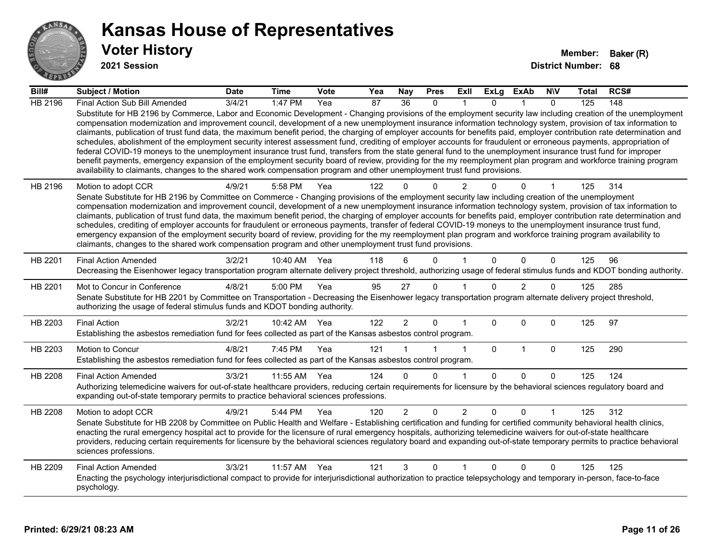

**2021 Session**

| Bill#   | Subject / Motion                                                                                                                                                                                                                                                                                                                                                                                                                                                                                                                                                                                                                                                                                                                                                                                                                                                                                                                                                                                                                                                                                                                                  | <b>Date</b> | <b>Time</b>  | Vote | Yea | <b>Nay</b>      | <b>Pres</b>  | ExII           | ExLg         | <b>ExAb</b>    | <b>NIV</b>   | <b>Total</b> | RCS# |
|---------|---------------------------------------------------------------------------------------------------------------------------------------------------------------------------------------------------------------------------------------------------------------------------------------------------------------------------------------------------------------------------------------------------------------------------------------------------------------------------------------------------------------------------------------------------------------------------------------------------------------------------------------------------------------------------------------------------------------------------------------------------------------------------------------------------------------------------------------------------------------------------------------------------------------------------------------------------------------------------------------------------------------------------------------------------------------------------------------------------------------------------------------------------|-------------|--------------|------|-----|-----------------|--------------|----------------|--------------|----------------|--------------|--------------|------|
| HB 2196 | Final Action Sub Bill Amended                                                                                                                                                                                                                                                                                                                                                                                                                                                                                                                                                                                                                                                                                                                                                                                                                                                                                                                                                                                                                                                                                                                     | 3/4/21      | 1:47 PM      | Yea  | 87  | $\overline{36}$ | $\mathbf{0}$ |                | $\Omega$     |                | $\mathbf{0}$ | 125          | 148  |
|         | Substitute for HB 2196 by Commerce, Labor and Economic Development - Changing provisions of the employment security law including creation of the unemployment<br>compensation modernization and improvement council, development of a new unemployment insurance information technology system, provision of tax information to<br>claimants, publication of trust fund data, the maximum benefit period, the charging of employer accounts for benefits paid, employer contribution rate determination and<br>schedules, abolishment of the employment security interest assessment fund, crediting of employer accounts for fraudulent or erroneous payments, appropriation of<br>federal COVID-19 moneys to the unemployment insurance trust fund, transfers from the state general fund to the unemployment insurance trust fund for improper<br>benefit payments, emergency expansion of the employment security board of review, providing for the my reemployment plan program and workforce training program<br>availability to claimants, changes to the shared work compensation program and other unemployment trust fund provisions. |             |              |      |     |                 |              |                |              |                |              |              |      |
| HB 2196 | Motion to adopt CCR                                                                                                                                                                                                                                                                                                                                                                                                                                                                                                                                                                                                                                                                                                                                                                                                                                                                                                                                                                                                                                                                                                                               | 4/9/21      | 5:58 PM      | Yea  | 122 |                 | U            | 2              |              | U              |              | 125          | 314  |
|         | Senate Substitute for HB 2196 by Committee on Commerce - Changing provisions of the employment security law including creation of the unemployment<br>compensation modernization and improvement council, development of a new unemployment insurance information technology system, provision of tax information to<br>claimants, publication of trust fund data, the maximum benefit period, the charging of employer accounts for benefits paid, employer contribution rate determination and<br>schedules, crediting of employer accounts for fraudulent or erroneous payments, transfer of federal COVID-19 moneys to the unemployment insurance trust fund,<br>emergency expansion of the employment security board of review, providing for the my reemployment plan program and workforce training program availability to<br>claimants, changes to the shared work compensation program and other unemployment trust fund provisions.                                                                                                                                                                                                    |             |              |      |     |                 |              |                |              |                |              |              |      |
| HB 2201 | <b>Final Action Amended</b><br>Decreasing the Eisenhower legacy transportation program alternate delivery project threshold, authorizing usage of federal stimulus funds and KDOT bonding authority.                                                                                                                                                                                                                                                                                                                                                                                                                                                                                                                                                                                                                                                                                                                                                                                                                                                                                                                                              | 3/2/21      | 10:40 AM     | Yea  | 118 | 6               | $\Omega$     |                | $\Omega$     | $\Omega$       | $\mathbf{0}$ | 125          | 96   |
| HB 2201 | Mot to Concur in Conference<br>Senate Substitute for HB 2201 by Committee on Transportation - Decreasing the Eisenhower legacy transportation program alternate delivery project threshold,<br>authorizing the usage of federal stimulus funds and KDOT bonding authority.                                                                                                                                                                                                                                                                                                                                                                                                                                                                                                                                                                                                                                                                                                                                                                                                                                                                        | 4/8/21      | 5:00 PM      | Yea  | 95  | 27              | $\mathbf{0}$ |                | $\Omega$     | $\overline{2}$ | $\Omega$     | 125          | 285  |
| HB 2203 | <b>Final Action</b><br>Establishing the asbestos remediation fund for fees collected as part of the Kansas asbestos control program.                                                                                                                                                                                                                                                                                                                                                                                                                                                                                                                                                                                                                                                                                                                                                                                                                                                                                                                                                                                                              | 3/2/21      | 10:42 AM Yea |      | 122 | $\overline{2}$  | 0            |                | $\Omega$     | $\Omega$       | $\mathbf{0}$ | 125          | 97   |
| HB 2203 | Motion to Concur                                                                                                                                                                                                                                                                                                                                                                                                                                                                                                                                                                                                                                                                                                                                                                                                                                                                                                                                                                                                                                                                                                                                  | 4/8/21      | 7:45 PM      | Yea  | 121 |                 |              | $\mathbf{1}$   | $\mathbf{0}$ | $\mathbf 1$    | $\mathbf 0$  | 125          | 290  |
|         | Establishing the asbestos remediation fund for fees collected as part of the Kansas asbestos control program.                                                                                                                                                                                                                                                                                                                                                                                                                                                                                                                                                                                                                                                                                                                                                                                                                                                                                                                                                                                                                                     |             |              |      |     |                 |              |                |              |                |              |              |      |
| HB 2208 | <b>Final Action Amended</b>                                                                                                                                                                                                                                                                                                                                                                                                                                                                                                                                                                                                                                                                                                                                                                                                                                                                                                                                                                                                                                                                                                                       | 3/3/21      | 11:55 AM     | Yea  | 124 | $\Omega$        | $\Omega$     |                | $\mathbf{0}$ | $\Omega$       | $\mathbf{0}$ | 125          | 124  |
|         | Authorizing telemedicine waivers for out-of-state healthcare providers, reducing certain requirements for licensure by the behavioral sciences regulatory board and<br>expanding out-of-state temporary permits to practice behavioral sciences professions.                                                                                                                                                                                                                                                                                                                                                                                                                                                                                                                                                                                                                                                                                                                                                                                                                                                                                      |             |              |      |     |                 |              |                |              |                |              |              |      |
| HB 2208 | Motion to adopt CCR<br>Senate Substitute for HB 2208 by Committee on Public Health and Welfare - Establishing certification and funding for certified community behavioral health clinics,<br>enacting the rural emergency hospital act to provide for the licensure of rural emergency hospitals, authorizing telemedicine waivers for out-of-state healthcare<br>providers, reducing certain requirements for licensure by the behavioral sciences regulatory board and expanding out-of-state temporary permits to practice behavioral<br>sciences professions.                                                                                                                                                                                                                                                                                                                                                                                                                                                                                                                                                                                | 4/9/21      | 5:44 PM      | Yea  | 120 | $\overline{2}$  | $\mathbf 0$  | $\overline{2}$ | $\Omega$     | $\Omega$       |              | 125          | 312  |
| HB 2209 | <b>Final Action Amended</b><br>Enacting the psychology interjurisdictional compact to provide for interjurisdictional authorization to practice telepsychology and temporary in-person, face-to-face<br>psychology.                                                                                                                                                                                                                                                                                                                                                                                                                                                                                                                                                                                                                                                                                                                                                                                                                                                                                                                               | 3/3/21      | 11:57 AM     | Yea  | 121 | 3               | $\Omega$     | 1              | $\Omega$     | $\Omega$       | $\mathbf{0}$ | 125          | 125  |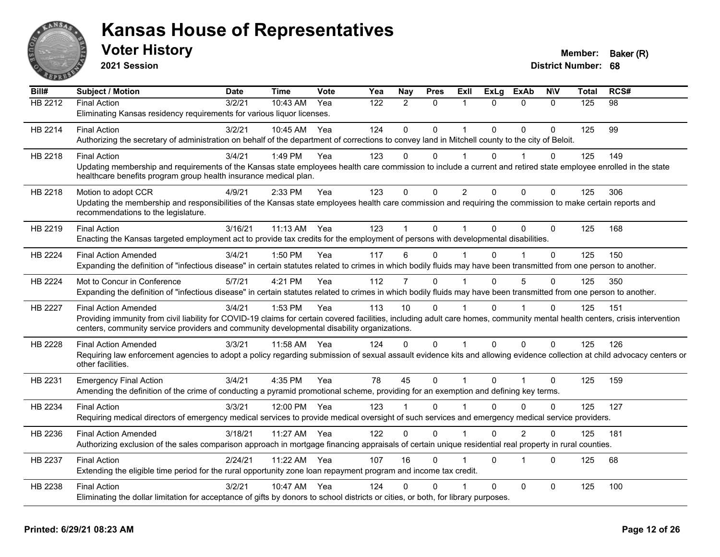

**2021 Session**

| Bill#          | <b>Subject / Motion</b>                                                                                                                                                      | <b>Date</b> | <b>Time</b> | <b>Vote</b> | Yea | Nay          | <b>Pres</b> | ExII           | <b>ExLg</b>  | <b>ExAb</b>    | <b>NIV</b>   | <b>Total</b> | RCS# |
|----------------|------------------------------------------------------------------------------------------------------------------------------------------------------------------------------|-------------|-------------|-------------|-----|--------------|-------------|----------------|--------------|----------------|--------------|--------------|------|
| HB 2212        | Final Action                                                                                                                                                                 | 3/2/21      | 10:43 AM    | Yea         | 122 | 2            | $\Omega$    | 1              | $\Omega$     | $\mathbf{0}$   | $\Omega$     | 125          | 98   |
|                | Eliminating Kansas residency requirements for various liquor licenses.                                                                                                       |             |             |             |     |              |             |                |              |                |              |              |      |
| HB 2214        | <b>Final Action</b>                                                                                                                                                          | 3/2/21      | 10:45 AM    | Yea         | 124 | $\mathbf{0}$ | 0           | 1              | $\Omega$     | $\mathbf{0}$   | $\Omega$     | 125          | 99   |
|                | Authorizing the secretary of administration on behalf of the department of corrections to convey land in Mitchell county to the city of Beloit.                              |             |             |             |     |              |             |                |              |                |              |              |      |
| HB 2218        | <b>Final Action</b>                                                                                                                                                          | 3/4/21      | 1:49 PM     | Yea         | 123 | $\Omega$     | $\Omega$    | 1              | 0            | 1              | 0            | 125          | 149  |
|                | Updating membership and requirements of the Kansas state employees health care commission to include a current and retired state employee enrolled in the state              |             |             |             |     |              |             |                |              |                |              |              |      |
|                | healthcare benefits program group health insurance medical plan.                                                                                                             |             |             |             |     |              |             |                |              |                |              |              |      |
| HB 2218        | Motion to adopt CCR                                                                                                                                                          | 4/9/21      | 2:33 PM     | Yea         | 123 | $\Omega$     | 0           | $\overline{2}$ | $\Omega$     | $\Omega$       | $\mathbf{0}$ | 125          | 306  |
|                | Updating the membership and responsibilities of the Kansas state employees health care commission and requiring the commission to make certain reports and                   |             |             |             |     |              |             |                |              |                |              |              |      |
|                | recommendations to the legislature.                                                                                                                                          |             |             |             |     |              |             |                |              |                |              |              |      |
| HB 2219        | <b>Final Action</b>                                                                                                                                                          | 3/16/21     | $11:13$ AM  | Yea         | 123 |              | $\Omega$    | 1              | $\Omega$     | $\Omega$       | $\Omega$     | 125          | 168  |
|                | Enacting the Kansas targeted employment act to provide tax credits for the employment of persons with developmental disabilities.                                            |             |             |             |     |              |             |                |              |                |              |              |      |
| HB 2224        | <b>Final Action Amended</b>                                                                                                                                                  | 3/4/21      | 1:50 PM     | Yea         | 117 | 6            | 0           |                | $\Omega$     |                | $\Omega$     | 125          | 150  |
|                | Expanding the definition of "infectious disease" in certain statutes related to crimes in which bodily fluids may have been transmitted from one person to another.          |             |             |             |     |              |             |                |              |                |              |              |      |
| HB 2224        | Mot to Concur in Conference                                                                                                                                                  | 5/7/21      | 4:21 PM     | Yea         | 112 | 7            | $\Omega$    |                | $\Omega$     | 5              | $\Omega$     | 125          | 350  |
|                | Expanding the definition of "infectious disease" in certain statutes related to crimes in which bodily fluids may have been transmitted from one person to another.          |             |             |             |     |              |             |                |              |                |              |              |      |
| <b>HB 2227</b> | <b>Final Action Amended</b>                                                                                                                                                  | 3/4/21      | 1:53 PM     | Yea         | 113 | 10           | $\Omega$    |                | $\Omega$     | 1              | $\mathbf{0}$ | 125          | 151  |
|                | Providing immunity from civil liability for COVID-19 claims for certain covered facilities, including adult care homes, community mental health centers, crisis intervention |             |             |             |     |              |             |                |              |                |              |              |      |
|                | centers, community service providers and community developmental disability organizations.                                                                                   |             |             |             |     |              |             |                |              |                |              |              |      |
| HB 2228        | <b>Final Action Amended</b>                                                                                                                                                  | 3/3/21      | 11:58 AM    | Yea         | 124 | 0            | 0           | 1              | 0            | $\mathbf 0$    | 0            | 125          | 126  |
|                | Requiring law enforcement agencies to adopt a policy regarding submission of sexual assault evidence kits and allowing evidence collection at child advocacy centers or      |             |             |             |     |              |             |                |              |                |              |              |      |
|                | other facilities.                                                                                                                                                            |             |             |             |     |              |             |                |              |                |              |              |      |
| HB 2231        | <b>Emergency Final Action</b>                                                                                                                                                | 3/4/21      | 4:35 PM     | Yea         | 78  | 45           | $\mathbf 0$ | $\mathbf{1}$   | $\mathbf{0}$ | $\overline{1}$ | $\mathbf 0$  | 125          | 159  |
|                | Amending the definition of the crime of conducting a pyramid promotional scheme, providing for an exemption and defining key terms.                                          |             |             |             |     |              |             |                |              |                |              |              |      |
| HB 2234        | <b>Final Action</b>                                                                                                                                                          | 3/3/21      | 12:00 PM    | Yea         | 123 |              | 0           |                | 0            | $\Omega$       | $\Omega$     | 125          | 127  |
|                | Requiring medical directors of emergency medical services to provide medical oversight of such services and emergency medical service providers.                             |             |             |             |     |              |             |                |              |                |              |              |      |
| HB 2236        | <b>Final Action Amended</b>                                                                                                                                                  | 3/18/21     | 11:27 AM    | Yea         | 122 | $\Omega$     | $\Omega$    | 1              | $\Omega$     | $\overline{2}$ | $\Omega$     | 125          | 181  |
|                | Authorizing exclusion of the sales comparison approach in mortgage financing appraisals of certain unique residential real property in rural counties.                       |             |             |             |     |              |             |                |              |                |              |              |      |
|                |                                                                                                                                                                              | 2/24/21     |             | Yea         | 107 | 16           | $\Omega$    |                | $\mathbf{0}$ | $\overline{1}$ | $\Omega$     | 125          | 68   |
| HB 2237        | <b>Final Action</b><br>Extending the eligible time period for the rural opportunity zone loan repayment program and income tax credit.                                       |             | 11:22 AM    |             |     |              |             |                |              |                |              |              |      |
|                |                                                                                                                                                                              |             |             |             |     |              |             |                |              |                |              |              |      |
| HB 2238        | <b>Final Action</b>                                                                                                                                                          | 3/2/21      | 10:47 AM    | Yea         | 124 | 0            | 0           |                | $\Omega$     | $\mathbf{0}$   | 0            | 125          | 100  |
|                | Eliminating the dollar limitation for acceptance of gifts by donors to school districts or cities, or both, for library purposes.                                            |             |             |             |     |              |             |                |              |                |              |              |      |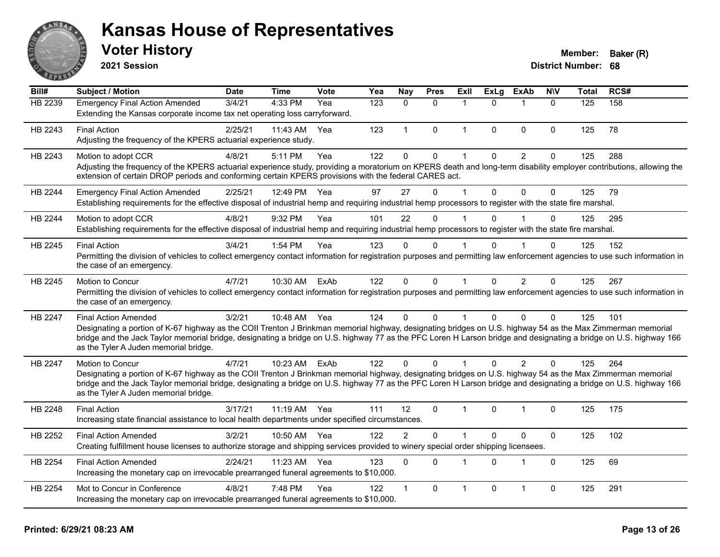

**2021 Session**

#### **Voter History Member: Baker (R)**

| Bill#          | <b>Subject / Motion</b>                                                                                                                                                                                                                                                                                                                                                   | <b>Date</b> | <b>Time</b>  | Vote | Yea | Nay            | <b>Pres</b>  | <b>Exll</b>  | <b>ExLg</b>  | <b>ExAb</b>             | <b>NIV</b>   | <b>Total</b> | RCS# |
|----------------|---------------------------------------------------------------------------------------------------------------------------------------------------------------------------------------------------------------------------------------------------------------------------------------------------------------------------------------------------------------------------|-------------|--------------|------|-----|----------------|--------------|--------------|--------------|-------------------------|--------------|--------------|------|
| HB 2239        | <b>Emergency Final Action Amended</b>                                                                                                                                                                                                                                                                                                                                     | 3/4/21      | 4:33 PM      | Yea  | 123 | $\Omega$       | $\Omega$     | 1            | $\Omega$     | $\mathbf 1$             | $\Omega$     | 125          | 158  |
|                | Extending the Kansas corporate income tax net operating loss carryforward.                                                                                                                                                                                                                                                                                                |             |              |      |     |                |              |              |              |                         |              |              |      |
| HB 2243        | <b>Final Action</b>                                                                                                                                                                                                                                                                                                                                                       | 2/25/21     | 11:43 AM     | Yea  | 123 | $\mathbf{1}$   | $\mathbf{0}$ | $\mathbf{1}$ | $\Omega$     | $\mathbf{0}$            | $\mathbf{0}$ | 125          | 78   |
|                | Adjusting the frequency of the KPERS actuarial experience study.                                                                                                                                                                                                                                                                                                          |             |              |      |     |                |              |              |              |                         |              |              |      |
| HB 2243        | Motion to adopt CCR                                                                                                                                                                                                                                                                                                                                                       | 4/8/21      | 5:11 PM      | Yea  | 122 | $\mathbf{0}$   | $\pmb{0}$    | 1            | $\mathbf{0}$ | $\overline{2}$          | $\Omega$     | 125          | 288  |
|                | Adjusting the frequency of the KPERS actuarial experience study, providing a moratorium on KPERS death and long-term disability employer contributions, allowing the<br>extension of certain DROP periods and conforming certain KPERS provisions with the federal CARES act.                                                                                             |             |              |      |     |                |              |              |              |                         |              |              |      |
| HB 2244        | <b>Emergency Final Action Amended</b>                                                                                                                                                                                                                                                                                                                                     | 2/25/21     | 12:49 PM     | Yea  | 97  | 27             | $\mathbf{0}$ | 1            | $\Omega$     | $\mathbf{0}$            | $\mathbf{0}$ | 125          | 79   |
|                | Establishing requirements for the effective disposal of industrial hemp and requiring industrial hemp processors to register with the state fire marshal.                                                                                                                                                                                                                 |             |              |      |     |                |              |              |              |                         |              |              |      |
| <b>HB 2244</b> | Motion to adopt CCR                                                                                                                                                                                                                                                                                                                                                       | 4/8/21      | 9:32 PM      | Yea  | 101 | 22             | $\Omega$     |              | $\Omega$     |                         | $\Omega$     | 125          | 295  |
|                | Establishing requirements for the effective disposal of industrial hemp and requiring industrial hemp processors to register with the state fire marshal.                                                                                                                                                                                                                 |             |              |      |     |                |              |              |              |                         |              |              |      |
| HB 2245        | <b>Final Action</b>                                                                                                                                                                                                                                                                                                                                                       | 3/4/21      | 1:54 PM      | Yea  | 123 | $\Omega$       | $\Omega$     |              |              |                         | $\Omega$     | 125          | 152  |
|                | Permitting the division of vehicles to collect emergency contact information for registration purposes and permitting law enforcement agencies to use such information in<br>the case of an emergency.                                                                                                                                                                    |             |              |      |     |                |              |              |              |                         |              |              |      |
| HB 2245        | Motion to Concur                                                                                                                                                                                                                                                                                                                                                          | 4/7/21      | 10:30 AM     | ExAb | 122 | $\mathbf{0}$   | $\mathbf{0}$ | $\mathbf{1}$ | $\Omega$     | 2                       | $\Omega$     | 125          | 267  |
|                | Permitting the division of vehicles to collect emergency contact information for registration purposes and permitting law enforcement agencies to use such information in<br>the case of an emergency.                                                                                                                                                                    |             |              |      |     |                |              |              |              |                         |              |              |      |
| HB 2247        | <b>Final Action Amended</b>                                                                                                                                                                                                                                                                                                                                               | 3/2/21      | 10:48 AM Yea |      | 124 | $\Omega$       | $\mathbf{0}$ |              | $\Omega$     | $\mathbf{0}$            | $\Omega$     | 125          | 101  |
|                | Designating a portion of K-67 highway as the COII Trenton J Brinkman memorial highway, designating bridges on U.S. highway 54 as the Max Zimmerman memorial<br>bridge and the Jack Taylor memorial bridge, designating a bridge on U.S. highway 77 as the PFC Loren H Larson bridge and designating a bridge on U.S. highway 166<br>as the Tyler A Juden memorial bridge. |             |              |      |     |                |              |              |              |                         |              |              |      |
| <b>HB 2247</b> | Motion to Concur                                                                                                                                                                                                                                                                                                                                                          | 4/7/21      | 10:23 AM     | ExAb | 122 | $\Omega$       | $\Omega$     |              | $\Omega$     | 2                       | 0            | 125          | 264  |
|                | Designating a portion of K-67 highway as the COII Trenton J Brinkman memorial highway, designating bridges on U.S. highway 54 as the Max Zimmerman memorial                                                                                                                                                                                                               |             |              |      |     |                |              |              |              |                         |              |              |      |
|                | bridge and the Jack Taylor memorial bridge, designating a bridge on U.S. highway 77 as the PFC Loren H Larson bridge and designating a bridge on U.S. highway 166<br>as the Tyler A Juden memorial bridge.                                                                                                                                                                |             |              |      |     |                |              |              |              |                         |              |              |      |
| HB 2248        | <b>Final Action</b>                                                                                                                                                                                                                                                                                                                                                       | 3/17/21     | 11:19 AM Yea |      | 111 | 12             | $\mathbf{0}$ | 1            | $\Omega$     | $\overline{\mathbf{1}}$ | $\Omega$     | 125          | 175  |
|                | Increasing state financial assistance to local health departments under specified circumstances.                                                                                                                                                                                                                                                                          |             |              |      |     |                |              |              |              |                         |              |              |      |
| HB 2252        | <b>Final Action Amended</b>                                                                                                                                                                                                                                                                                                                                               | 3/2/21      | 10:50 AM     | Yea  | 122 | $\overline{2}$ | $\mathbf 0$  | 1            | $\Omega$     | $\pmb{0}$               | $\pmb{0}$    | 125          | 102  |
|                | Creating fulfillment house licenses to authorize storage and shipping services provided to winery special order shipping licensees.                                                                                                                                                                                                                                       |             |              |      |     |                |              |              |              |                         |              |              |      |
| HB 2254        | <b>Final Action Amended</b>                                                                                                                                                                                                                                                                                                                                               | 2/24/21     | 11:23 AM     | Yea  | 123 | $\Omega$       | $\Omega$     | 1            | $\Omega$     | $\mathbf 1$             | $\mathbf{0}$ | 125          | 69   |
|                | Increasing the monetary cap on irrevocable prearranged funeral agreements to \$10,000.                                                                                                                                                                                                                                                                                    |             |              |      |     |                |              |              |              |                         |              |              |      |
| HB 2254        | Mot to Concur in Conference                                                                                                                                                                                                                                                                                                                                               | 4/8/21      | 7:48 PM      | Yea  | 122 |                | $\mathbf{0}$ | 1            | $\Omega$     | $\overline{1}$          | 0            | 125          | 291  |
|                | Increasing the monetary cap on irrevocable prearranged funeral agreements to \$10,000.                                                                                                                                                                                                                                                                                    |             |              |      |     |                |              |              |              |                         |              |              |      |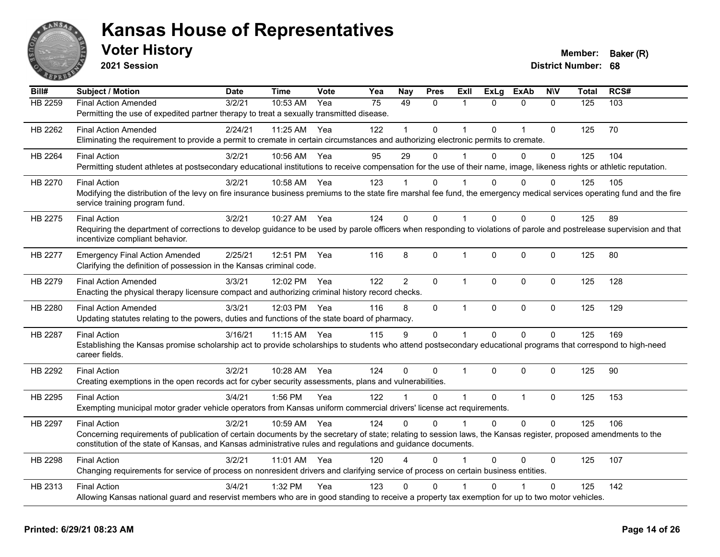

**2021 Session**

| Bill#          | <b>Subject / Motion</b>                                                                                                                                                                                                                                                          | <b>Date</b> | <b>Time</b> | <b>Vote</b> | Yea             | <b>Nay</b>     | <b>Pres</b>  | Exll           | <b>ExLg</b>  | <b>ExAb</b>    | <b>NIV</b>   | Total | RCS# |
|----------------|----------------------------------------------------------------------------------------------------------------------------------------------------------------------------------------------------------------------------------------------------------------------------------|-------------|-------------|-------------|-----------------|----------------|--------------|----------------|--------------|----------------|--------------|-------|------|
| <b>HB 2259</b> | <b>Final Action Amended</b>                                                                                                                                                                                                                                                      | 3/2/21      | 10:53 AM    | Yea         | $\overline{75}$ | 49             | $\mathbf{0}$ | 1              | $\Omega$     | $\mathbf{0}$   | $\mathbf{0}$ | 125   | 103  |
|                | Permitting the use of expedited partner therapy to treat a sexually transmitted disease.                                                                                                                                                                                         |             |             |             |                 |                |              |                |              |                |              |       |      |
| HB 2262        | <b>Final Action Amended</b>                                                                                                                                                                                                                                                      | 2/24/21     | 11:25 AM    | Yea         | 122             |                | $\Omega$     | $\overline{1}$ | $\Omega$     | $\overline{1}$ | $\Omega$     | 125   | 70   |
|                | Eliminating the requirement to provide a permit to cremate in certain circumstances and authorizing electronic permits to cremate.                                                                                                                                               |             |             |             |                 |                |              |                |              |                |              |       |      |
| HB 2264        | <b>Final Action</b>                                                                                                                                                                                                                                                              | 3/2/21      | 10:56 AM    | Yea         | 95              | 29             | 0            |                | $\Omega$     | $\mathbf{0}$   | $\mathbf 0$  | 125   | 104  |
|                | Permitting student athletes at postsecondary educational institutions to receive compensation for the use of their name, image, likeness rights or athletic reputation.                                                                                                          |             |             |             |                 |                |              |                |              |                |              |       |      |
| HB 2270        | <b>Final Action</b>                                                                                                                                                                                                                                                              | 3/2/21      | 10:58 AM    | Yea         | 123             |                | 0            |                | 0            | 0              | $\Omega$     | 125   | 105  |
|                | Modifying the distribution of the levy on fire insurance business premiums to the state fire marshal fee fund, the emergency medical services operating fund and the fire                                                                                                        |             |             |             |                 |                |              |                |              |                |              |       |      |
|                | service training program fund.                                                                                                                                                                                                                                                   |             |             |             |                 |                |              |                |              |                |              |       |      |
| HB 2275        | <b>Final Action</b>                                                                                                                                                                                                                                                              | 3/2/21      | 10:27 AM    | Yea         | 124             | $\Omega$       | $\Omega$     | $\overline{1}$ | $\Omega$     | $\Omega$       | $\Omega$     | 125   | 89   |
|                | Requiring the department of corrections to develop guidance to be used by parole officers when responding to violations of parole and postrelease supervision and that                                                                                                           |             |             |             |                 |                |              |                |              |                |              |       |      |
|                | incentivize compliant behavior.                                                                                                                                                                                                                                                  |             |             |             |                 |                |              |                |              |                |              |       |      |
| HB 2277        | <b>Emergency Final Action Amended</b>                                                                                                                                                                                                                                            | 2/25/21     | 12:51 PM    | Yea         | 116             | 8              | 0            | -1             | $\mathbf 0$  | $\Omega$       | $\mathbf 0$  | 125   | 80   |
|                | Clarifying the definition of possession in the Kansas criminal code.                                                                                                                                                                                                             |             |             |             |                 |                |              |                |              |                |              |       |      |
| HB 2279        | <b>Final Action Amended</b>                                                                                                                                                                                                                                                      | 3/3/21      | 12:02 PM    | Yea         | 122             | $\overline{2}$ | $\mathbf{0}$ | $\mathbf{1}$   | $\Omega$     | $\mathbf{0}$   | $\Omega$     | 125   | 128  |
|                | Enacting the physical therapy licensure compact and authorizing criminal history record checks.                                                                                                                                                                                  |             |             |             |                 |                |              |                |              |                |              |       |      |
| HB 2280        | <b>Final Action Amended</b>                                                                                                                                                                                                                                                      | 3/3/21      | 12:03 PM    | Yea         | 116             | 8              | 0            | $\overline{1}$ | $\mathbf 0$  | $\mathbf 0$    | $\mathbf 0$  | 125   | 129  |
|                | Updating statutes relating to the powers, duties and functions of the state board of pharmacy.                                                                                                                                                                                   |             |             |             |                 |                |              |                |              |                |              |       |      |
| HB 2287        | <b>Final Action</b>                                                                                                                                                                                                                                                              | 3/16/21     | 11:15 AM    | Yea         | 115             | 9              | 0            | $\mathbf{1}$   | $\mathbf 0$  | $\mathbf 0$    | $\mathbf 0$  | 125   | 169  |
|                | Establishing the Kansas promise scholarship act to provide scholarships to students who attend postsecondary educational programs that correspond to high-need                                                                                                                   |             |             |             |                 |                |              |                |              |                |              |       |      |
|                | career fields.                                                                                                                                                                                                                                                                   |             |             |             |                 |                |              |                |              |                |              |       |      |
| HB 2292        | <b>Final Action</b>                                                                                                                                                                                                                                                              | 3/2/21      | 10:28 AM    | Yea         | 124             | $\Omega$       | 0            | $\overline{1}$ | $\Omega$     | $\mathbf 0$    | $\mathbf{0}$ | 125   | 90   |
|                | Creating exemptions in the open records act for cyber security assessments, plans and vulnerabilities.                                                                                                                                                                           |             |             |             |                 |                |              |                |              |                |              |       |      |
| HB 2295        | <b>Final Action</b>                                                                                                                                                                                                                                                              | 3/4/21      | 1:56 PM     | Yea         | 122             |                | $\Omega$     | $\overline{1}$ | $\mathbf{0}$ | $\overline{1}$ | $\mathbf 0$  | 125   | 153  |
|                | Exempting municipal motor grader vehicle operators from Kansas uniform commercial drivers' license act requirements.                                                                                                                                                             |             |             |             |                 |                |              |                |              |                |              |       |      |
|                |                                                                                                                                                                                                                                                                                  |             |             |             |                 |                |              |                |              |                |              |       |      |
| HB 2297        | <b>Final Action</b>                                                                                                                                                                                                                                                              | 3/2/21      | 10:59 AM    | Yea         | 124             | $\Omega$       | $\Omega$     | 1              | $\Omega$     | $\Omega$       | $\Omega$     | 125   | 106  |
|                | Concerning requirements of publication of certain documents by the secretary of state; relating to session laws, the Kansas register, proposed amendments to the<br>constitution of the state of Kansas, and Kansas administrative rules and regulations and guidance documents. |             |             |             |                 |                |              |                |              |                |              |       |      |
|                |                                                                                                                                                                                                                                                                                  |             |             |             |                 |                |              |                |              |                |              |       |      |
| <b>HB 2298</b> | <b>Final Action</b>                                                                                                                                                                                                                                                              | 3/2/21      | $11:01$ AM  | Yea         | 120             |                | $\Omega$     |                | $\Omega$     | $\Omega$       | $\Omega$     | 125   | 107  |
|                | Changing requirements for service of process on nonresident drivers and clarifying service of process on certain business entities.                                                                                                                                              |             |             |             |                 |                |              |                |              |                |              |       |      |
| HB 2313        | <b>Final Action</b>                                                                                                                                                                                                                                                              | 3/4/21      | 1:32 PM     | Yea         | 123             | 0              | $\mathbf{0}$ |                | 0            |                | $\mathbf{0}$ | 125   | 142  |
|                | Allowing Kansas national guard and reservist members who are in good standing to receive a property tax exemption for up to two motor vehicles.                                                                                                                                  |             |             |             |                 |                |              |                |              |                |              |       |      |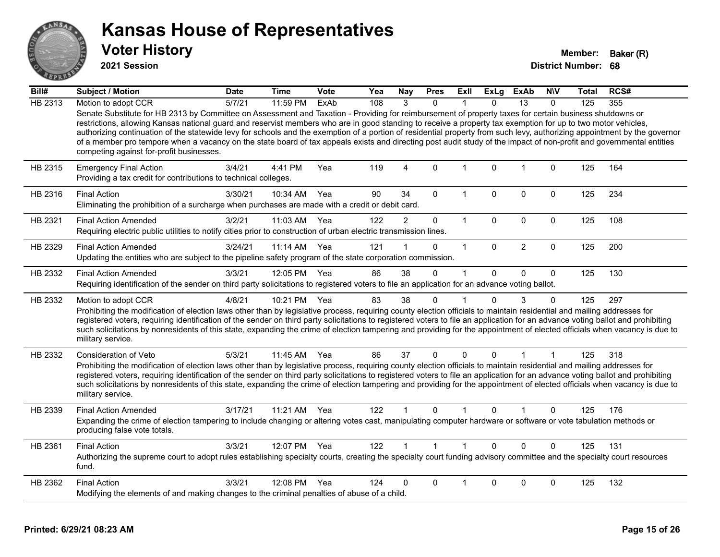

**2021 Session**

| Bill#          | <b>Subject / Motion</b>                                                                                                                                                                                                                                                                                                                                                                                                                                                                                                                                                                                                                                                                                                   | <b>Date</b> | <b>Time</b>  | <b>Vote</b> | Yea | Nay            | <b>Pres</b>  | Exll         | <b>ExLg</b>  | <b>ExAb</b>    | <b>NIV</b>   | Total | RCS# |
|----------------|---------------------------------------------------------------------------------------------------------------------------------------------------------------------------------------------------------------------------------------------------------------------------------------------------------------------------------------------------------------------------------------------------------------------------------------------------------------------------------------------------------------------------------------------------------------------------------------------------------------------------------------------------------------------------------------------------------------------------|-------------|--------------|-------------|-----|----------------|--------------|--------------|--------------|----------------|--------------|-------|------|
| <b>HB 2313</b> | Motion to adopt CCR                                                                                                                                                                                                                                                                                                                                                                                                                                                                                                                                                                                                                                                                                                       | 5/7/21      | 11:59 PM     | ExAb        | 108 | 3              | $\Omega$     |              | $\Omega$     | 13             | $\mathbf{0}$ | 125   | 355  |
|                | Senate Substitute for HB 2313 by Committee on Assessment and Taxation - Providing for reimbursement of property taxes for certain business shutdowns or<br>restrictions, allowing Kansas national guard and reservist members who are in good standing to receive a property tax exemption for up to two motor vehicles,<br>authorizing continuation of the statewide levy for schools and the exemption of a portion of residential property from such levy, authorizing appointment by the governor<br>of a member pro tempore when a vacancy on the state board of tax appeals exists and directing post audit study of the impact of non-profit and governmental entities<br>competing against for-profit businesses. |             |              |             |     |                |              |              |              |                |              |       |      |
| HB 2315        | <b>Emergency Final Action</b><br>Providing a tax credit for contributions to technical colleges.                                                                                                                                                                                                                                                                                                                                                                                                                                                                                                                                                                                                                          | 3/4/21      | 4:41 PM      | Yea         | 119 | $\overline{4}$ | $\mathbf{0}$ | $\mathbf{1}$ | 0            | $\overline{1}$ | $\mathbf 0$  | 125   | 164  |
| HB 2316        | <b>Final Action</b><br>Eliminating the prohibition of a surcharge when purchases are made with a credit or debit card.                                                                                                                                                                                                                                                                                                                                                                                                                                                                                                                                                                                                    | 3/30/21     | 10:34 AM     | Yea         | 90  | 34             | $\Omega$     | $\mathbf 1$  | $\Omega$     | $\Omega$       | 0            | 125   | 234  |
| HB 2321        | <b>Final Action Amended</b><br>Requiring electric public utilities to notify cities prior to construction of urban electric transmission lines.                                                                                                                                                                                                                                                                                                                                                                                                                                                                                                                                                                           | 3/2/21      | 11:03 AM     | Yea         | 122 | $\overline{2}$ | $\mathbf 0$  | $\mathbf{1}$ | 0            | $\mathbf 0$    | $\mathbf 0$  | 125   | 108  |
| HB 2329        | <b>Final Action Amended</b><br>Updating the entities who are subject to the pipeline safety program of the state corporation commission.                                                                                                                                                                                                                                                                                                                                                                                                                                                                                                                                                                                  | 3/24/21     | $11:14$ AM   | Yea         | 121 |                | $\Omega$     | $\mathbf 1$  | $\Omega$     | $\overline{2}$ | $\mathbf 0$  | 125   | 200  |
| HB 2332        | <b>Final Action Amended</b><br>Requiring identification of the sender on third party solicitations to registered voters to file an application for an advance voting ballot.                                                                                                                                                                                                                                                                                                                                                                                                                                                                                                                                              | 3/3/21      | 12:05 PM     | Yea         | 86  | 38             | 0            | $\mathbf 1$  | $\Omega$     | 0              | $\mathbf 0$  | 125   | 130  |
| HB 2332        | Motion to adopt CCR<br>Prohibiting the modification of election laws other than by legislative process, requiring county election officials to maintain residential and mailing addresses for<br>registered voters, requiring identification of the sender on third party solicitations to registered voters to file an application for an advance voting ballot and prohibiting<br>such solicitations by nonresidents of this state, expanding the crime of election tampering and providing for the appointment of elected officials when vacancy is due to<br>military service.                                                                                                                                        | 4/8/21      | 10:21 PM     | Yea         | 83  | 38             | 0            | 1            | $\Omega$     | 3              | 0            | 125   | 297  |
| HB 2332        | Consideration of Veto<br>Prohibiting the modification of election laws other than by legislative process, requiring county election officials to maintain residential and mailing addresses for<br>registered voters, requiring identification of the sender on third party solicitations to registered voters to file an application for an advance voting ballot and prohibiting<br>such solicitations by nonresidents of this state, expanding the crime of election tampering and providing for the appointment of elected officials when vacancy is due to<br>military service.                                                                                                                                      | 5/3/21      | 11:45 AM     | Yea         | 86  | 37             | 0            | 0            | $\mathbf{0}$ | 1              |              | 125   | 318  |
| HB 2339        | <b>Final Action Amended</b><br>Expanding the crime of election tampering to include changing or altering votes cast, manipulating computer hardware or software or vote tabulation methods or<br>producing false vote totals.                                                                                                                                                                                                                                                                                                                                                                                                                                                                                             | 3/17/21     | 11:21 AM     | Yea         | 122 |                | $\Omega$     |              | $\Omega$     |                | 0            | 125   | 176  |
| HB 2361        | <b>Final Action</b><br>Authorizing the supreme court to adopt rules establishing specialty courts, creating the specialty court funding advisory committee and the specialty court resources<br>fund.                                                                                                                                                                                                                                                                                                                                                                                                                                                                                                                     | 3/3/21      | 12:07 PM Yea |             | 122 |                | $\mathbf{1}$ | $\mathbf{1}$ | $\Omega$     | $\Omega$       | $\mathbf 0$  | 125   | 131  |
| HB 2362        | <b>Final Action</b><br>Modifying the elements of and making changes to the criminal penalties of abuse of a child.                                                                                                                                                                                                                                                                                                                                                                                                                                                                                                                                                                                                        | 3/3/21      | 12:08 PM     | Yea         | 124 | 0              | 0            |              | $\Omega$     | 0              | 0            | 125   | 132  |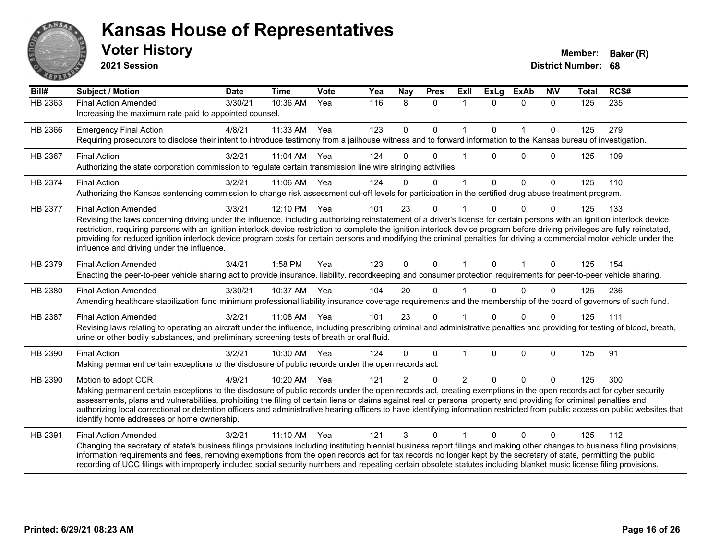

**2021 Session**

| Bill#          | Subject / Motion                                                                                                                                                                                                                                                                                                                                                                                                                                                                                                                                                                                                    | <b>Date</b> | <b>Time</b> | Vote | Yea | Nay           | <b>Pres</b>  | <b>Exll</b>    | <b>ExLg</b>  | <b>ExAb</b>    | <b>NIV</b>   | <b>Total</b> | RCS#             |
|----------------|---------------------------------------------------------------------------------------------------------------------------------------------------------------------------------------------------------------------------------------------------------------------------------------------------------------------------------------------------------------------------------------------------------------------------------------------------------------------------------------------------------------------------------------------------------------------------------------------------------------------|-------------|-------------|------|-----|---------------|--------------|----------------|--------------|----------------|--------------|--------------|------------------|
| <b>HB 2363</b> | <b>Final Action Amended</b><br>Increasing the maximum rate paid to appointed counsel.                                                                                                                                                                                                                                                                                                                                                                                                                                                                                                                               | 3/30/21     | 10:36 AM    | Yea  | 116 | 8             | $\mathbf{0}$ | 1              | $\Omega$     | $\mathbf{0}$   | $\Omega$     | 125          | $\overline{235}$ |
| HB 2366        | <b>Emergency Final Action</b><br>Requiring prosecutors to disclose their intent to introduce testimony from a jailhouse witness and to forward information to the Kansas bureau of investigation.                                                                                                                                                                                                                                                                                                                                                                                                                   | 4/8/21      | 11:33 AM    | Yea  | 123 | 0             | 0            | $\mathbf{1}$   | $\mathbf{0}$ | $\overline{1}$ | $\mathbf 0$  | 125          | 279              |
| HB 2367        | <b>Final Action</b><br>Authorizing the state corporation commission to regulate certain transmission line wire stringing activities.                                                                                                                                                                                                                                                                                                                                                                                                                                                                                | 3/2/21      | 11:04 AM    | Yea  | 124 | $\Omega$      | $\Omega$     | 1              | <sup>n</sup> | $\Omega$       | $\mathbf{0}$ | 125          | 109              |
| HB 2374        | <b>Final Action</b><br>Authorizing the Kansas sentencing commission to change risk assessment cut-off levels for participation in the certified drug abuse treatment program.                                                                                                                                                                                                                                                                                                                                                                                                                                       | 3/2/21      | 11:06 AM    | Yea  | 124 | $\Omega$      | $\Omega$     | 1              | $\Omega$     | $\mathbf{0}$   | $\Omega$     | 125          | 110              |
| HB 2377        | <b>Final Action Amended</b><br>Revising the laws concerning driving under the influence, including authorizing reinstatement of a driver's license for certain persons with an ignition interlock device<br>restriction, requiring persons with an ignition interlock device restriction to complete the ignition interlock device program before driving privileges are fully reinstated,<br>providing for reduced ignition interlock device program costs for certain persons and modifying the criminal penalties for driving a commercial motor vehicle under the<br>influence and driving under the influence. | 3/3/21      | 12:10 PM    | Yea  | 101 | 23            | $\Omega$     |                | <sup>n</sup> | $\Omega$       | $\Omega$     | 125          | 133              |
| HB 2379        | <b>Final Action Amended</b><br>Enacting the peer-to-peer vehicle sharing act to provide insurance, liability, recordkeeping and consumer protection requirements for peer-to-peer vehicle sharing.                                                                                                                                                                                                                                                                                                                                                                                                                  | 3/4/21      | 1:58 PM     | Yea  | 123 | $\Omega$      | $\Omega$     | $\mathbf{1}$   | $\Omega$     | $\mathbf{1}$   | $\Omega$     | 125          | 154              |
| HB 2380        | <b>Final Action Amended</b><br>Amending healthcare stabilization fund minimum professional liability insurance coverage requirements and the membership of the board of governors of such fund.                                                                                                                                                                                                                                                                                                                                                                                                                     | 3/30/21     | 10:37 AM    | Yea  | 104 | 20            | $\Omega$     |                | $\Omega$     | $\Omega$       | $\Omega$     | 125          | 236              |
| HB 2387        | <b>Final Action Amended</b><br>Revising laws relating to operating an aircraft under the influence, including prescribing criminal and administrative penalties and providing for testing of blood, breath,<br>urine or other bodily substances, and preliminary screening tests of breath or oral fluid.                                                                                                                                                                                                                                                                                                           | 3/2/21      | 11:08 AM    | Yea  | 101 | 23            | $\mathbf{0}$ |                | 0            | $\Omega$       | $\Omega$     | 125          | 111              |
| HB 2390        | <b>Final Action</b><br>Making permanent certain exceptions to the disclosure of public records under the open records act.                                                                                                                                                                                                                                                                                                                                                                                                                                                                                          | 3/2/21      | 10:30 AM    | Yea  | 124 | $\Omega$      | $\Omega$     | 1              | $\mathbf{0}$ | $\mathbf 0$    | $\Omega$     | 125          | 91               |
| HB 2390        | Motion to adopt CCR<br>Making permanent certain exceptions to the disclosure of public records under the open records act, creating exemptions in the open records act for cyber security<br>assessments, plans and vulnerabilities, prohibiting the filing of certain liens or claims against real or personal property and providing for criminal penalties and<br>authorizing local correctional or detention officers and administrative hearing officers to have identifying information restricted from public access on public websites that<br>identify home addresses or home ownership.                   | 4/9/21      | 10:20 AM    | Yea  | 121 | $\mathcal{P}$ | $\Omega$     | $\mathfrak{p}$ | $\Omega$     | $\Omega$       | $\Omega$     | 125          | 300              |
| HB 2391        | <b>Final Action Amended</b><br>Changing the secretary of state's business filings provisions including instituting biennial business report filings and making other changes to business filing provisions,<br>information requirements and fees, removing exemptions from the open records act for tax records no longer kept by the secretary of state, permitting the public<br>recording of UCC filings with improperly included social security numbers and repealing certain obsolete statutes including blanket music license filing provisions.                                                             | 3/2/21      | $11:10$ AM  | Yea  | 121 | 3             | $\Omega$     |                | 0            | $\Omega$       | 0            | 125          | 112              |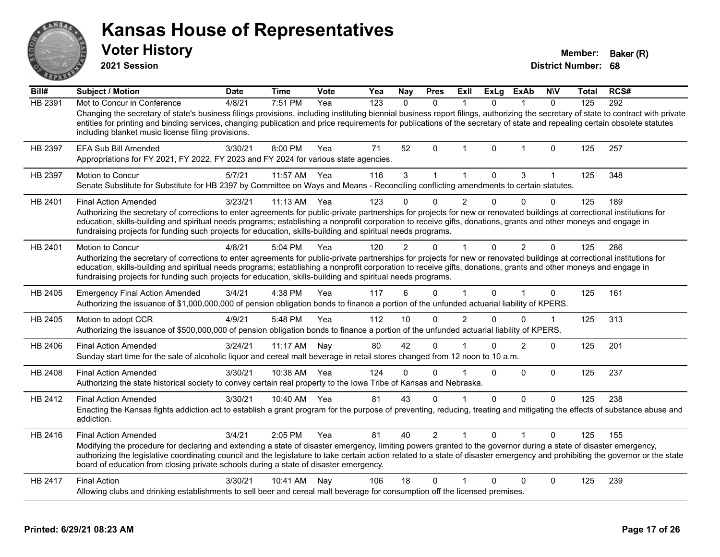| ANSA           | <b>Kansas House of Representatives</b><br><b>Voter History</b><br>2021 Session                                                                                                                                                                                                                                                                                                                                                                                                              |             |              |      |     |                  |                |                |              |                |                | Member:<br><b>District Number: 68</b> | Baker (R) |
|----------------|---------------------------------------------------------------------------------------------------------------------------------------------------------------------------------------------------------------------------------------------------------------------------------------------------------------------------------------------------------------------------------------------------------------------------------------------------------------------------------------------|-------------|--------------|------|-----|------------------|----------------|----------------|--------------|----------------|----------------|---------------------------------------|-----------|
| Bill#          | <b>Subject / Motion</b>                                                                                                                                                                                                                                                                                                                                                                                                                                                                     | <b>Date</b> | <b>Time</b>  | Vote | Yea | Nay              | <b>Pres</b>    | Exll           | <b>ExLg</b>  | ExAb           | <b>NIV</b>     | Total                                 | RCS#      |
| <b>HB 2391</b> | Mot to Concur in Conference<br>Changing the secretary of state's business filings provisions, including instituting biennial business report filings, authorizing the secretary of state to contract with private<br>entities for printing and binding services, changing publication and price requirements for publications of the secretary of state and repealing certain obsolete statutes<br>including blanket music license filing provisions.                                       | 4/8/21      | 7:51 PM      | Yea  | 123 | $\mathbf{0}$     | $\mathbf{0}$   | $\mathbf{1}$   | $\mathbf{0}$ | $\mathbf{1}$   | $\mathbf{0}$   | 125                                   | 292       |
| HB 2397        | <b>EFA Sub Bill Amended</b><br>Appropriations for FY 2021, FY 2022, FY 2023 and FY 2024 for various state agencies.                                                                                                                                                                                                                                                                                                                                                                         | 3/30/21     | 8:00 PM      | Yea  | 71  | 52               | 0              | 1              | 0            | 1              | 0              | 125                                   | 257       |
| HB 2397        | Motion to Concur<br>Senate Substitute for Substitute for HB 2397 by Committee on Ways and Means - Reconciling conflicting amendments to certain statutes.                                                                                                                                                                                                                                                                                                                                   | 5/7/21      | 11:57 AM     | Yea  | 116 | 3                | $\mathbf{1}$   | $\mathbf{1}$   | $\mathbf 0$  | 3              | $\mathbf{1}$   | 125                                   | 348       |
| HB 2401        | <b>Final Action Amended</b><br>Authorizing the secretary of corrections to enter agreements for public-private partnerships for projects for new or renovated buildings at correctional institutions for<br>education, skills-building and spiritual needs programs; establishing a nonprofit corporation to receive gifts, donations, grants and other moneys and engage in<br>fundraising projects for funding such projects for education, skills-building and spiritual needs programs. | 3/23/21     | $11:13$ AM   | Yea  | 123 | $\Omega$         | 0              | $\overline{2}$ | 0            | $\Omega$       | $\Omega$       | 125                                   | 189       |
| HB 2401        | Motion to Concur<br>Authorizing the secretary of corrections to enter agreements for public-private partnerships for projects for new or renovated buildings at correctional institutions for<br>education, skills-building and spiritual needs programs; establishing a nonprofit corporation to receive gifts, donations, grants and other moneys and engage in<br>fundraising projects for funding such projects for education, skills-building and spiritual needs programs.            | 4/8/21      | 5:04 PM      | Yea  | 120 | $\overline{2}$   | 0              | $\mathbf{1}$   | $\mathbf{0}$ | $\overline{2}$ | $\mathbf{0}$   | 125                                   | 286       |
| HB 2405        | <b>Emergency Final Action Amended</b><br>Authorizing the issuance of \$1,000,000,000 of pension obligation bonds to finance a portion of the unfunded actuarial liability of KPERS.                                                                                                                                                                                                                                                                                                         | 3/4/21      | 4:38 PM      | Yea  | 117 | $6 \overline{6}$ | $\Omega$       | $\mathbf{1}$   | $\Omega$     |                | $\Omega$       | 125                                   | 161       |
| HB 2405        | Motion to adopt CCR<br>Authorizing the issuance of \$500,000,000 of pension obligation bonds to finance a portion of the unfunded actuarial liability of KPERS.                                                                                                                                                                                                                                                                                                                             | 4/9/21      | 5:48 PM      | Yea  | 112 | 10               | 0              | $\overline{2}$ | $\Omega$     | $\Omega$       | $\mathbf{1}$   | 125                                   | 313       |
| HB 2406        | <b>Final Action Amended</b><br>Sunday start time for the sale of alcoholic liquor and cereal malt beverage in retail stores changed from 12 noon to 10 a.m.                                                                                                                                                                                                                                                                                                                                 | 3/24/21     | 11:17 AM     | Nav  | 80  | 42               | 0              | 1              | 0            | $\overline{2}$ | 0              | 125                                   | 201       |
| HB 2408        | <b>Final Action Amended</b><br>Authorizing the state historical society to convey certain real property to the Iowa Tribe of Kansas and Nebraska.                                                                                                                                                                                                                                                                                                                                           | 3/30/21     | 10:38 AM Yea |      | 124 | 0                | 0              | $\overline{1}$ | $\Omega$     | $\Omega$       | 0              | 125                                   | 237       |
| HB 2412        | <b>Final Action Amended</b><br>Enacting the Kansas fights addiction act to establish a grant program for the purpose of preventing, reducing, treating and mitigating the effects of substance abuse and<br>addiction.                                                                                                                                                                                                                                                                      | 3/30/21     | 10:40 AM Yea |      | 81  | 43               | 0              | $\mathbf{1}$   | $\mathbf 0$  | $\mathbf{0}$   | $\overline{0}$ | 125                                   | 238       |
| HB 2416        | <b>Final Action Amended</b><br>Modifying the procedure for declaring and extending a state of disaster emergency, limiting powers granted to the governor during a state of disaster emergency,<br>authorizing the legislative coordinating council and the legislature to take certain action related to a state of disaster emergency and prohibiting the governor or the state<br>board of education from closing private schools during a state of disaster emergency.                  | 3/4/21      | 2:05 PM      | Yea  | 81  | 40               | $\overline{2}$ | 1              | 0            |                | 0              | 125                                   | 155       |
| HB 2417        | <b>Final Action</b><br>Allowing clubs and drinking establishments to sell beer and cereal malt beverage for consumption off the licensed premises.                                                                                                                                                                                                                                                                                                                                          | 3/30/21     | 10:41 AM     | Nay  | 106 | 18               | 0              |                | $\Omega$     | $\Omega$       | $\Omega$       | 125                                   | 239       |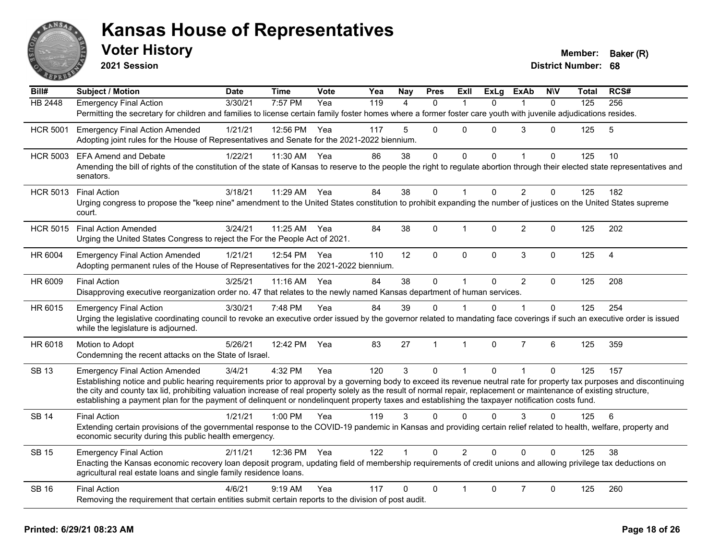

**2021 Session**

| Bill#           | Subject / Motion                                                                                                                                                                                                                     | <b>Date</b> | <b>Time</b>  | <b>Vote</b> | Yea | Nay            | <b>Pres</b>  | Exll           | ExLg         | <b>ExAb</b>    | <b>NIV</b>   | Total | RCS#           |
|-----------------|--------------------------------------------------------------------------------------------------------------------------------------------------------------------------------------------------------------------------------------|-------------|--------------|-------------|-----|----------------|--------------|----------------|--------------|----------------|--------------|-------|----------------|
| <b>HB 2448</b>  | <b>Emergency Final Action</b>                                                                                                                                                                                                        | 3/30/21     | 7:57 PM      | Yea         | 119 | $\overline{4}$ | $\Omega$     | 1              | $\Omega$     |                | $\mathbf{0}$ | 125   | 256            |
|                 | Permitting the secretary for children and families to license certain family foster homes where a former foster care youth with juvenile adjudications resides.                                                                      |             |              |             |     |                |              |                |              |                |              |       |                |
| <b>HCR 5001</b> | <b>Emergency Final Action Amended</b>                                                                                                                                                                                                | 1/21/21     | 12:56 PM     | Yea         | 117 | 5              | $\Omega$     | $\Omega$       | $\Omega$     | 3              | $\Omega$     | 125   | 5              |
|                 | Adopting joint rules for the House of Representatives and Senate for the 2021-2022 biennium.                                                                                                                                         |             |              |             |     |                |              |                |              |                |              |       |                |
| <b>HCR 5003</b> | <b>EFA Amend and Debate</b>                                                                                                                                                                                                          | 1/22/21     | 11:30 AM     | Yea         | 86  | 38             | 0            | 0              | 0            | 1              | 0            | 125   | 10             |
|                 | Amending the bill of rights of the constitution of the state of Kansas to reserve to the people the right to regulate abortion through their elected state representatives and<br>senators.                                          |             |              |             |     |                |              |                |              |                |              |       |                |
| <b>HCR 5013</b> | <b>Final Action</b>                                                                                                                                                                                                                  | 3/18/21     | 11:29 AM     | Yea         | 84  | 38             | $\mathbf 0$  | $\mathbf{1}$   | $\mathbf{0}$ | $\overline{2}$ | $\mathbf 0$  | 125   | 182            |
|                 | Urging congress to propose the "keep nine" amendment to the United States constitution to prohibit expanding the number of justices on the United States supreme<br>court.                                                           |             |              |             |     |                |              |                |              |                |              |       |                |
| <b>HCR 5015</b> | <b>Final Action Amended</b>                                                                                                                                                                                                          | 3/24/21     | 11:25 AM Yea |             | 84  | 38             | $\Omega$     | 1              | $\Omega$     | 2              | 0            | 125   | 202            |
|                 | Urging the United States Congress to reject the For the People Act of 2021.                                                                                                                                                          |             |              |             |     |                |              |                |              |                |              |       |                |
| HR 6004         | <b>Emergency Final Action Amended</b>                                                                                                                                                                                                | 1/21/21     | 12:54 PM Yea |             | 110 | 12             | $\Omega$     | $\Omega$       | 0            | 3              | $\mathbf 0$  | 125   | $\overline{4}$ |
|                 | Adopting permanent rules of the House of Representatives for the 2021-2022 biennium.                                                                                                                                                 |             |              |             |     |                |              |                |              |                |              |       |                |
| HR 6009         | <b>Final Action</b>                                                                                                                                                                                                                  | 3/25/21     | 11:16 AM     | Yea         | 84  | 38             | $\mathbf 0$  | $\mathbf{1}$   | $\Omega$     | $\overline{2}$ | $\Omega$     | 125   | 208            |
|                 | Disapproving executive reorganization order no. 47 that relates to the newly named Kansas department of human services.                                                                                                              |             |              |             |     |                |              |                |              |                |              |       |                |
| HR 6015         | <b>Emergency Final Action</b>                                                                                                                                                                                                        | 3/30/21     | 7:48 PM      | Yea         | 84  | 39             | $\mathbf{0}$ |                | $\Omega$     |                | 0            | 125   | 254            |
|                 | Urging the legislative coordinating council to revoke an executive order issued by the governor related to mandating face coverings if such an executive order is issued<br>while the legislature is adjourned.                      |             |              |             |     |                |              |                |              |                |              |       |                |
| HR 6018         | Motion to Adopt                                                                                                                                                                                                                      | 5/26/21     | 12:42 PM     | Yea         | 83  | 27             | $\mathbf{1}$ | $\mathbf{1}$   | $\Omega$     | $\overline{7}$ | 6            | 125   | 359            |
|                 | Condemning the recent attacks on the State of Israel.                                                                                                                                                                                |             |              |             |     |                |              |                |              |                |              |       |                |
| <b>SB 13</b>    | <b>Emergency Final Action Amended</b>                                                                                                                                                                                                | 3/4/21      | 4:32 PM      | Yea         | 120 | 3              | $\Omega$     | $\mathbf{1}$   | $\Omega$     | $\mathbf{1}$   | 0            | 125   | 157            |
|                 | Establishing notice and public hearing requirements prior to approval by a governing body to exceed its revenue neutral rate for property tax purposes and discontinuing                                                             |             |              |             |     |                |              |                |              |                |              |       |                |
|                 | the city and county tax lid, prohibiting valuation increase of real property solely as the result of normal repair, replacement or maintenance of existing structure,                                                                |             |              |             |     |                |              |                |              |                |              |       |                |
|                 | establishing a payment plan for the payment of delinquent or nondelinquent property taxes and establishing the taxpayer notification costs fund.                                                                                     |             |              |             |     |                |              |                |              |                |              |       |                |
| <b>SB 14</b>    | <b>Final Action</b>                                                                                                                                                                                                                  | 1/21/21     | $1:00$ PM    | Yea         | 119 | 3              | $\Omega$     | $\Omega$       | $\Omega$     | 3              | $\Omega$     | 125   | 6              |
|                 | Extending certain provisions of the governmental response to the COVID-19 pandemic in Kansas and providing certain relief related to health, welfare, property and<br>economic security during this public health emergency.         |             |              |             |     |                |              |                |              |                |              |       |                |
| <b>SB 15</b>    | <b>Emergency Final Action</b>                                                                                                                                                                                                        | 2/11/21     | 12:36 PM Yea |             | 122 |                | $\Omega$     | $\overline{2}$ | $\Omega$     | $\Omega$       | $\Omega$     | 125   | 38             |
|                 | Enacting the Kansas economic recovery loan deposit program, updating field of membership requirements of credit unions and allowing privilege tax deductions on<br>agricultural real estate loans and single family residence loans. |             |              |             |     |                |              |                |              |                |              |       |                |
| <b>SB 16</b>    | <b>Final Action</b>                                                                                                                                                                                                                  | 4/6/21      | $9:19$ AM    | Yea         | 117 | 0              | $\mathbf{0}$ |                | $\Omega$     | $\overline{7}$ | 0            | 125   | 260            |
|                 | Removing the requirement that certain entities submit certain reports to the division of post audit.                                                                                                                                 |             |              |             |     |                |              |                |              |                |              |       |                |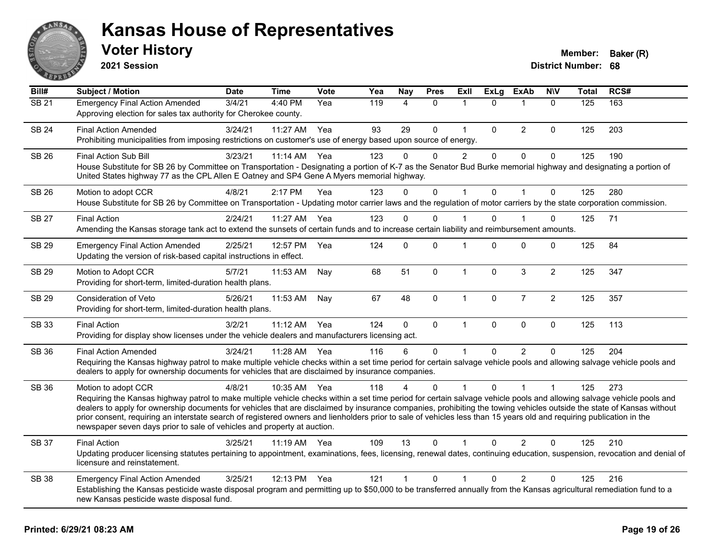

**2021 Session**

| Bill#        | Subject / Motion                                                                                                                                                                                                                                                                                                                                                                                                                                                                                                                                                                                                         | <b>Date</b> | <b>Time</b>  | Vote | Yea | <b>Nay</b>   | <b>Pres</b> | ExIl           | <b>ExLg</b>  | <b>ExAb</b>    | <b>NIV</b>     | <b>Total</b> | RCS# |
|--------------|--------------------------------------------------------------------------------------------------------------------------------------------------------------------------------------------------------------------------------------------------------------------------------------------------------------------------------------------------------------------------------------------------------------------------------------------------------------------------------------------------------------------------------------------------------------------------------------------------------------------------|-------------|--------------|------|-----|--------------|-------------|----------------|--------------|----------------|----------------|--------------|------|
| <b>SB 21</b> | <b>Emergency Final Action Amended</b><br>Approving election for sales tax authority for Cherokee county.                                                                                                                                                                                                                                                                                                                                                                                                                                                                                                                 | 3/4/21      | 4:40 PM      | Yea  | 119 | 4            | $\Omega$    | $\mathbf{1}$   | $\Omega$     | $\mathbf{1}$   | $\mathbf{0}$   | 125          | 163  |
| <b>SB 24</b> | <b>Final Action Amended</b><br>Prohibiting municipalities from imposing restrictions on customer's use of energy based upon source of energy.                                                                                                                                                                                                                                                                                                                                                                                                                                                                            | 3/24/21     | 11:27 AM     | Yea  | 93  | 29           | 0           | $\overline{1}$ | 0            | $\overline{2}$ | 0              | 125          | 203  |
| SB 26        | Final Action Sub Bill<br>House Substitute for SB 26 by Committee on Transportation - Designating a portion of K-7 as the Senator Bud Burke memorial highway and designating a portion of<br>United States highway 77 as the CPL Allen E Oatney and SP4 Gene A Myers memorial highway.                                                                                                                                                                                                                                                                                                                                    | 3/23/21     | 11:14 AM     | Yea  | 123 | $\Omega$     | $\Omega$    | 2              | $\Omega$     | $\mathbf{0}$   | $\mathbf 0$    | 125          | 190  |
| <b>SB 26</b> | Motion to adopt CCR<br>House Substitute for SB 26 by Committee on Transportation - Updating motor carrier laws and the regulation of motor carriers by the state corporation commission.                                                                                                                                                                                                                                                                                                                                                                                                                                 | 4/8/21      | 2:17 PM      | Yea  | 123 | $\Omega$     | $\Omega$    | 1              | $\Omega$     | $\overline{1}$ | $\Omega$       | 125          | 280  |
| <b>SB 27</b> | <b>Final Action</b><br>Amending the Kansas storage tank act to extend the sunsets of certain funds and to increase certain liability and reimbursement amounts.                                                                                                                                                                                                                                                                                                                                                                                                                                                          | 2/24/21     | 11:27 AM     | Yea  | 123 | $\Omega$     | 0           |                | $\Omega$     |                | 0              | 125          | 71   |
| <b>SB 29</b> | <b>Emergency Final Action Amended</b><br>Updating the version of risk-based capital instructions in effect.                                                                                                                                                                                                                                                                                                                                                                                                                                                                                                              | 2/25/21     | 12:57 PM     | Yea  | 124 | 0            | 0           | 1              | $\Omega$     | $\mathbf{0}$   | 0              | 125          | 84   |
| <b>SB 29</b> | Motion to Adopt CCR<br>Providing for short-term, limited-duration health plans.                                                                                                                                                                                                                                                                                                                                                                                                                                                                                                                                          | 5/7/21      | 11:53 AM     | Nay  | 68  | 51           | $\mathbf 0$ | $\mathbf{1}$   | $\Omega$     | 3              | $\overline{2}$ | 125          | 347  |
| SB 29        | Consideration of Veto<br>Providing for short-term, limited-duration health plans.                                                                                                                                                                                                                                                                                                                                                                                                                                                                                                                                        | 5/26/21     | 11:53 AM     | Nay  | 67  | 48           | $\mathbf 0$ | $\mathbf{1}$   | $\mathbf 0$  | $\overline{7}$ | $\overline{c}$ | 125          | 357  |
| SB 33        | <b>Final Action</b><br>Providing for display show licenses under the vehicle dealers and manufacturers licensing act.                                                                                                                                                                                                                                                                                                                                                                                                                                                                                                    | 3/2/21      | $11:12$ AM   | Yea  | 124 | $\mathbf{0}$ | $\Omega$    | $\mathbf{1}$   | $\mathbf{0}$ | $\mathbf{0}$   | $\mathbf 0$    | 125          | 113  |
| SB 36        | <b>Final Action Amended</b><br>Requiring the Kansas highway patrol to make multiple vehicle checks within a set time period for certain salvage vehicle pools and allowing salvage vehicle pools and<br>dealers to apply for ownership documents for vehicles that are disclaimed by insurance companies.                                                                                                                                                                                                                                                                                                                | 3/24/21     | 11:28 AM     | Yea  | 116 | 6            | $\Omega$    | 1              | $\Omega$     | $\mathcal{P}$  | $\Omega$       | 125          | 204  |
| SB 36        | Motion to adopt CCR<br>Requiring the Kansas highway patrol to make multiple vehicle checks within a set time period for certain salvage vehicle pools and allowing salvage vehicle pools and<br>dealers to apply for ownership documents for vehicles that are disclaimed by insurance companies, prohibiting the towing vehicles outside the state of Kansas without<br>prior consent, requiring an interstate search of registered owners and lienholders prior to sale of vehicles less than 15 years old and requiring publication in the<br>newspaper seven days prior to sale of vehicles and property at auction. | 4/8/21      | 10:35 AM     | Yea  | 118 | 4            | $\Omega$    |                | $\Omega$     |                | 1              | 125          | 273  |
| <b>SB 37</b> | <b>Final Action</b><br>Updating producer licensing statutes pertaining to appointment, examinations, fees, licensing, renewal dates, continuing education, suspension, revocation and denial of<br>licensure and reinstatement.                                                                                                                                                                                                                                                                                                                                                                                          | 3/25/21     | 11:19 AM Yea |      | 109 | 13           | $\Omega$    | 1              | $\Omega$     | $\overline{2}$ | 0              | 125          | 210  |
| <b>SB 38</b> | <b>Emergency Final Action Amended</b><br>Establishing the Kansas pesticide waste disposal program and permitting up to \$50,000 to be transferred annually from the Kansas agricultural remediation fund to a<br>new Kansas pesticide waste disposal fund.                                                                                                                                                                                                                                                                                                                                                               | 3/25/21     | 12:13 PM     | Yea  | 121 | $\mathbf{1}$ | $\Omega$    | 1              | 0            | $\overline{2}$ | 0              | 125          | 216  |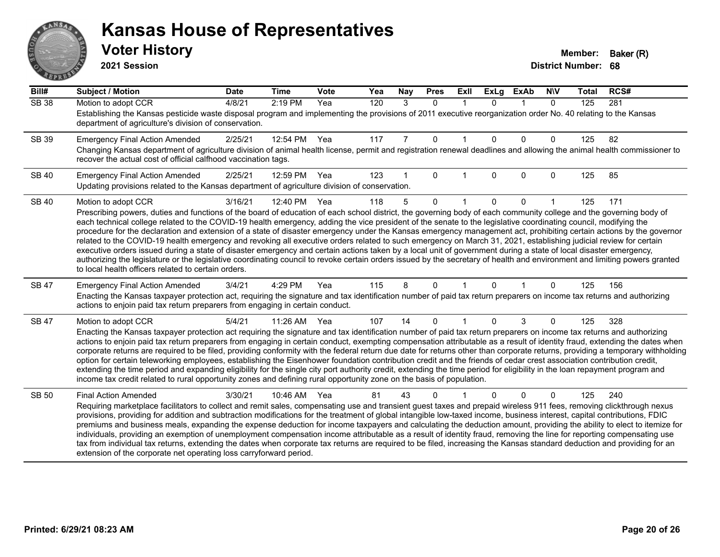# AN. **PARTIE**

#### **Kansas House of Representatives**

**2021 Session**

| Bill#        | Subject / Motion                                                                                                                                                                                                                                                                                                                                  | <b>Date</b> | <b>Time</b> | <b>Vote</b> | Yea | Nay            | <b>Pres</b> | ExIl        | <b>ExLg</b> | <b>ExAb</b> | <b>NIV</b>   | <b>Total</b> | RCS# |
|--------------|---------------------------------------------------------------------------------------------------------------------------------------------------------------------------------------------------------------------------------------------------------------------------------------------------------------------------------------------------|-------------|-------------|-------------|-----|----------------|-------------|-------------|-------------|-------------|--------------|--------------|------|
| <b>SB 38</b> | Motion to adopt CCR                                                                                                                                                                                                                                                                                                                               | 4/8/21      | 2:19 PM     | Yea         | 120 | 3              | $\Omega$    | $\mathbf 1$ | $\Omega$    | $\mathbf 1$ | $\Omega$     | 125          | 281  |
|              | Establishing the Kansas pesticide waste disposal program and implementing the provisions of 2011 executive reorganization order No. 40 relating to the Kansas<br>department of agriculture's division of conservation.                                                                                                                            |             |             |             |     |                |             |             |             |             |              |              |      |
| SB 39        | <b>Emergency Final Action Amended</b>                                                                                                                                                                                                                                                                                                             | 2/25/21     | 12:54 PM    | Yea         | 117 | $\overline{7}$ | $\Omega$    |             | $\Omega$    | $\Omega$    | $\mathbf{0}$ | 125          | 82   |
|              | Changing Kansas department of agriculture division of animal health license, permit and registration renewal deadlines and allowing the animal health commissioner to<br>recover the actual cost of official calfhood vaccination tags.                                                                                                           |             |             |             |     |                |             |             |             |             |              |              |      |
| <b>SB 40</b> | <b>Emergency Final Action Amended</b>                                                                                                                                                                                                                                                                                                             | 2/25/21     | 12:59 PM    | Yea         | 123 | 1              | $\Omega$    |             | $\Omega$    | $\Omega$    | $\mathbf{0}$ | 125          | 85   |
|              | Updating provisions related to the Kansas department of agriculture division of conservation.                                                                                                                                                                                                                                                     |             |             |             |     |                |             |             |             |             |              |              |      |
| <b>SB 40</b> | Motion to adopt CCR                                                                                                                                                                                                                                                                                                                               | 3/16/21     | 12:40 PM    | Yea         | 118 | 5              | $\Omega$    |             | $\Omega$    | $\Omega$    |              | 125          | 171  |
|              | Prescribing powers, duties and functions of the board of education of each school district, the governing body of each community college and the governing body of<br>each technical college related to the COVID-19 health emergency, adding the vice president of the senate to the legislative coordinating council, modifying the             |             |             |             |     |                |             |             |             |             |              |              |      |
|              | procedure for the declaration and extension of a state of disaster emergency under the Kansas emergency management act, prohibiting certain actions by the governor                                                                                                                                                                               |             |             |             |     |                |             |             |             |             |              |              |      |
|              | related to the COVID-19 health emergency and revoking all executive orders related to such emergency on March 31, 2021, establishing judicial review for certain<br>executive orders issued during a state of disaster emergency and certain actions taken by a local unit of government during a state of local disaster emergency,              |             |             |             |     |                |             |             |             |             |              |              |      |
|              | authorizing the legislature or the legislative coordinating council to revoke certain orders issued by the secretary of health and environment and limiting powers granted                                                                                                                                                                        |             |             |             |     |                |             |             |             |             |              |              |      |
|              | to local health officers related to certain orders.                                                                                                                                                                                                                                                                                               |             |             |             |     |                |             |             |             |             |              |              |      |
| SB 47        | <b>Emergency Final Action Amended</b>                                                                                                                                                                                                                                                                                                             | 3/4/21      | 4:29 PM     | Yea         | 115 | 8              | $\Omega$    |             | $\Omega$    | 1           | 0            | 125          | 156  |
|              | Enacting the Kansas taxpayer protection act, requiring the signature and tax identification number of paid tax return preparers on income tax returns and authorizing<br>actions to enjoin paid tax return preparers from engaging in certain conduct.                                                                                            |             |             |             |     |                |             |             |             |             |              |              |      |
| <b>SB 47</b> | Motion to adopt CCR                                                                                                                                                                                                                                                                                                                               | 5/4/21      | 11:26 AM    | Yea         | 107 | 14             | $\Omega$    |             | $\Omega$    | 3           | 0            | 125          | 328  |
|              | Enacting the Kansas taxpayer protection act requiring the signature and tax identification number of paid tax return preparers on income tax returns and authorizing<br>actions to enjoin paid tax return preparers from engaging in certain conduct, exempting compensation attributable as a result of identity fraud, extending the dates when |             |             |             |     |                |             |             |             |             |              |              |      |
|              | corporate returns are required to be filed, providing conformity with the federal return due date for returns other than corporate returns, providing a temporary withholding                                                                                                                                                                     |             |             |             |     |                |             |             |             |             |              |              |      |
|              | option for certain teleworking employees, establishing the Eisenhower foundation contribution credit and the friends of cedar crest association contribution credit,                                                                                                                                                                              |             |             |             |     |                |             |             |             |             |              |              |      |
|              | extending the time period and expanding eligibility for the single city port authority credit, extending the time period for eligibility in the loan repayment program and<br>income tax credit related to rural opportunity zones and defining rural opportunity zone on the basis of population.                                                |             |             |             |     |                |             |             |             |             |              |              |      |
| <b>SB 50</b> | <b>Final Action Amended</b>                                                                                                                                                                                                                                                                                                                       | 3/30/21     | 10:46 AM    | Yea         | 81  | 43             |             |             | n           | $\Omega$    | 0            | 125          | 240  |
|              | Requiring marketplace facilitators to collect and remit sales, compensating use and transient guest taxes and prepaid wireless 911 fees, removing clickthrough nexus                                                                                                                                                                              |             |             |             |     |                |             |             |             |             |              |              |      |
|              | provisions, providing for addition and subtraction modifications for the treatment of global intangible low-taxed income, business interest, capital contributions, FDIC                                                                                                                                                                          |             |             |             |     |                |             |             |             |             |              |              |      |
|              | premiums and business meals, expanding the expense deduction for income taxpayers and calculating the deduction amount, providing the ability to elect to itemize for<br>individuals, providing an exemption of unemployment compensation income attributable as a result of identity fraud, removing the line for reporting compensating use     |             |             |             |     |                |             |             |             |             |              |              |      |
|              | tax from individual tax returns, extending the dates when corporate tax returns are required to be filed, increasing the Kansas standard deduction and providing for an                                                                                                                                                                           |             |             |             |     |                |             |             |             |             |              |              |      |
|              | extension of the corporate net operating loss carryforward period.                                                                                                                                                                                                                                                                                |             |             |             |     |                |             |             |             |             |              |              |      |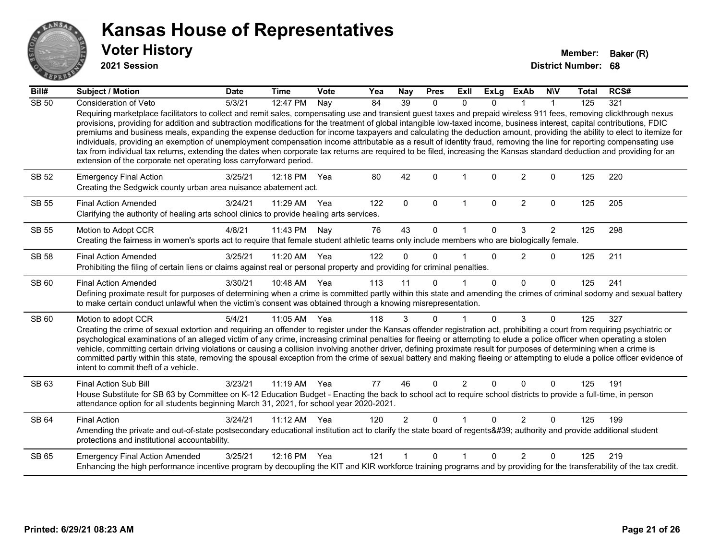

**2021 Session**

| Bill#        | Subject / Motion                                                                                                                                                                                                                                                                                                                                                                                                                                                                                                                                                                                                                                                                                                                                                                                                                                                                                                                                   | <b>Date</b> | <b>Time</b>  | <b>Vote</b> | Yea | <b>Nay</b>     | <b>Pres</b>  | Exll           | <b>ExLg</b>  | <b>ExAb</b>    | <b>NIV</b>     | <b>Total</b> | RCS# |
|--------------|----------------------------------------------------------------------------------------------------------------------------------------------------------------------------------------------------------------------------------------------------------------------------------------------------------------------------------------------------------------------------------------------------------------------------------------------------------------------------------------------------------------------------------------------------------------------------------------------------------------------------------------------------------------------------------------------------------------------------------------------------------------------------------------------------------------------------------------------------------------------------------------------------------------------------------------------------|-------------|--------------|-------------|-----|----------------|--------------|----------------|--------------|----------------|----------------|--------------|------|
| <b>SB 50</b> | Consideration of Veto                                                                                                                                                                                                                                                                                                                                                                                                                                                                                                                                                                                                                                                                                                                                                                                                                                                                                                                              | 5/3/21      | 12:47 PM     | Nay         | 84  | 39             | $\mathbf{0}$ | 0              | <sup>n</sup> |                |                | 125          | 321  |
|              | Requiring marketplace facilitators to collect and remit sales, compensating use and transient guest taxes and prepaid wireless 911 fees, removing clickthrough nexus<br>provisions, providing for addition and subtraction modifications for the treatment of global intangible low-taxed income, business interest, capital contributions, FDIC<br>premiums and business meals, expanding the expense deduction for income taxpayers and calculating the deduction amount, providing the ability to elect to itemize for<br>individuals, providing an exemption of unemployment compensation income attributable as a result of identity fraud, removing the line for reporting compensating use<br>tax from individual tax returns, extending the dates when corporate tax returns are required to be filed, increasing the Kansas standard deduction and providing for an<br>extension of the corporate net operating loss carryforward period. |             |              |             |     |                |              |                |              |                |                |              |      |
| SB 52        | <b>Emergency Final Action</b><br>Creating the Sedgwick county urban area nuisance abatement act.                                                                                                                                                                                                                                                                                                                                                                                                                                                                                                                                                                                                                                                                                                                                                                                                                                                   | 3/25/21     | 12:18 PM     | Yea         | 80  | 42             | $\Omega$     |                | <sup>0</sup> | $\overline{2}$ | 0              | 125          | 220  |
| SB 55        | <b>Final Action Amended</b><br>Clarifying the authority of healing arts school clinics to provide healing arts services.                                                                                                                                                                                                                                                                                                                                                                                                                                                                                                                                                                                                                                                                                                                                                                                                                           | 3/24/21     | 11:29 AM     | Yea         | 122 | $\mathbf{0}$   | $\mathbf{0}$ | -1             | $\mathbf{0}$ | $\overline{2}$ | $\mathbf{0}$   | 125          | 205  |
| <b>SB 55</b> | Motion to Adopt CCR                                                                                                                                                                                                                                                                                                                                                                                                                                                                                                                                                                                                                                                                                                                                                                                                                                                                                                                                | 4/8/21      | 11:43 PM     | Nay         | 76  | 43             | 0            |                | $\Omega$     | 3              | $\overline{2}$ | 125          | 298  |
|              | Creating the fairness in women's sports act to require that female student athletic teams only include members who are biologically female.                                                                                                                                                                                                                                                                                                                                                                                                                                                                                                                                                                                                                                                                                                                                                                                                        |             |              |             |     |                |              |                |              |                |                |              |      |
| <b>SB 58</b> | <b>Final Action Amended</b><br>Prohibiting the filing of certain liens or claims against real or personal property and providing for criminal penalties.                                                                                                                                                                                                                                                                                                                                                                                                                                                                                                                                                                                                                                                                                                                                                                                           | 3/25/21     | 11:20 AM     | Yea         | 122 | $\Omega$       | $\Omega$     |                | $\Omega$     | 2              | $\Omega$       | 125          | 211  |
| SB 60        | <b>Final Action Amended</b><br>Defining proximate result for purposes of determining when a crime is committed partly within this state and amending the crimes of criminal sodomy and sexual battery<br>to make certain conduct unlawful when the victim's consent was obtained through a knowing misrepresentation.                                                                                                                                                                                                                                                                                                                                                                                                                                                                                                                                                                                                                              | 3/30/21     | 10:48 AM Yea |             | 113 | 11             | $\Omega$     |                | $\Omega$     | $\Omega$       | $\Omega$       | 125          | 241  |
| SB 60        | Motion to adopt CCR                                                                                                                                                                                                                                                                                                                                                                                                                                                                                                                                                                                                                                                                                                                                                                                                                                                                                                                                | 5/4/21      | 11:05 AM     | Yea         | 118 | 3              | $\Omega$     | 1              | $\Omega$     | 3              | $\Omega$       | 125          | 327  |
|              | Creating the crime of sexual extortion and requiring an offender to register under the Kansas offender registration act, prohibiting a court from requiring psychiatric or<br>psychological examinations of an alleged victim of any crime, increasing criminal penalties for fleeing or attempting to elude a police officer when operating a stolen<br>vehicle, committing certain driving violations or causing a collision involving another driver, defining proximate result for purposes of determining when a crime is<br>committed partly within this state, removing the spousal exception from the crime of sexual battery and making fleeing or attempting to elude a police officer evidence of<br>intent to commit theft of a vehicle.                                                                                                                                                                                               |             |              |             |     |                |              |                |              |                |                |              |      |
| SB 63        | Final Action Sub Bill                                                                                                                                                                                                                                                                                                                                                                                                                                                                                                                                                                                                                                                                                                                                                                                                                                                                                                                              | 3/23/21     | 11:19 AM     | Yea         | 77  | 46             | $\Omega$     | $\overline{2}$ | $\Omega$     | $\Omega$       | $\Omega$       | 125          | 191  |
|              | House Substitute for SB 63 by Committee on K-12 Education Budget - Enacting the back to school act to require school districts to provide a full-time, in person<br>attendance option for all students beginning March 31, 2021, for school year 2020-2021.                                                                                                                                                                                                                                                                                                                                                                                                                                                                                                                                                                                                                                                                                        |             |              |             |     |                |              |                |              |                |                |              |      |
| SB 64        | <b>Final Action</b>                                                                                                                                                                                                                                                                                                                                                                                                                                                                                                                                                                                                                                                                                                                                                                                                                                                                                                                                | 3/24/21     | $11:12$ AM   | Yea         | 120 | $\overline{2}$ | $\Omega$     |                | $\Omega$     | 2              | $\Omega$       | 125          | 199  |
|              | Amending the private and out-of-state postsecondary educational institution act to clarify the state board of regents' authority and provide additional student<br>protections and institutional accountability.                                                                                                                                                                                                                                                                                                                                                                                                                                                                                                                                                                                                                                                                                                                                   |             |              |             |     |                |              |                |              |                |                |              |      |
| SB 65        | <b>Emergency Final Action Amended</b>                                                                                                                                                                                                                                                                                                                                                                                                                                                                                                                                                                                                                                                                                                                                                                                                                                                                                                              | 3/25/21     | 12:16 PM     | Yea         | 121 |                | $\Omega$     | $\mathbf{1}$   | $\Omega$     | $\mathcal{P}$  | $\Omega$       | 125          | 219  |
|              | Enhancing the high performance incentive program by decoupling the KIT and KIR workforce training programs and by providing for the transferability of the tax credit.                                                                                                                                                                                                                                                                                                                                                                                                                                                                                                                                                                                                                                                                                                                                                                             |             |              |             |     |                |              |                |              |                |                |              |      |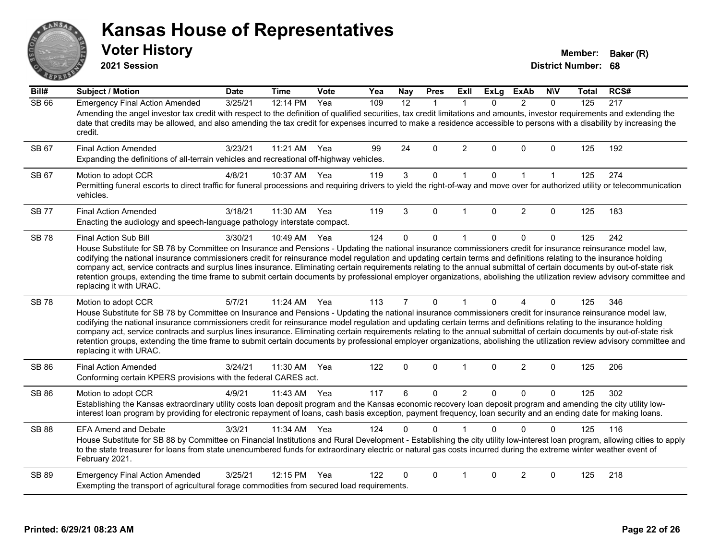#### **Kansas House of Representatives** ANS Erry **Voter History Member: Baker (R) 2021 Session**  $E$   $\mathbf{F}$

| Bill#        | <b>Subject / Motion</b>                                                                                                                                                                                                                                                                                                                                                                                                                                                                                                                                                                                                                                                                                                                        | <b>Date</b> | <b>Time</b>        | <b>Vote</b> | Yea | Nay            | <b>Pres</b>  | ExIl                 | <b>ExLg</b> | <b>ExAb</b>    | <b>NIV</b>   | Total | RCS#             |
|--------------|------------------------------------------------------------------------------------------------------------------------------------------------------------------------------------------------------------------------------------------------------------------------------------------------------------------------------------------------------------------------------------------------------------------------------------------------------------------------------------------------------------------------------------------------------------------------------------------------------------------------------------------------------------------------------------------------------------------------------------------------|-------------|--------------------|-------------|-----|----------------|--------------|----------------------|-------------|----------------|--------------|-------|------------------|
| <b>SB 66</b> | <b>Emergency Final Action Amended</b><br>Amending the angel investor tax credit with respect to the definition of qualified securities, tax credit limitations and amounts, investor requirements and extending the<br>date that credits may be allowed, and also amending the tax credit for expenses incurred to make a residence accessible to persons with a disability by increasing the<br>credit.                                                                                                                                                                                                                                                                                                                                       | 3/25/21     | 12:14 PM           | Yea         | 109 | 12             | $\mathbf{1}$ | $\mathbf{1}$         | $\Omega$    | $\mathcal{P}$  | $\Omega$     | 125   | $\overline{217}$ |
| SB 67        | <b>Final Action Amended</b><br>Expanding the definitions of all-terrain vehicles and recreational off-highway vehicles.                                                                                                                                                                                                                                                                                                                                                                                                                                                                                                                                                                                                                        | 3/23/21     | 11:21 AM           | Yea         | 99  | 24             | $\Omega$     | $\overline{2}$       | $\Omega$    | $\Omega$       | $\Omega$     | 125   | 192              |
| SB 67        | Motion to adopt CCR<br>Permitting funeral escorts to direct traffic for funeral processions and requiring drivers to yield the right-of-way and move over for authorized utility or telecommunication<br>vehicles.                                                                                                                                                                                                                                                                                                                                                                                                                                                                                                                             | 4/8/21      | 10:37 AM           | Yea         | 119 | $\mathbf{3}$   | $\mathbf 0$  | $\mathbf{1}$         | $\mathbf 0$ | $\mathbf{1}$   | $\mathbf{1}$ | 125   | 274              |
| <b>SB 77</b> | <b>Final Action Amended</b><br>Enacting the audiology and speech-language pathology interstate compact.                                                                                                                                                                                                                                                                                                                                                                                                                                                                                                                                                                                                                                        | 3/18/21     | 11:30 AM           | Yea         | 119 | 3              | $\Omega$     |                      | $\Omega$    | $\overline{2}$ | $\Omega$     | 125   | 183              |
| <b>SB78</b>  | Final Action Sub Bill<br>House Substitute for SB 78 by Committee on Insurance and Pensions - Updating the national insurance commissioners credit for insurance reinsurance model law,<br>codifying the national insurance commissioners credit for reinsurance model regulation and updating certain terms and definitions relating to the insurance holding<br>company act, service contracts and surplus lines insurance. Eliminating certain requirements relating to the annual submittal of certain documents by out-of-state risk<br>retention groups, extending the time frame to submit certain documents by professional employer organizations, abolishing the utilization review advisory committee and<br>replacing it with URAC. | 3/30/21     | 10:49 AM           | Yea         | 124 | $\Omega$       | $\mathbf{0}$ | 1                    | $\Omega$    | $\mathbf 0$    | $\mathbf 0$  | 125   | 242              |
| <b>SB78</b>  | Motion to adopt CCR<br>House Substitute for SB 78 by Committee on Insurance and Pensions - Updating the national insurance commissioners credit for insurance reinsurance model law,<br>codifying the national insurance commissioners credit for reinsurance model regulation and updating certain terms and definitions relating to the insurance holding<br>company act, service contracts and surplus lines insurance. Eliminating certain requirements relating to the annual submittal of certain documents by out-of-state risk<br>retention groups, extending the time frame to submit certain documents by professional employer organizations, abolishing the utilization review advisory committee and<br>replacing it with URAC.   | 5/7/21      | $11:24 \text{ AM}$ | Yea         | 113 | $\overline{7}$ | $\Omega$     | $\blacktriangleleft$ | $\Omega$    | 4              | $\Omega$     | 125   | 346              |
| <b>SB 86</b> | <b>Final Action Amended</b><br>Conforming certain KPERS provisions with the federal CARES act.                                                                                                                                                                                                                                                                                                                                                                                                                                                                                                                                                                                                                                                 | 3/24/21     | 11:30 AM           | Yea         | 122 | 0              | $\mathbf{0}$ | $\mathbf{1}$         | $\Omega$    | $\overline{2}$ | $\Omega$     | 125   | 206              |
| SB 86        | Motion to adopt CCR<br>Establishing the Kansas extraordinary utility costs loan deposit program and the Kansas economic recovery loan deposit program and amending the city utility low-<br>interest loan program by providing for electronic repayment of loans, cash basis exception, payment frequency, loan security and an ending date for making loans.                                                                                                                                                                                                                                                                                                                                                                                  | 4/9/21      | 11:43 AM           | Yea         | 117 | 6              | 0            | $\overline{2}$       | $\Omega$    | $\mathbf{0}$   | $\Omega$     | 125   | 302              |
| <b>SB 88</b> | <b>EFA Amend and Debate</b><br>House Substitute for SB 88 by Committee on Financial Institutions and Rural Development - Establishing the city utility low-interest loan program, allowing cities to apply<br>to the state treasurer for loans from state unencumbered funds for extraordinary electric or natural gas costs incurred during the extreme winter weather event of<br>February 2021.                                                                                                                                                                                                                                                                                                                                             | 3/3/21      | 11:34 AM           | Yea         | 124 | 0              | $\Omega$     |                      | $\Omega$    | $\Omega$       | $\Omega$     | 125   | 116              |
| <b>SB 89</b> | <b>Emergency Final Action Amended</b><br>Exempting the transport of agricultural forage commodities from secured load requirements.                                                                                                                                                                                                                                                                                                                                                                                                                                                                                                                                                                                                            | 3/25/21     | 12:15 PM           | Yea         | 122 | 0              | $\Omega$     |                      | $\Omega$    | 2              | $\Omega$     | 125   | 218              |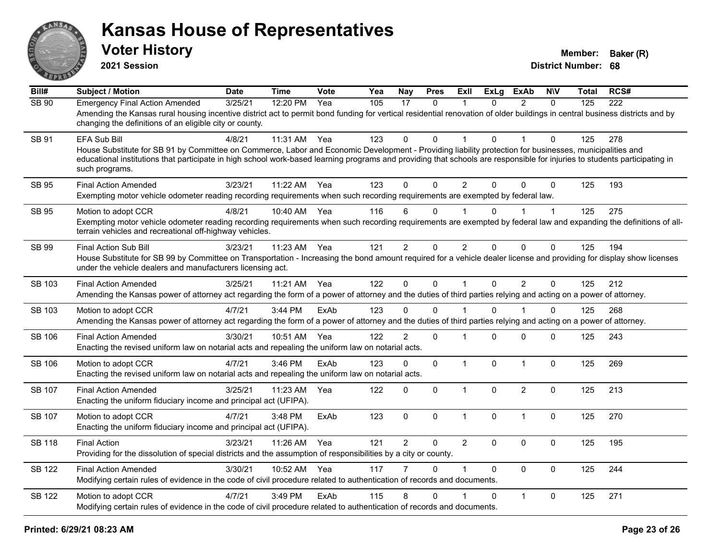

**2021 Session**

| Bill#         | <b>Subject / Motion</b>                                                                                                                                                                                                                                                                                                                                                        | <b>Date</b> | <b>Time</b> | Vote | Yea | <b>Nay</b>     | <b>Pres</b>  | <b>ExII</b>    | <b>ExLg</b>  | <b>ExAb</b>    | <b>NIV</b>   | <b>Total</b> | RCS# |
|---------------|--------------------------------------------------------------------------------------------------------------------------------------------------------------------------------------------------------------------------------------------------------------------------------------------------------------------------------------------------------------------------------|-------------|-------------|------|-----|----------------|--------------|----------------|--------------|----------------|--------------|--------------|------|
| SB 90         | <b>Emergency Final Action Amended</b><br>Amending the Kansas rural housing incentive district act to permit bond funding for vertical residential renovation of older buildings in central business districts and by<br>changing the definitions of an eligible city or county.                                                                                                | 3/25/21     | 12:20 PM    | Yea  | 105 | 17             | 0            | 1              | $\mathbf{0}$ | $\overline{2}$ | $\Omega$     | 125          | 222  |
| SB 91         | <b>EFA Sub Bill</b><br>House Substitute for SB 91 by Committee on Commerce, Labor and Economic Development - Providing liability protection for businesses, municipalities and<br>educational institutions that participate in high school work-based learning programs and providing that schools are responsible for injuries to students participating in<br>such programs. | 4/8/21      | 11:31 AM    | Yea  | 123 | $\Omega$       | $\Omega$     | 1              | $\Omega$     |                | $\Omega$     | 125          | 278  |
| <b>SB 95</b>  | <b>Final Action Amended</b><br>Exempting motor vehicle odometer reading recording requirements when such recording requirements are exempted by federal law.                                                                                                                                                                                                                   | 3/23/21     | 11:22 AM    | Yea  | 123 | $\Omega$       | $\mathbf{0}$ | $\overline{2}$ | $\Omega$     | $\Omega$       | $\mathbf{0}$ | 125          | 193  |
| SB 95         | Motion to adopt CCR<br>Exempting motor vehicle odometer reading recording requirements when such recording requirements are exempted by federal law and expanding the definitions of all-<br>terrain vehicles and recreational off-highway vehicles.                                                                                                                           | 4/8/21      | 10:40 AM    | Yea  | 116 | 6              | 0            |                | 0            |                | $\mathbf 1$  | 125          | 275  |
| SB 99         | <b>Final Action Sub Bill</b><br>House Substitute for SB 99 by Committee on Transportation - Increasing the bond amount required for a vehicle dealer license and providing for display show licenses<br>under the vehicle dealers and manufacturers licensing act.                                                                                                             | 3/23/21     | 11:23 AM    | Yea  | 121 | $\overline{2}$ | 0            | $\overline{2}$ | $\Omega$     | $\mathbf{0}$   | 0            | 125          | 194  |
| <b>SB 103</b> | <b>Final Action Amended</b><br>Amending the Kansas power of attorney act regarding the form of a power of attorney and the duties of third parties relying and acting on a power of attorney.                                                                                                                                                                                  | 3/25/21     | 11:21 AM    | Yea  | 122 | $\mathbf 0$    | $\mathbf 0$  | $\mathbf{1}$   | $\mathbf 0$  | $\overline{2}$ | $\mathbf 0$  | 125          | 212  |
| SB 103        | Motion to adopt CCR<br>Amending the Kansas power of attorney act regarding the form of a power of attorney and the duties of third parties relying and acting on a power of attorney.                                                                                                                                                                                          | 4/7/21      | 3:44 PM     | ExAb | 123 | 0              | $\Omega$     |                | 0            |                | 0            | 125          | 268  |
| <b>SB 106</b> | <b>Final Action Amended</b><br>Enacting the revised uniform law on notarial acts and repealing the uniform law on notarial acts.                                                                                                                                                                                                                                               | 3/30/21     | 10:51 AM    | Yea  | 122 | $\overline{2}$ | $\mathbf 0$  | 1              | $\Omega$     | $\mathbf 0$    | 0            | 125          | 243  |
| <b>SB 106</b> | Motion to adopt CCR<br>Enacting the revised uniform law on notarial acts and repealing the uniform law on notarial acts.                                                                                                                                                                                                                                                       | 4/7/21      | 3:46 PM     | ExAb | 123 | 0              | 0            | $\mathbf{1}$   | $\Omega$     | $\mathbf{1}$   | 0            | 125          | 269  |
| <b>SB 107</b> | <b>Final Action Amended</b><br>Enacting the uniform fiduciary income and principal act (UFIPA).                                                                                                                                                                                                                                                                                | 3/25/21     | 11:23 AM    | Yea  | 122 | $\Omega$       | $\mathbf 0$  | $\mathbf{1}$   | $\Omega$     | $\overline{2}$ | $\Omega$     | 125          | 213  |
| <b>SB 107</b> | Motion to adopt CCR<br>Enacting the uniform fiduciary income and principal act (UFIPA).                                                                                                                                                                                                                                                                                        | 4/7/21      | 3:48 PM     | ExAb | 123 | $\mathbf 0$    | 0            | $\mathbf{1}$   | 0            | $\mathbf{1}$   | $\mathbf 0$  | 125          | 270  |
| <b>SB 118</b> | <b>Final Action</b><br>Providing for the dissolution of special districts and the assumption of responsibilities by a city or county.                                                                                                                                                                                                                                          | 3/23/21     | 11:26 AM    | Yea  | 121 | $\overline{2}$ | $\Omega$     | $\overline{2}$ | $\Omega$     | $\mathbf{0}$   | $\mathbf 0$  | 125          | 195  |
| <b>SB 122</b> | <b>Final Action Amended</b><br>Modifying certain rules of evidence in the code of civil procedure related to authentication of records and documents.                                                                                                                                                                                                                          | 3/30/21     | 10:52 AM    | Yea  | 117 |                | $\Omega$     | $\mathbf 1$    | $\Omega$     | $\mathbf{0}$   | $\mathbf 0$  | 125          | 244  |
| <b>SB 122</b> | Motion to adopt CCR<br>Modifying certain rules of evidence in the code of civil procedure related to authentication of records and documents.                                                                                                                                                                                                                                  | 4/7/21      | 3:49 PM     | ExAb | 115 | 8              | $\Omega$     |                | $\Omega$     | $\mathbf{1}$   | $\Omega$     | 125          | 271  |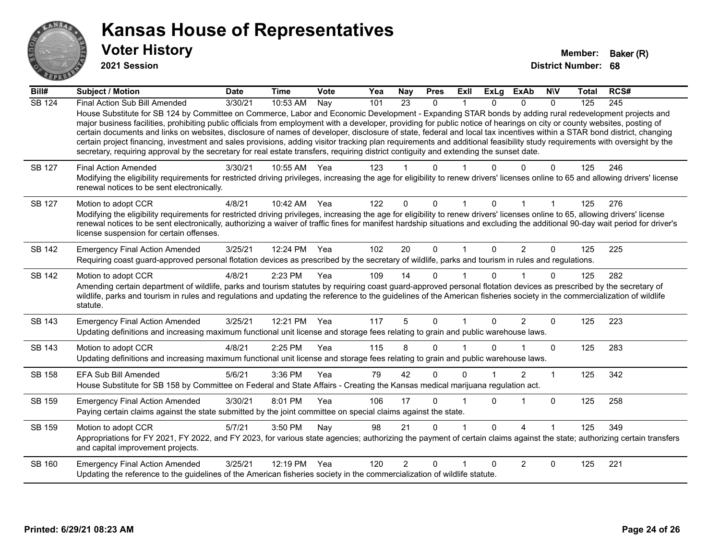

**2021 Session**

| Bill#         | Subject / Motion                                                                                                                                                                                                                                                                                                                                                                                                                                                                                                                                                                                                                                                                                                                                                                                                                                                     | <b>Date</b> | <b>Time</b> | <b>Vote</b> | Yea | <b>Nay</b>     | <b>Pres</b>  | <b>ExII</b> | <b>ExLg</b>  | <b>ExAb</b> | <b>NIV</b> | <b>Total</b> | RCS# |
|---------------|----------------------------------------------------------------------------------------------------------------------------------------------------------------------------------------------------------------------------------------------------------------------------------------------------------------------------------------------------------------------------------------------------------------------------------------------------------------------------------------------------------------------------------------------------------------------------------------------------------------------------------------------------------------------------------------------------------------------------------------------------------------------------------------------------------------------------------------------------------------------|-------------|-------------|-------------|-----|----------------|--------------|-------------|--------------|-------------|------------|--------------|------|
| <b>SB 124</b> | Final Action Sub Bill Amended<br>House Substitute for SB 124 by Committee on Commerce, Labor and Economic Development - Expanding STAR bonds by adding rural redevelopment projects and<br>major business facilities, prohibiting public officials from employment with a developer, providing for public notice of hearings on city or county websites, posting of<br>certain documents and links on websites, disclosure of names of developer, disclosure of state, federal and local tax incentives within a STAR bond district, changing<br>certain project financing, investment and sales provisions, adding visitor tracking plan requirements and additional feasibility study requirements with oversight by the<br>secretary, requiring approval by the secretary for real estate transfers, requiring district contiguity and extending the sunset date. | 3/30/21     | 10:53 AM    | Nay         | 101 | 23             | $\mathbf{0}$ | 1           | 0            | $\Omega$    | $\Omega$   | 125          | 245  |
| SB 127        | <b>Final Action Amended</b><br>Modifying the eligibility requirements for restricted driving privileges, increasing the age for eligibility to renew drivers' licenses online to 65 and allowing drivers' license<br>renewal notices to be sent electronically.                                                                                                                                                                                                                                                                                                                                                                                                                                                                                                                                                                                                      | 3/30/21     | 10:55 AM    | Yea         | 123 |                | 0            |             |              |             | 0          | 125          | 246  |
| SB 127        | Motion to adopt CCR<br>Modifying the eligibility requirements for restricted driving privileges, increasing the age for eligibility to renew drivers' licenses online to 65, allowing drivers' license<br>renewal notices to be sent electronically, authorizing a waiver of traffic fines for manifest hardship situations and excluding the additional 90-day wait period for driver's<br>license suspension for certain offenses.                                                                                                                                                                                                                                                                                                                                                                                                                                 | 4/8/21      | 10:42 AM    | Yea         | 122 | $\Omega$       | 0            |             |              |             |            | 125          | 276  |
| SB 142        | <b>Emergency Final Action Amended</b><br>Requiring coast guard-approved personal flotation devices as prescribed by the secretary of wildlife, parks and tourism in rules and regulations.                                                                                                                                                                                                                                                                                                                                                                                                                                                                                                                                                                                                                                                                           | 3/25/21     | 12:24 PM    | Yea         | 102 | 20             | $\Omega$     | 1           | 0            | 2           | $\Omega$   | 125          | 225  |
| SB 142        | Motion to adopt CCR<br>Amending certain department of wildlife, parks and tourism statutes by requiring coast guard-approved personal flotation devices as prescribed by the secretary of<br>wildlife, parks and tourism in rules and regulations and updating the reference to the guidelines of the American fisheries society in the commercialization of wildlife<br>statute.                                                                                                                                                                                                                                                                                                                                                                                                                                                                                    | 4/8/21      | 2:23 PM     | Yea         | 109 | 14             | $\Omega$     |             | U            |             | $\Omega$   | 125          | 282  |
| SB 143        | <b>Emergency Final Action Amended</b><br>Updating definitions and increasing maximum functional unit license and storage fees relating to grain and public warehouse laws.                                                                                                                                                                                                                                                                                                                                                                                                                                                                                                                                                                                                                                                                                           | 3/25/21     | 12:21 PM    | Yea         | 117 | 5              | $\Omega$     | 1           | 0            | 2           | $\Omega$   | 125          | 223  |
| SB 143        | Motion to adopt CCR<br>Updating definitions and increasing maximum functional unit license and storage fees relating to grain and public warehouse laws.                                                                                                                                                                                                                                                                                                                                                                                                                                                                                                                                                                                                                                                                                                             | 4/8/21      | 2:25 PM     | Yea         | 115 | 8              | $\Omega$     |             | U            |             | $\Omega$   | 125          | 283  |
| SB 158        | <b>EFA Sub Bill Amended</b><br>House Substitute for SB 158 by Committee on Federal and State Affairs - Creating the Kansas medical marijuana regulation act.                                                                                                                                                                                                                                                                                                                                                                                                                                                                                                                                                                                                                                                                                                         | 5/6/21      | 3:36 PM     | Yea         | 79  | 42             | $\Omega$     | 0           |              | 2           | 1          | 125          | 342  |
| SB 159        | <b>Emergency Final Action Amended</b><br>Paying certain claims against the state submitted by the joint committee on special claims against the state.                                                                                                                                                                                                                                                                                                                                                                                                                                                                                                                                                                                                                                                                                                               | 3/30/21     | 8:01 PM     | Yea         | 106 | 17             | $\Omega$     |             | 0            |             | $\Omega$   | 125          | 258  |
| SB 159        | Motion to adopt CCR<br>Appropriations for FY 2021, FY 2022, and FY 2023, for various state agencies; authorizing the payment of certain claims against the state; authorizing certain transfers<br>and capital improvement projects.                                                                                                                                                                                                                                                                                                                                                                                                                                                                                                                                                                                                                                 | 5/7/21      | 3:50 PM     | Nay         | 98  | 21             | $\Omega$     |             | 0            | 4           |            | 125          | 349  |
| SB 160        | <b>Emergency Final Action Amended</b><br>Updating the reference to the guidelines of the American fisheries society in the commercialization of wildlife statute.                                                                                                                                                                                                                                                                                                                                                                                                                                                                                                                                                                                                                                                                                                    | 3/25/21     | 12:19 PM    | Yea         | 120 | $\overline{2}$ | $\Omega$     |             | <sup>0</sup> | 2           | $\Omega$   | 125          | 221  |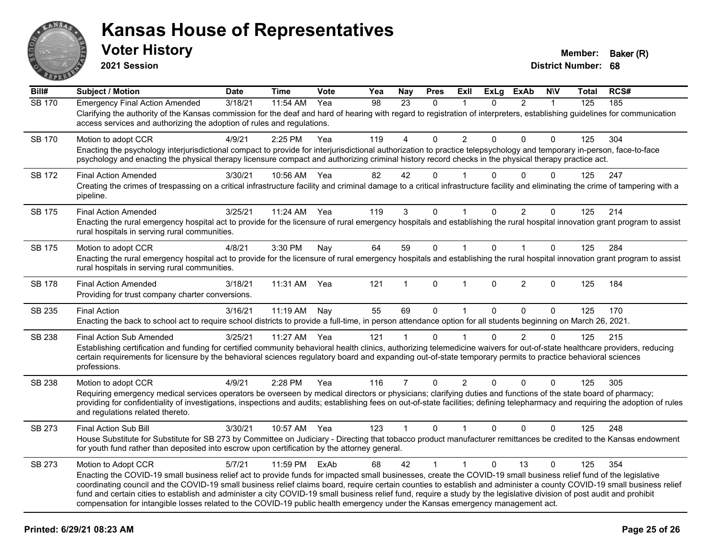

**2021 Session**

| Bill#         | <b>Subject / Motion</b>                                                                                                                                                                                                                                                                                                                                                                                                                                                                                                                                                                                                                                                       | <b>Date</b> | <b>Time</b> | Vote | Yea | <b>Nay</b>     | <b>Pres</b>  | ExIl           | <b>ExLg</b> | <b>ExAb</b>    | <b>NIV</b>   | <b>Total</b> | RCS# |
|---------------|-------------------------------------------------------------------------------------------------------------------------------------------------------------------------------------------------------------------------------------------------------------------------------------------------------------------------------------------------------------------------------------------------------------------------------------------------------------------------------------------------------------------------------------------------------------------------------------------------------------------------------------------------------------------------------|-------------|-------------|------|-----|----------------|--------------|----------------|-------------|----------------|--------------|--------------|------|
| <b>SB 170</b> | <b>Emergency Final Action Amended</b><br>Clarifying the authority of the Kansas commission for the deaf and hard of hearing with regard to registration of interpreters, establishing guidelines for communication<br>access services and authorizing the adoption of rules and regulations.                                                                                                                                                                                                                                                                                                                                                                                  | 3/18/21     | 11:54 AM    | Yea  | 98  | 23             | $\Omega$     | $\mathbf 1$    | $\Omega$    | $\overline{2}$ | $\mathbf{1}$ | 125          | 185  |
| <b>SB 170</b> | Motion to adopt CCR<br>Enacting the psychology interjurisdictional compact to provide for interjurisdictional authorization to practice telepsychology and temporary in-person, face-to-face<br>psychology and enacting the physical therapy licensure compact and authorizing criminal history record checks in the physical therapy practice act.                                                                                                                                                                                                                                                                                                                           | 4/9/21      | 2:25 PM     | Yea  | 119 | 4              | $\Omega$     | $\overline{2}$ | 0           | $\mathbf{0}$   | 0            | 125          | 304  |
| <b>SB 172</b> | <b>Final Action Amended</b><br>Creating the crimes of trespassing on a critical infrastructure facility and criminal damage to a critical infrastructure facility and eliminating the crime of tampering with a<br>pipeline.                                                                                                                                                                                                                                                                                                                                                                                                                                                  | 3/30/21     | 10:56 AM    | Yea  | 82  | 42             | $\mathbf{0}$ |                | U           | $\Omega$       | $\Omega$     | 125          | 247  |
| SB 175        | <b>Final Action Amended</b><br>Enacting the rural emergency hospital act to provide for the licensure of rural emergency hospitals and establishing the rural hospital innovation grant program to assist<br>rural hospitals in serving rural communities.                                                                                                                                                                                                                                                                                                                                                                                                                    | 3/25/21     | 11:24 AM    | Yea  | 119 | 3              | 0            | 1              | 0           | $\overline{2}$ | 0            | 125          | 214  |
| <b>SB 175</b> | Motion to adopt CCR<br>Enacting the rural emergency hospital act to provide for the licensure of rural emergency hospitals and establishing the rural hospital innovation grant program to assist<br>rural hospitals in serving rural communities.                                                                                                                                                                                                                                                                                                                                                                                                                            | 4/8/21      | 3:30 PM     | Nay  | 64  | 59             | $\mathbf 0$  | $\mathbf{1}$   | $\Omega$    | $\mathbf{1}$   | $\mathbf{0}$ | 125          | 284  |
| <b>SB 178</b> | <b>Final Action Amended</b><br>Providing for trust company charter conversions.                                                                                                                                                                                                                                                                                                                                                                                                                                                                                                                                                                                               | 3/18/21     | 11:31 AM    | Yea  | 121 | 1              | 0            | 1              | $\Omega$    | $\overline{2}$ | $\mathbf{0}$ | 125          | 184  |
| SB 235        | <b>Final Action</b><br>Enacting the back to school act to require school districts to provide a full-time, in person attendance option for all students beginning on March 26, 2021.                                                                                                                                                                                                                                                                                                                                                                                                                                                                                          | 3/16/21     | 11:19 AM    | Nay  | 55  | 69             | $\mathbf 0$  | $\mathbf{1}$   | 0           | $\Omega$       | $\mathbf{0}$ | 125          | 170  |
| <b>SB 238</b> | <b>Final Action Sub Amended</b><br>Establishing certification and funding for certified community behavioral health clinics, authorizing telemedicine waivers for out-of-state healthcare providers, reducing<br>certain requirements for licensure by the behavioral sciences regulatory board and expanding out-of-state temporary permits to practice behavioral sciences<br>professions.                                                                                                                                                                                                                                                                                  | 3/25/21     | 11:27 AM    | Yea  | 121 | 1              | $\mathbf 0$  |                | $\Omega$    | $\overline{2}$ | $\mathbf 0$  | 125          | 215  |
| <b>SB 238</b> | Motion to adopt CCR<br>Requiring emergency medical services operators be overseen by medical directors or physicians; clarifying duties and functions of the state board of pharmacy;<br>providing for confidentiality of investigations, inspections and audits; establishing fees on out-of-state facilities; defining telepharmacy and requiring the adoption of rules<br>and regulations related thereto.                                                                                                                                                                                                                                                                 | 4/9/21      | 2:28 PM     | Yea  | 116 | $\overline{7}$ | $\mathbf 0$  | 2              | $\Omega$    | $\Omega$       | $\Omega$     | 125          | 305  |
| SB 273        | Final Action Sub Bill<br>House Substitute for Substitute for SB 273 by Committee on Judiciary - Directing that tobacco product manufacturer remittances be credited to the Kansas endowment<br>for youth fund rather than deposited into escrow upon certification by the attorney general.                                                                                                                                                                                                                                                                                                                                                                                   | 3/30/21     | 10:57 AM    | Yea  | 123 | $\mathbf{1}$   | $\mathbf{0}$ | $\mathbf 1$    | $\Omega$    | $\Omega$       | $\Omega$     | 125          | 248  |
| SB 273        | Motion to Adopt CCR<br>Enacting the COVID-19 small business relief act to provide funds for impacted small businesses, create the COVID-19 small business relief fund of the legislative<br>coordinating council and the COVID-19 small business relief claims board, require certain counties to establish and administer a county COVID-19 small business relief<br>fund and certain cities to establish and administer a city COVID-19 small business relief fund, require a study by the legislative division of post audit and prohibit<br>compensation for intangible losses related to the COVID-19 public health emergency under the Kansas emergency management act. | 5/7/21      | 11:59 PM    | ExAb | 68  | 42             | $\mathbf{1}$ | $\mathbf{1}$   | $\Omega$    | 13             | $\Omega$     | 125          | 354  |